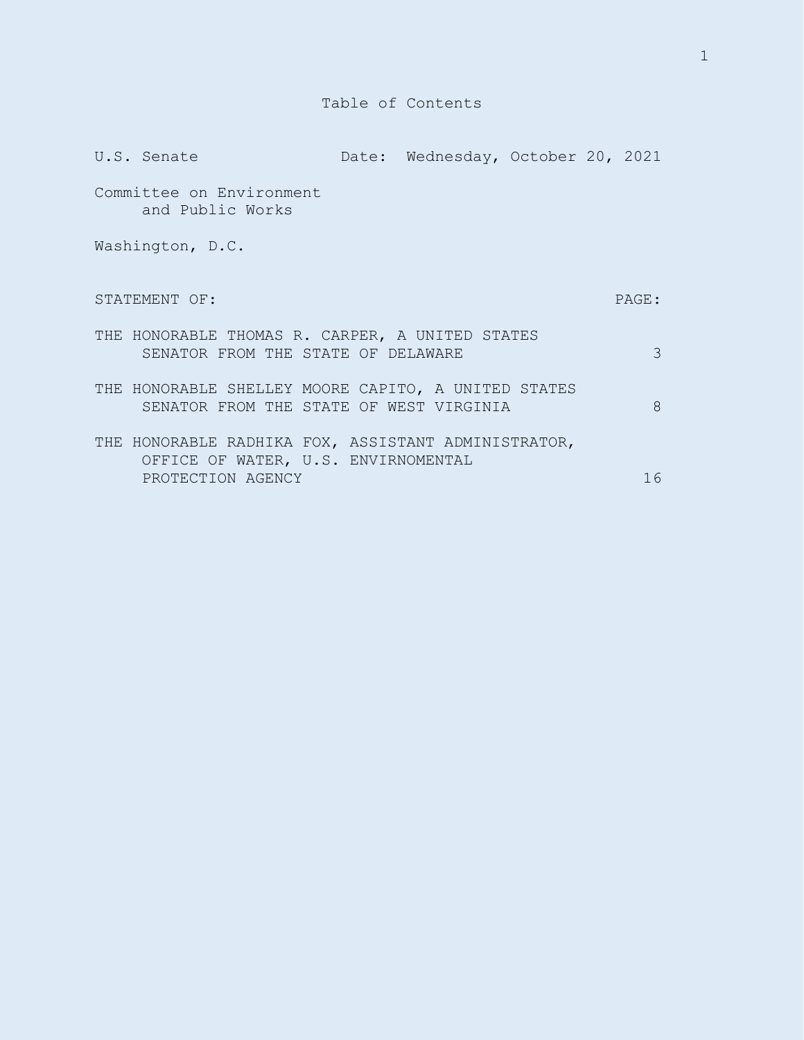|                  | U.S. Senate                                                                                                     |  | Date: Wednesday, October 20, 2021 |  |               |
|------------------|-----------------------------------------------------------------------------------------------------------------|--|-----------------------------------|--|---------------|
|                  | Committee on Environment<br>and Public Works                                                                    |  |                                   |  |               |
| Washington, D.C. |                                                                                                                 |  |                                   |  |               |
|                  | STATEMENT OF:                                                                                                   |  |                                   |  | PAGE:         |
|                  | THE HONORABLE THOMAS R. CARPER, A UNITED STATES<br>SENATOR FROM THE STATE OF DELAWARE                           |  |                                   |  | $\mathcal{E}$ |
|                  | THE HONORABLE SHELLEY MOORE CAPITO, A UNITED STATES<br>SENATOR FROM THE STATE OF WEST VIRGINIA                  |  |                                   |  | $\mathcal{B}$ |
|                  | THE HONORABLE RADHIKA FOX, ASSISTANT ADMINISTRATOR,<br>OFFICE OF WATER, U.S. ENVIRNOMENTAL<br>PROTECTION AGENCY |  |                                   |  | 16            |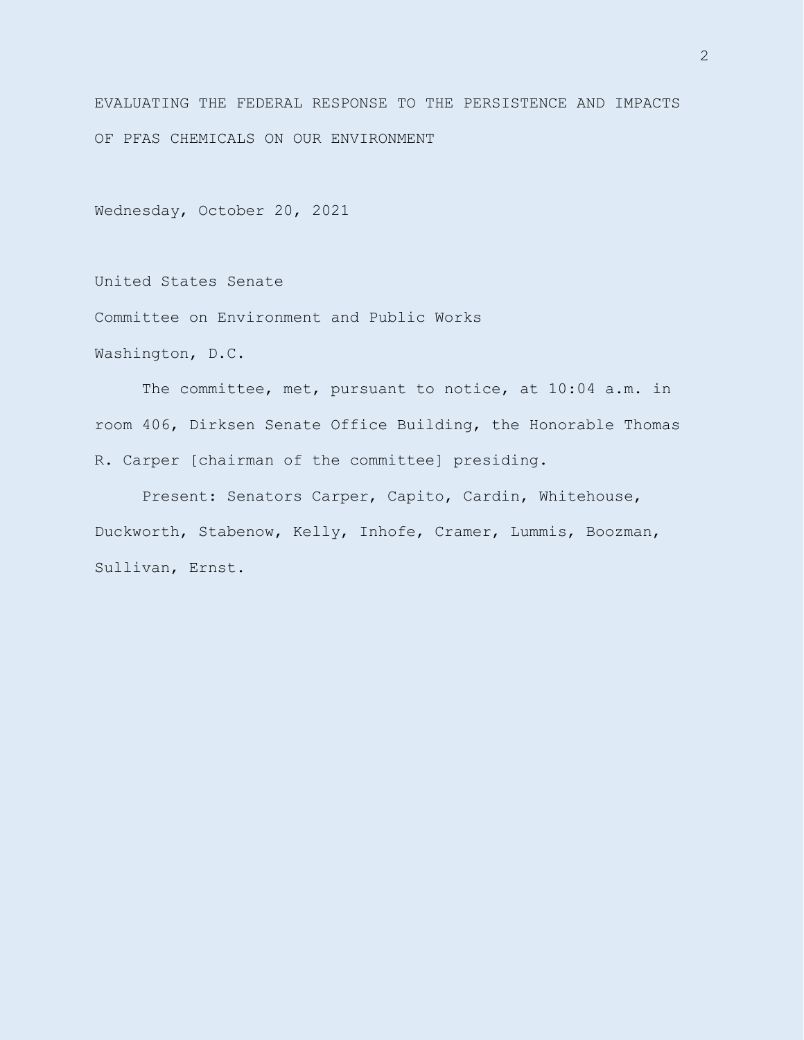EVALUATING THE FEDERAL RESPONSE TO THE PERSISTENCE AND IMPACTS OF PFAS CHEMICALS ON OUR ENVIRONMENT

Wednesday, October 20, 2021

United States Senate

Committee on Environment and Public Works

Washington, D.C.

The committee, met, pursuant to notice, at 10:04 a.m. in room 406, Dirksen Senate Office Building, the Honorable Thomas R. Carper [chairman of the committee] presiding.

Present: Senators Carper, Capito, Cardin, Whitehouse, Duckworth, Stabenow, Kelly, Inhofe, Cramer, Lummis, Boozman, Sullivan, Ernst.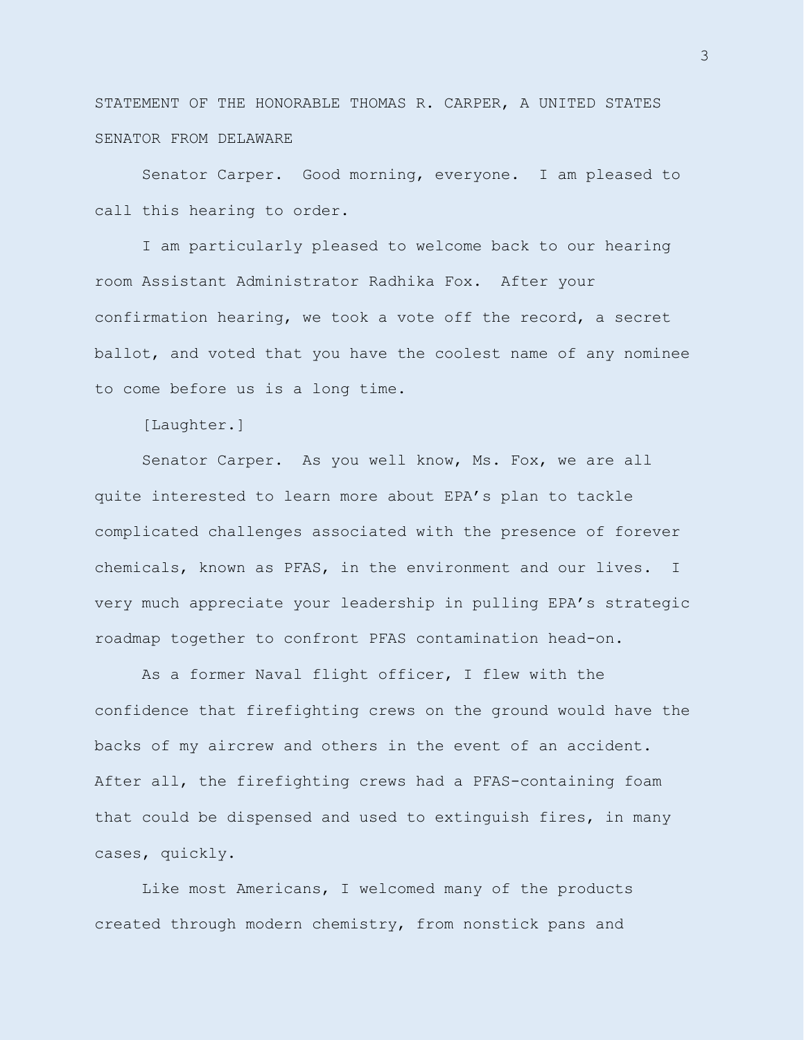STATEMENT OF THE HONORABLE THOMAS R. CARPER, A UNITED STATES SENATOR FROM DELAWARE

Senator Carper. Good morning, everyone. I am pleased to call this hearing to order.

I am particularly pleased to welcome back to our hearing room Assistant Administrator Radhika Fox. After your confirmation hearing, we took a vote off the record, a secret ballot, and voted that you have the coolest name of any nominee to come before us is a long time.

[Laughter.]

Senator Carper. As you well know, Ms. Fox, we are all quite interested to learn more about EPA's plan to tackle complicated challenges associated with the presence of forever chemicals, known as PFAS, in the environment and our lives. I very much appreciate your leadership in pulling EPA's strategic roadmap together to confront PFAS contamination head-on.

As a former Naval flight officer, I flew with the confidence that firefighting crews on the ground would have the backs of my aircrew and others in the event of an accident. After all, the firefighting crews had a PFAS-containing foam that could be dispensed and used to extinguish fires, in many cases, quickly.

Like most Americans, I welcomed many of the products created through modern chemistry, from nonstick pans and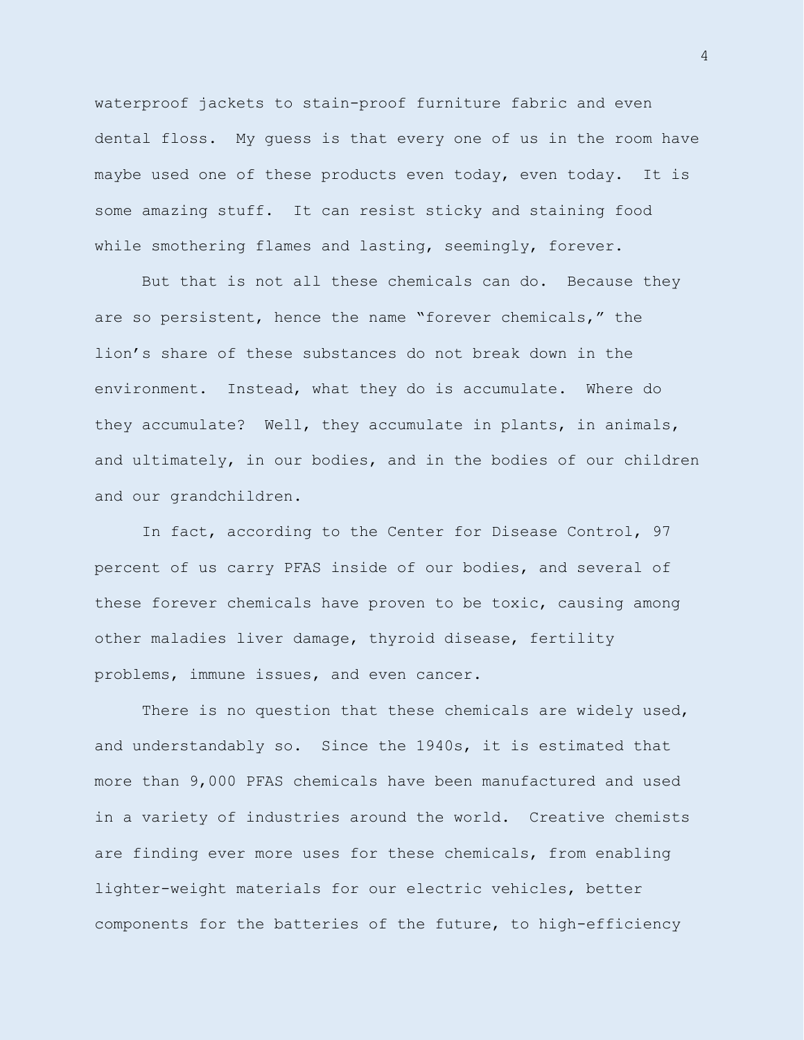waterproof jackets to stain-proof furniture fabric and even dental floss. My guess is that every one of us in the room have maybe used one of these products even today, even today. It is some amazing stuff. It can resist sticky and staining food while smothering flames and lasting, seemingly, forever.

But that is not all these chemicals can do. Because they are so persistent, hence the name "forever chemicals," the lion's share of these substances do not break down in the environment. Instead, what they do is accumulate. Where do they accumulate? Well, they accumulate in plants, in animals, and ultimately, in our bodies, and in the bodies of our children and our grandchildren.

In fact, according to the Center for Disease Control, 97 percent of us carry PFAS inside of our bodies, and several of these forever chemicals have proven to be toxic, causing among other maladies liver damage, thyroid disease, fertility problems, immune issues, and even cancer.

There is no question that these chemicals are widely used, and understandably so. Since the 1940s, it is estimated that more than 9,000 PFAS chemicals have been manufactured and used in a variety of industries around the world. Creative chemists are finding ever more uses for these chemicals, from enabling lighter-weight materials for our electric vehicles, better components for the batteries of the future, to high-efficiency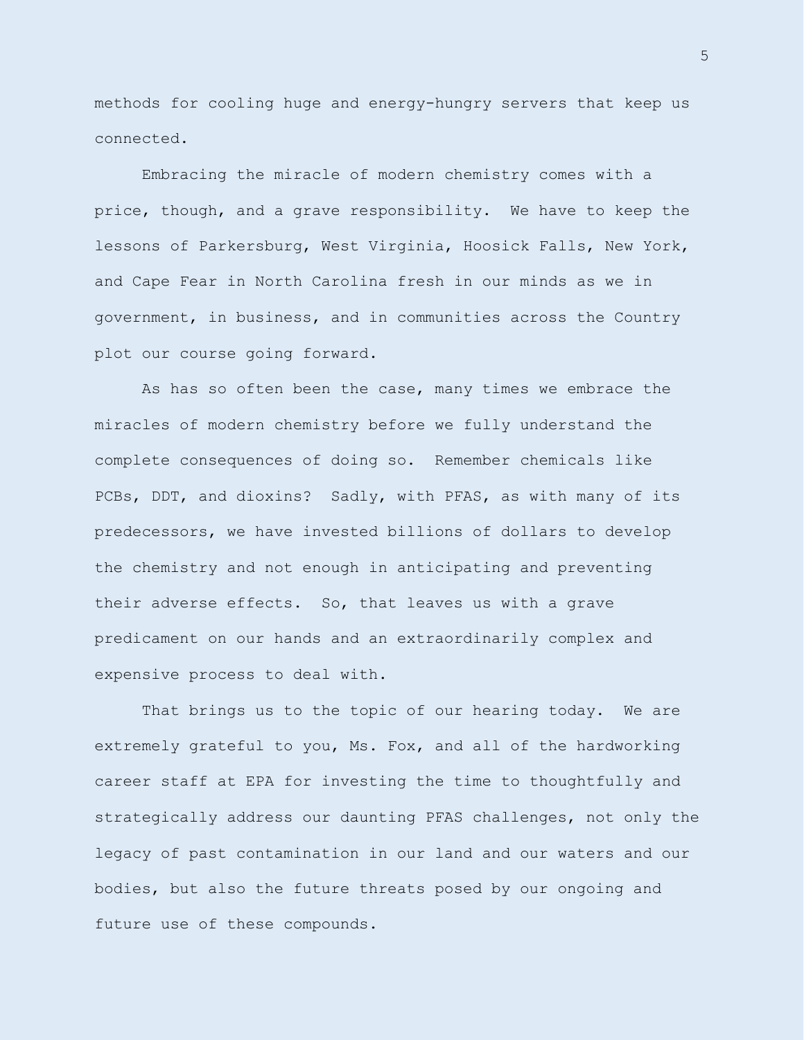methods for cooling huge and energy-hungry servers that keep us connected.

Embracing the miracle of modern chemistry comes with a price, though, and a grave responsibility. We have to keep the lessons of Parkersburg, West Virginia, Hoosick Falls, New York, and Cape Fear in North Carolina fresh in our minds as we in government, in business, and in communities across the Country plot our course going forward.

As has so often been the case, many times we embrace the miracles of modern chemistry before we fully understand the complete consequences of doing so. Remember chemicals like PCBs, DDT, and dioxins? Sadly, with PFAS, as with many of its predecessors, we have invested billions of dollars to develop the chemistry and not enough in anticipating and preventing their adverse effects. So, that leaves us with a grave predicament on our hands and an extraordinarily complex and expensive process to deal with.

That brings us to the topic of our hearing today. We are extremely grateful to you, Ms. Fox, and all of the hardworking career staff at EPA for investing the time to thoughtfully and strategically address our daunting PFAS challenges, not only the legacy of past contamination in our land and our waters and our bodies, but also the future threats posed by our ongoing and future use of these compounds.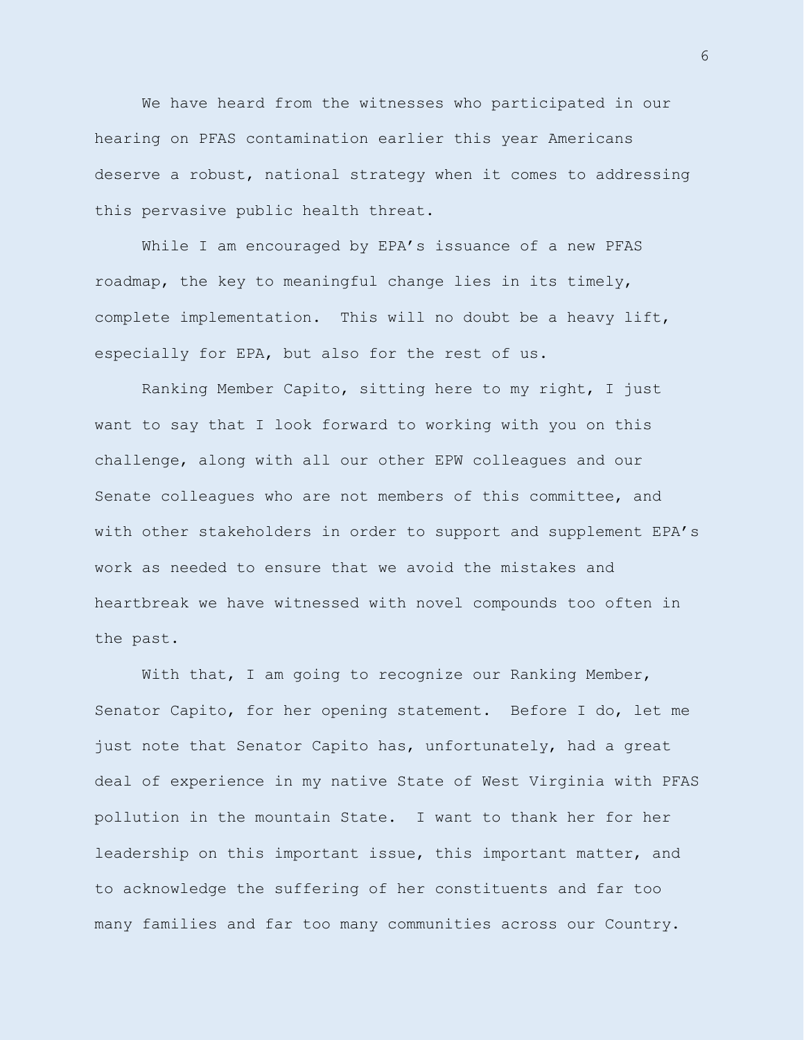We have heard from the witnesses who participated in our hearing on PFAS contamination earlier this year Americans deserve a robust, national strategy when it comes to addressing this pervasive public health threat.

While I am encouraged by EPA's issuance of a new PFAS roadmap, the key to meaningful change lies in its timely, complete implementation. This will no doubt be a heavy lift, especially for EPA, but also for the rest of us.

Ranking Member Capito, sitting here to my right, I just want to say that I look forward to working with you on this challenge, along with all our other EPW colleagues and our Senate colleagues who are not members of this committee, and with other stakeholders in order to support and supplement EPA's work as needed to ensure that we avoid the mistakes and heartbreak we have witnessed with novel compounds too often in the past.

With that, I am going to recognize our Ranking Member, Senator Capito, for her opening statement. Before I do, let me just note that Senator Capito has, unfortunately, had a great deal of experience in my native State of West Virginia with PFAS pollution in the mountain State. I want to thank her for her leadership on this important issue, this important matter, and to acknowledge the suffering of her constituents and far too many families and far too many communities across our Country.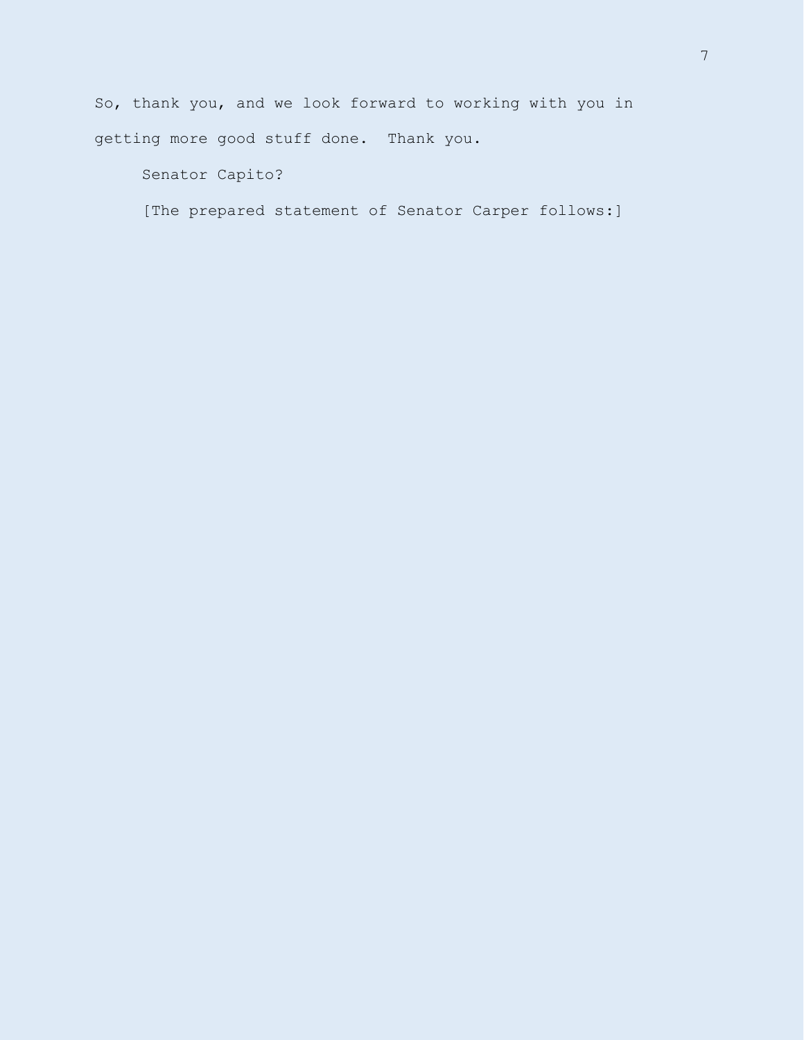So, thank you, and we look forward to working with you in getting more good stuff done. Thank you.

Senator Capito?

[The prepared statement of Senator Carper follows:]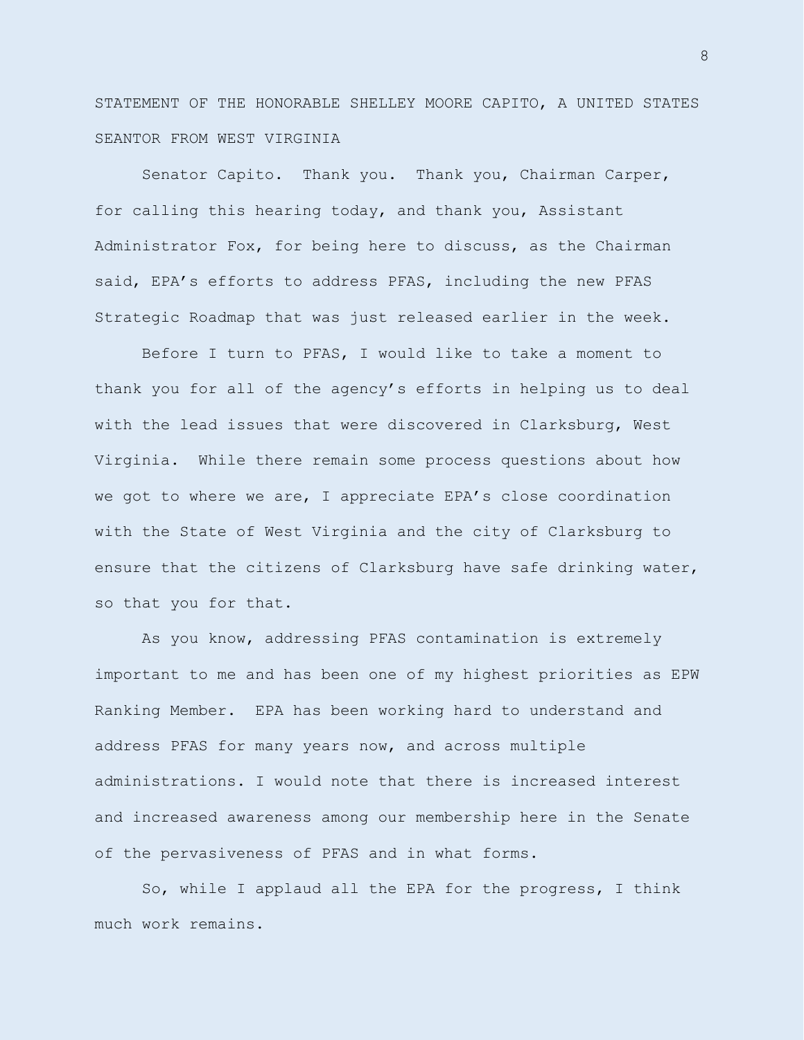STATEMENT OF THE HONORABLE SHELLEY MOORE CAPITO, A UNITED STATES SEANTOR FROM WEST VIRGINIA

Senator Capito. Thank you. Thank you, Chairman Carper, for calling this hearing today, and thank you, Assistant Administrator Fox, for being here to discuss, as the Chairman said, EPA's efforts to address PFAS, including the new PFAS Strategic Roadmap that was just released earlier in the week.

Before I turn to PFAS, I would like to take a moment to thank you for all of the agency's efforts in helping us to deal with the lead issues that were discovered in Clarksburg, West Virginia. While there remain some process questions about how we got to where we are, I appreciate EPA's close coordination with the State of West Virginia and the city of Clarksburg to ensure that the citizens of Clarksburg have safe drinking water, so that you for that.

As you know, addressing PFAS contamination is extremely important to me and has been one of my highest priorities as EPW Ranking Member. EPA has been working hard to understand and address PFAS for many years now, and across multiple administrations. I would note that there is increased interest and increased awareness among our membership here in the Senate of the pervasiveness of PFAS and in what forms.

So, while I applaud all the EPA for the progress, I think much work remains.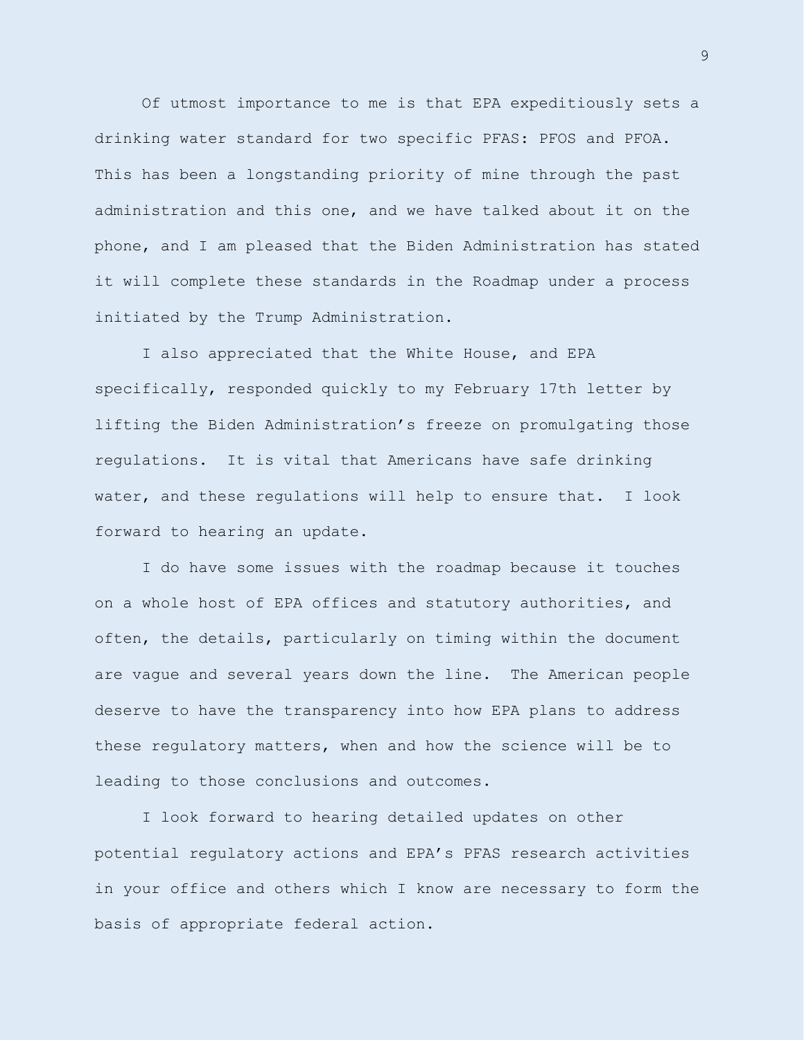Of utmost importance to me is that EPA expeditiously sets a drinking water standard for two specific PFAS: PFOS and PFOA. This has been a longstanding priority of mine through the past administration and this one, and we have talked about it on the phone, and I am pleased that the Biden Administration has stated it will complete these standards in the Roadmap under a process initiated by the Trump Administration.

I also appreciated that the White House, and EPA specifically, responded quickly to my February 17th letter by lifting the Biden Administration's freeze on promulgating those regulations. It is vital that Americans have safe drinking water, and these regulations will help to ensure that. I look forward to hearing an update.

I do have some issues with the roadmap because it touches on a whole host of EPA offices and statutory authorities, and often, the details, particularly on timing within the document are vague and several years down the line. The American people deserve to have the transparency into how EPA plans to address these regulatory matters, when and how the science will be to leading to those conclusions and outcomes.

I look forward to hearing detailed updates on other potential regulatory actions and EPA's PFAS research activities in your office and others which I know are necessary to form the basis of appropriate federal action.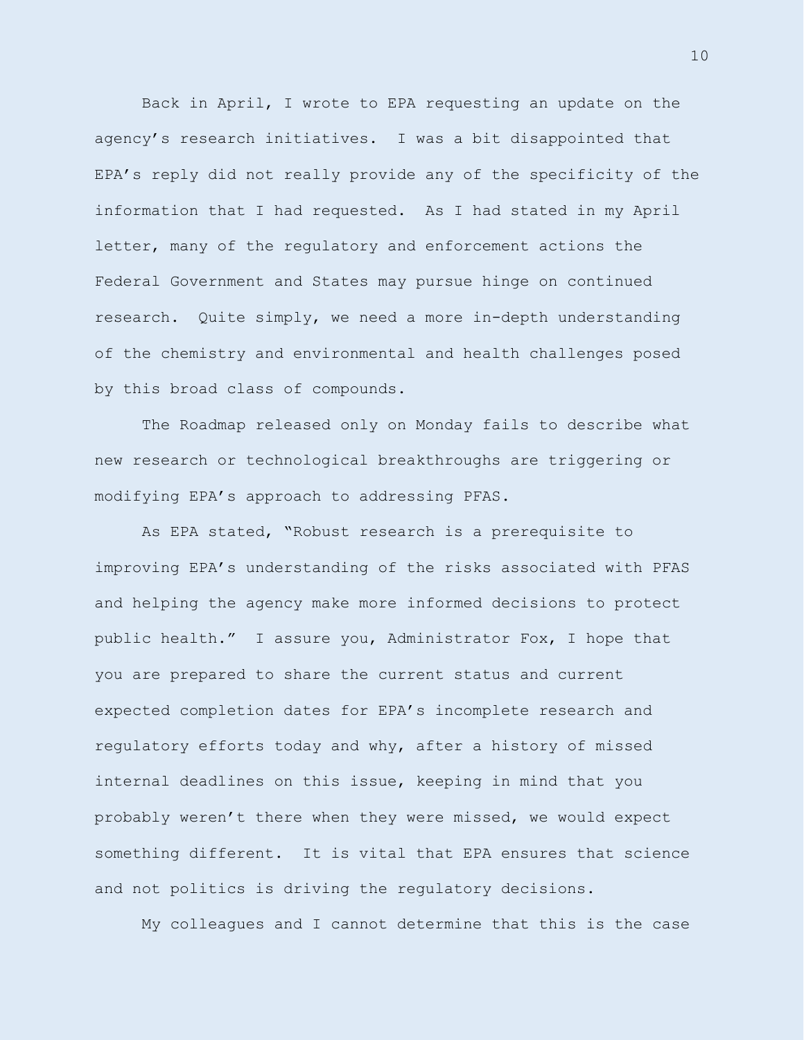Back in April, I wrote to EPA requesting an update on the agency's research initiatives. I was a bit disappointed that EPA's reply did not really provide any of the specificity of the information that I had requested. As I had stated in my April letter, many of the regulatory and enforcement actions the Federal Government and States may pursue hinge on continued research. Quite simply, we need a more in-depth understanding of the chemistry and environmental and health challenges posed by this broad class of compounds.

The Roadmap released only on Monday fails to describe what new research or technological breakthroughs are triggering or modifying EPA's approach to addressing PFAS.

As EPA stated, "Robust research is a prerequisite to improving EPA's understanding of the risks associated with PFAS and helping the agency make more informed decisions to protect public health." I assure you, Administrator Fox, I hope that you are prepared to share the current status and current expected completion dates for EPA's incomplete research and regulatory efforts today and why, after a history of missed internal deadlines on this issue, keeping in mind that you probably weren't there when they were missed, we would expect something different. It is vital that EPA ensures that science and not politics is driving the regulatory decisions.

My colleagues and I cannot determine that this is the case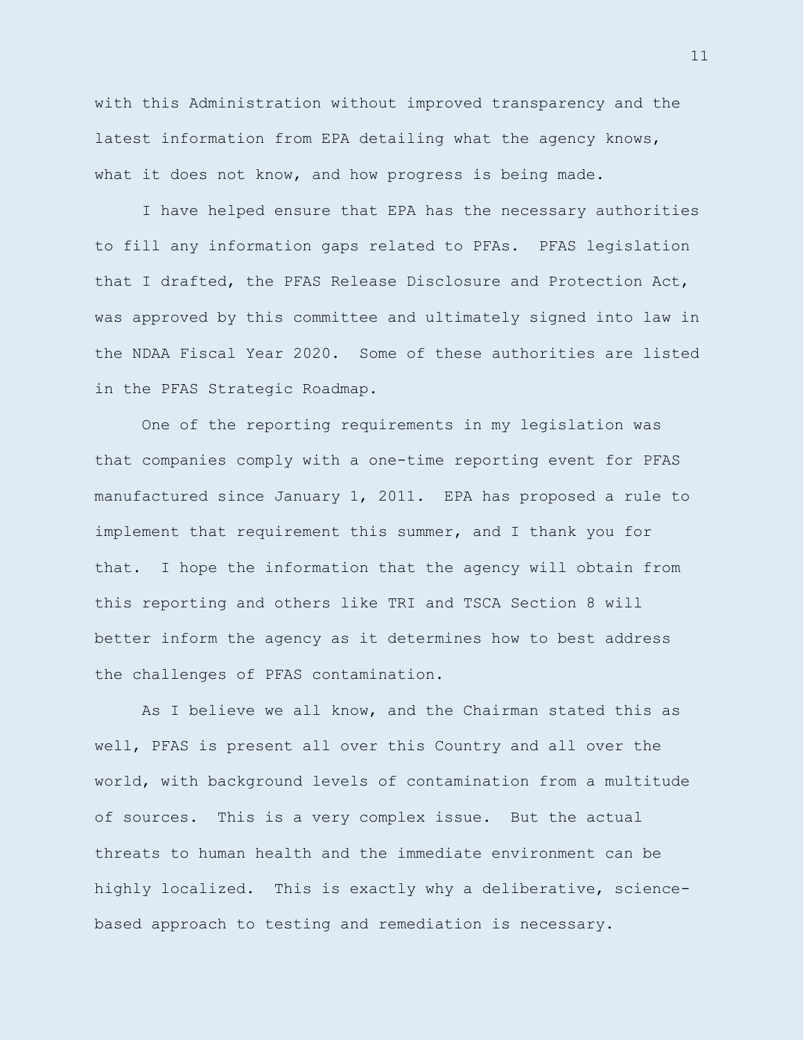with this Administration without improved transparency and the latest information from EPA detailing what the agency knows, what it does not know, and how progress is being made.

I have helped ensure that EPA has the necessary authorities to fill any information gaps related to PFAs. PFAS legislation that I drafted, the PFAS Release Disclosure and Protection Act, was approved by this committee and ultimately signed into law in the NDAA Fiscal Year 2020. Some of these authorities are listed in the PFAS Strategic Roadmap.

One of the reporting requirements in my legislation was that companies comply with a one-time reporting event for PFAS manufactured since January 1, 2011. EPA has proposed a rule to implement that requirement this summer, and I thank you for that. I hope the information that the agency will obtain from this reporting and others like TRI and TSCA Section 8 will better inform the agency as it determines how to best address the challenges of PFAS contamination.

As I believe we all know, and the Chairman stated this as well, PFAS is present all over this Country and all over the world, with background levels of contamination from a multitude of sources. This is a very complex issue. But the actual threats to human health and the immediate environment can be highly localized. This is exactly why a deliberative, sciencebased approach to testing and remediation is necessary.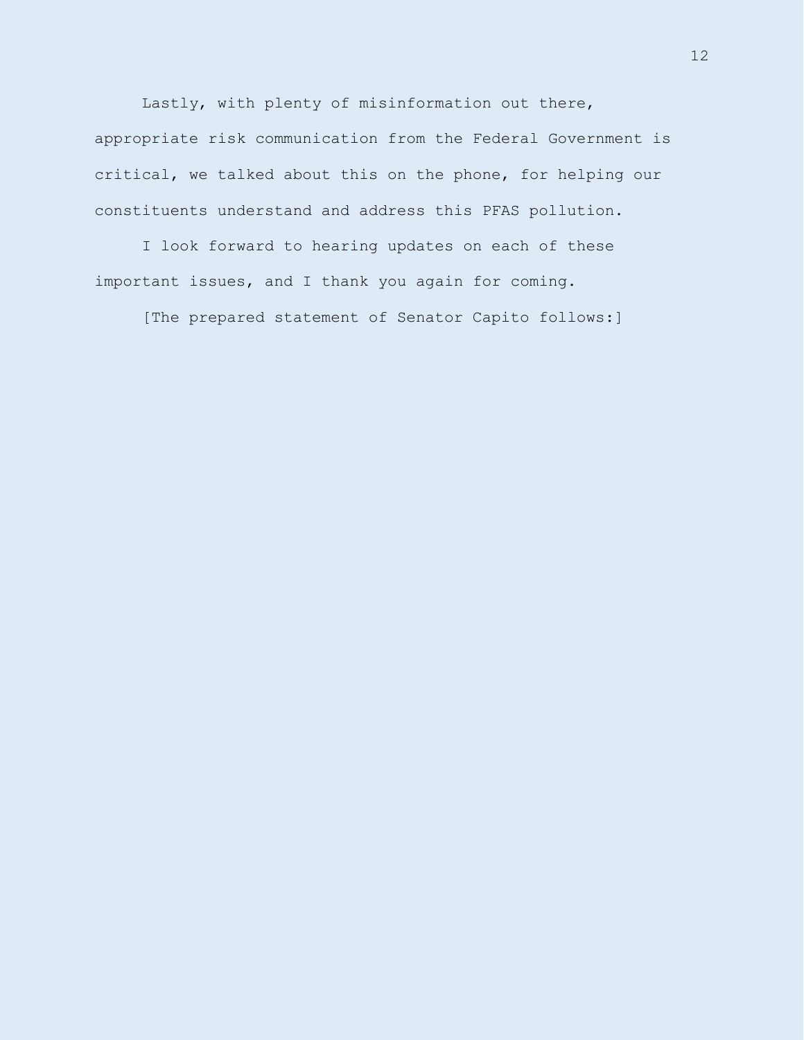Lastly, with plenty of misinformation out there, appropriate risk communication from the Federal Government is critical, we talked about this on the phone, for helping our constituents understand and address this PFAS pollution.

I look forward to hearing updates on each of these important issues, and I thank you again for coming.

[The prepared statement of Senator Capito follows:]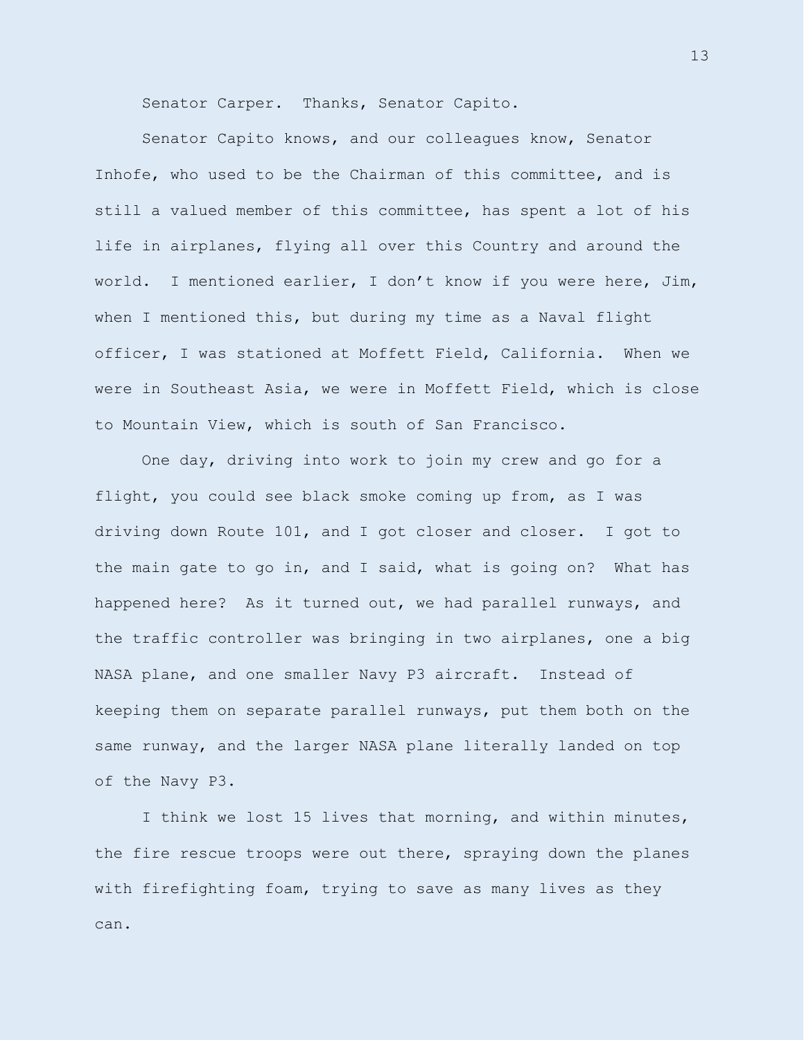Senator Carper. Thanks, Senator Capito.

Senator Capito knows, and our colleagues know, Senator Inhofe, who used to be the Chairman of this committee, and is still a valued member of this committee, has spent a lot of his life in airplanes, flying all over this Country and around the world. I mentioned earlier, I don't know if you were here, Jim, when I mentioned this, but during my time as a Naval flight officer, I was stationed at Moffett Field, California. When we were in Southeast Asia, we were in Moffett Field, which is close to Mountain View, which is south of San Francisco.

One day, driving into work to join my crew and go for a flight, you could see black smoke coming up from, as I was driving down Route 101, and I got closer and closer. I got to the main gate to go in, and I said, what is going on? What has happened here? As it turned out, we had parallel runways, and the traffic controller was bringing in two airplanes, one a big NASA plane, and one smaller Navy P3 aircraft. Instead of keeping them on separate parallel runways, put them both on the same runway, and the larger NASA plane literally landed on top of the Navy P3.

I think we lost 15 lives that morning, and within minutes, the fire rescue troops were out there, spraying down the planes with firefighting foam, trying to save as many lives as they can.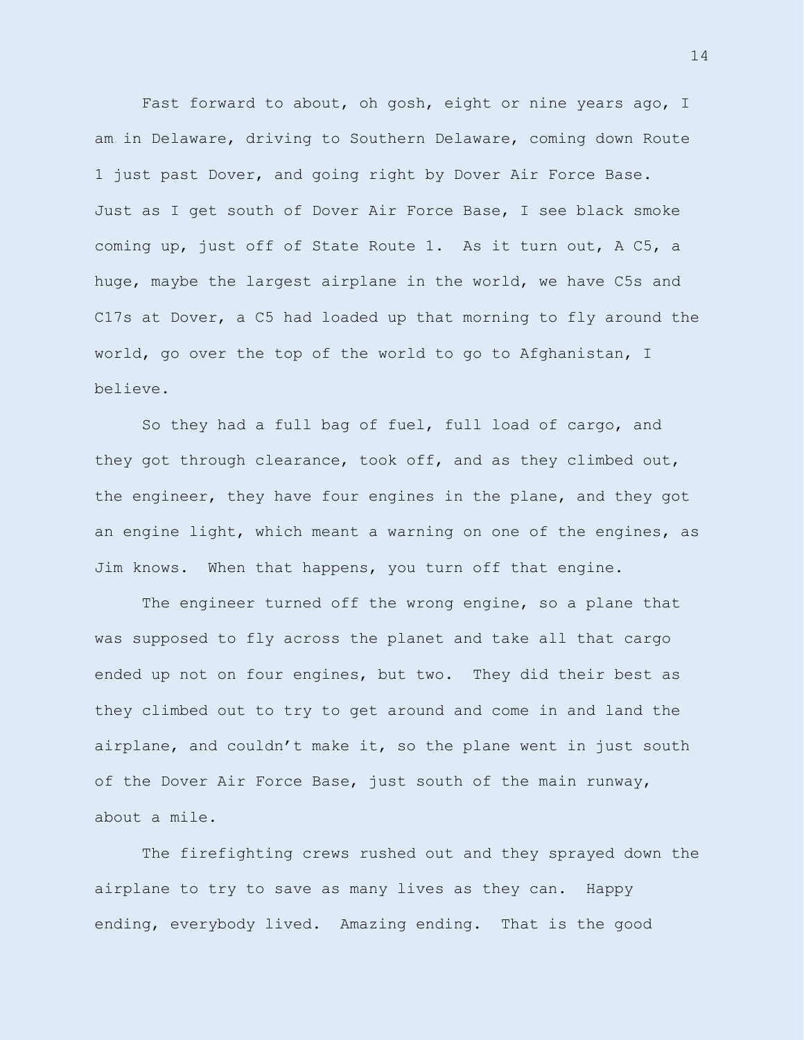Fast forward to about, oh gosh, eight or nine years ago, I am in Delaware, driving to Southern Delaware, coming down Route 1 just past Dover, and going right by Dover Air Force Base. Just as I get south of Dover Air Force Base, I see black smoke coming up, just off of State Route 1. As it turn out, A C5, a huge, maybe the largest airplane in the world, we have C5s and C17s at Dover, a C5 had loaded up that morning to fly around the world, go over the top of the world to go to Afghanistan, I believe.

So they had a full bag of fuel, full load of cargo, and they got through clearance, took off, and as they climbed out, the engineer, they have four engines in the plane, and they got an engine light, which meant a warning on one of the engines, as Jim knows. When that happens, you turn off that engine.

The engineer turned off the wrong engine, so a plane that was supposed to fly across the planet and take all that cargo ended up not on four engines, but two. They did their best as they climbed out to try to get around and come in and land the airplane, and couldn't make it, so the plane went in just south of the Dover Air Force Base, just south of the main runway, about a mile.

The firefighting crews rushed out and they sprayed down the airplane to try to save as many lives as they can. Happy ending, everybody lived. Amazing ending. That is the good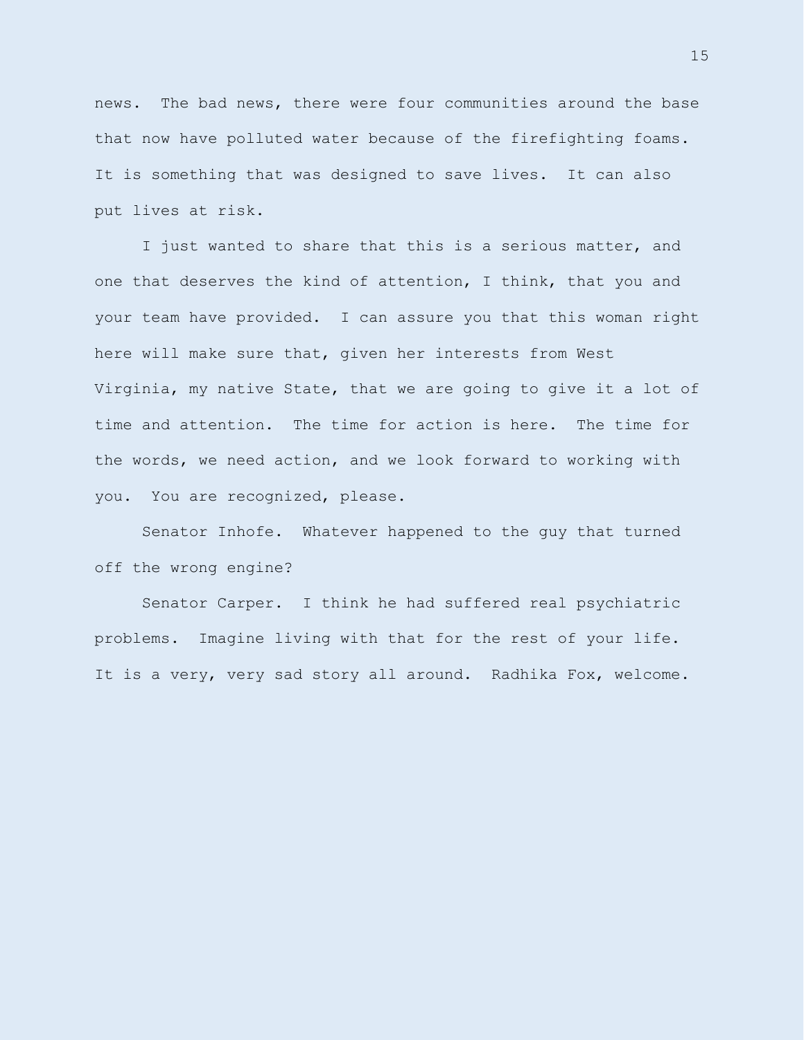news. The bad news, there were four communities around the base that now have polluted water because of the firefighting foams. It is something that was designed to save lives. It can also put lives at risk.

I just wanted to share that this is a serious matter, and one that deserves the kind of attention, I think, that you and your team have provided. I can assure you that this woman right here will make sure that, given her interests from West Virginia, my native State, that we are going to give it a lot of time and attention. The time for action is here. The time for the words, we need action, and we look forward to working with you. You are recognized, please.

Senator Inhofe. Whatever happened to the guy that turned off the wrong engine?

Senator Carper. I think he had suffered real psychiatric problems. Imagine living with that for the rest of your life. It is a very, very sad story all around. Radhika Fox, welcome.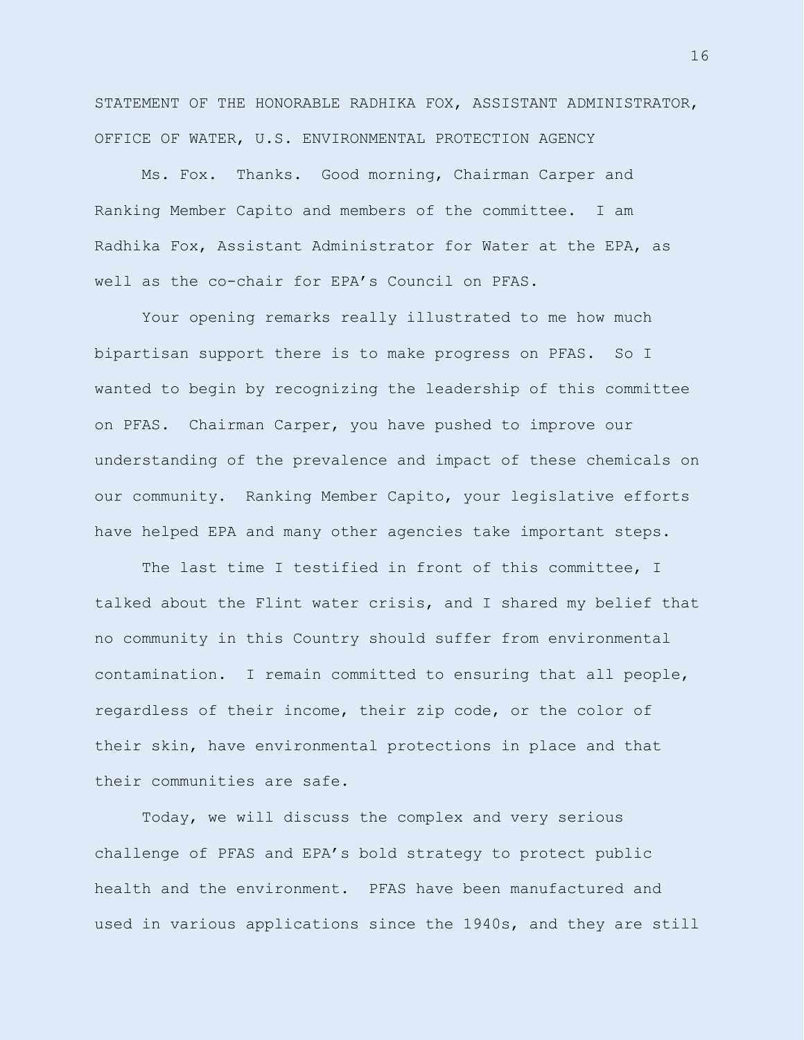STATEMENT OF THE HONORABLE RADHIKA FOX, ASSISTANT ADMINISTRATOR, OFFICE OF WATER, U.S. ENVIRONMENTAL PROTECTION AGENCY

Ms. Fox. Thanks. Good morning, Chairman Carper and Ranking Member Capito and members of the committee. I am Radhika Fox, Assistant Administrator for Water at the EPA, as well as the co-chair for EPA's Council on PFAS.

Your opening remarks really illustrated to me how much bipartisan support there is to make progress on PFAS. So I wanted to begin by recognizing the leadership of this committee on PFAS. Chairman Carper, you have pushed to improve our understanding of the prevalence and impact of these chemicals on our community. Ranking Member Capito, your legislative efforts have helped EPA and many other agencies take important steps.

The last time I testified in front of this committee, I talked about the Flint water crisis, and I shared my belief that no community in this Country should suffer from environmental contamination. I remain committed to ensuring that all people, regardless of their income, their zip code, or the color of their skin, have environmental protections in place and that their communities are safe.

Today, we will discuss the complex and very serious challenge of PFAS and EPA's bold strategy to protect public health and the environment. PFAS have been manufactured and used in various applications since the 1940s, and they are still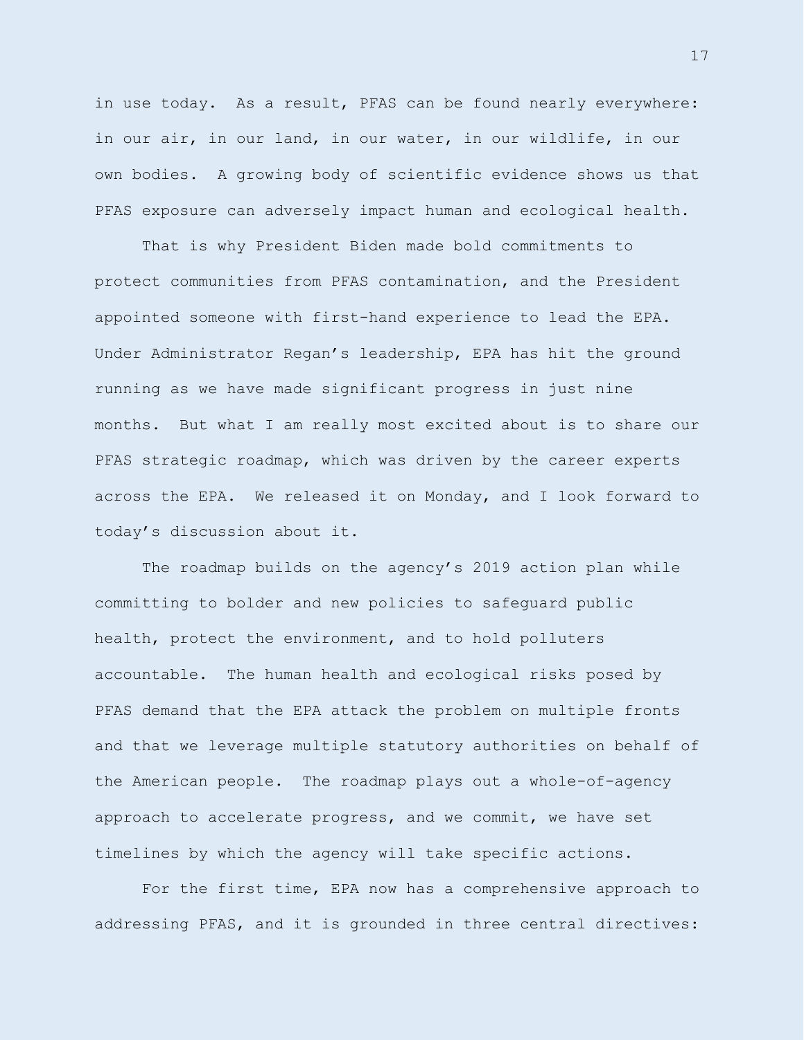in use today. As a result, PFAS can be found nearly everywhere: in our air, in our land, in our water, in our wildlife, in our own bodies. A growing body of scientific evidence shows us that PFAS exposure can adversely impact human and ecological health.

That is why President Biden made bold commitments to protect communities from PFAS contamination, and the President appointed someone with first-hand experience to lead the EPA. Under Administrator Regan's leadership, EPA has hit the ground running as we have made significant progress in just nine months. But what I am really most excited about is to share our PFAS strategic roadmap, which was driven by the career experts across the EPA. We released it on Monday, and I look forward to today's discussion about it.

The roadmap builds on the agency's 2019 action plan while committing to bolder and new policies to safeguard public health, protect the environment, and to hold polluters accountable. The human health and ecological risks posed by PFAS demand that the EPA attack the problem on multiple fronts and that we leverage multiple statutory authorities on behalf of the American people. The roadmap plays out a whole-of-agency approach to accelerate progress, and we commit, we have set timelines by which the agency will take specific actions.

For the first time, EPA now has a comprehensive approach to addressing PFAS, and it is grounded in three central directives: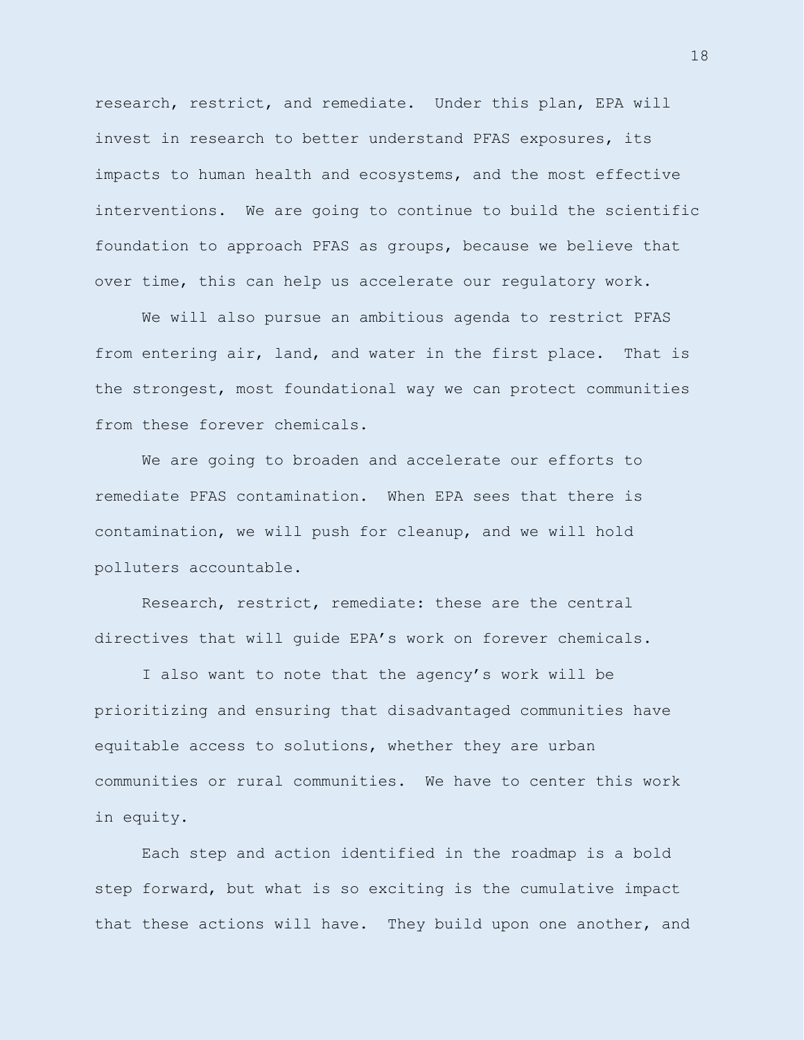research, restrict, and remediate. Under this plan, EPA will invest in research to better understand PFAS exposures, its impacts to human health and ecosystems, and the most effective interventions. We are going to continue to build the scientific foundation to approach PFAS as groups, because we believe that over time, this can help us accelerate our regulatory work.

We will also pursue an ambitious agenda to restrict PFAS from entering air, land, and water in the first place. That is the strongest, most foundational way we can protect communities from these forever chemicals.

We are going to broaden and accelerate our efforts to remediate PFAS contamination. When EPA sees that there is contamination, we will push for cleanup, and we will hold polluters accountable.

Research, restrict, remediate: these are the central directives that will guide EPA's work on forever chemicals.

I also want to note that the agency's work will be prioritizing and ensuring that disadvantaged communities have equitable access to solutions, whether they are urban communities or rural communities. We have to center this work in equity.

Each step and action identified in the roadmap is a bold step forward, but what is so exciting is the cumulative impact that these actions will have. They build upon one another, and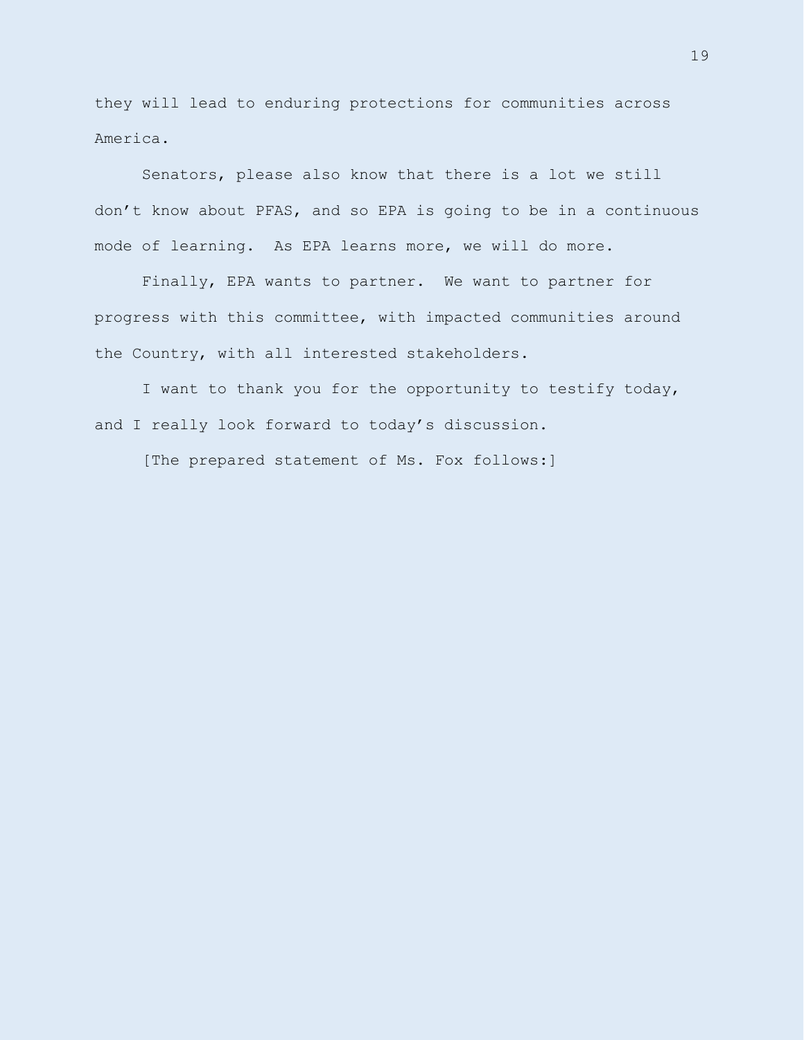they will lead to enduring protections for communities across America.

Senators, please also know that there is a lot we still don't know about PFAS, and so EPA is going to be in a continuous mode of learning. As EPA learns more, we will do more.

Finally, EPA wants to partner. We want to partner for progress with this committee, with impacted communities around the Country, with all interested stakeholders.

I want to thank you for the opportunity to testify today, and I really look forward to today's discussion.

[The prepared statement of Ms. Fox follows:]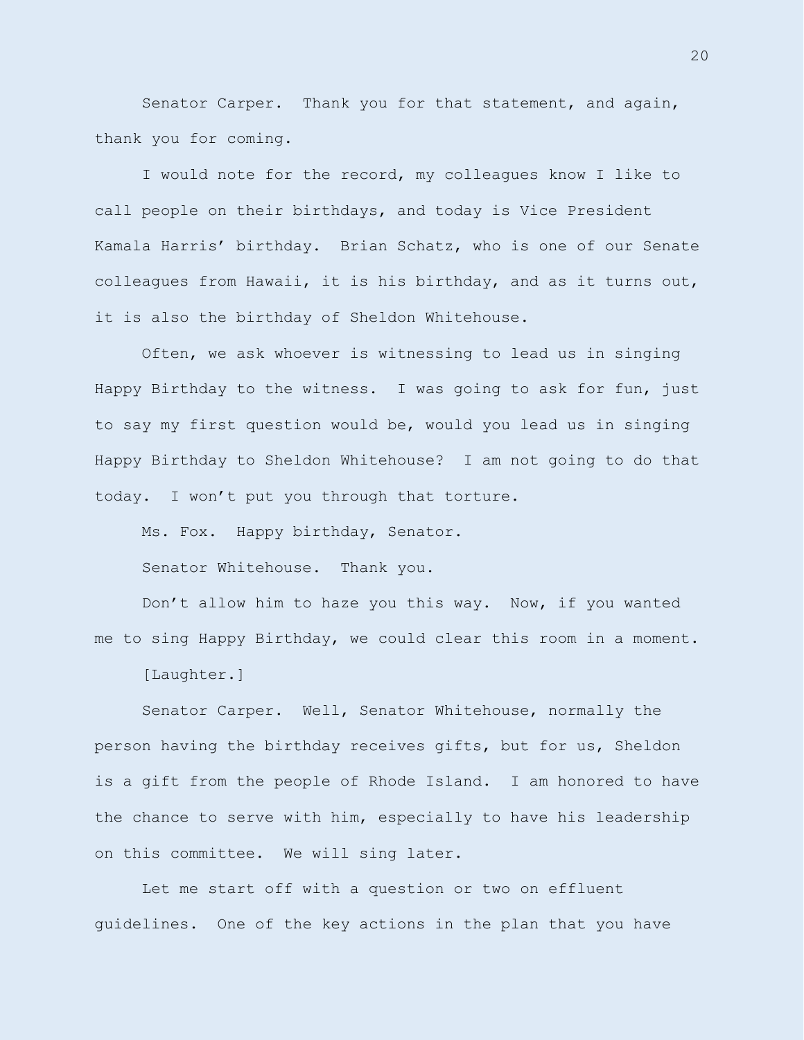Senator Carper. Thank you for that statement, and again, thank you for coming.

I would note for the record, my colleagues know I like to call people on their birthdays, and today is Vice President Kamala Harris' birthday. Brian Schatz, who is one of our Senate colleagues from Hawaii, it is his birthday, and as it turns out, it is also the birthday of Sheldon Whitehouse.

Often, we ask whoever is witnessing to lead us in singing Happy Birthday to the witness. I was going to ask for fun, just to say my first question would be, would you lead us in singing Happy Birthday to Sheldon Whitehouse? I am not going to do that today. I won't put you through that torture.

Ms. Fox. Happy birthday, Senator.

Senator Whitehouse. Thank you.

Don't allow him to haze you this way. Now, if you wanted me to sing Happy Birthday, we could clear this room in a moment.

[Laughter.]

Senator Carper. Well, Senator Whitehouse, normally the person having the birthday receives gifts, but for us, Sheldon is a gift from the people of Rhode Island. I am honored to have the chance to serve with him, especially to have his leadership on this committee. We will sing later.

Let me start off with a question or two on effluent guidelines. One of the key actions in the plan that you have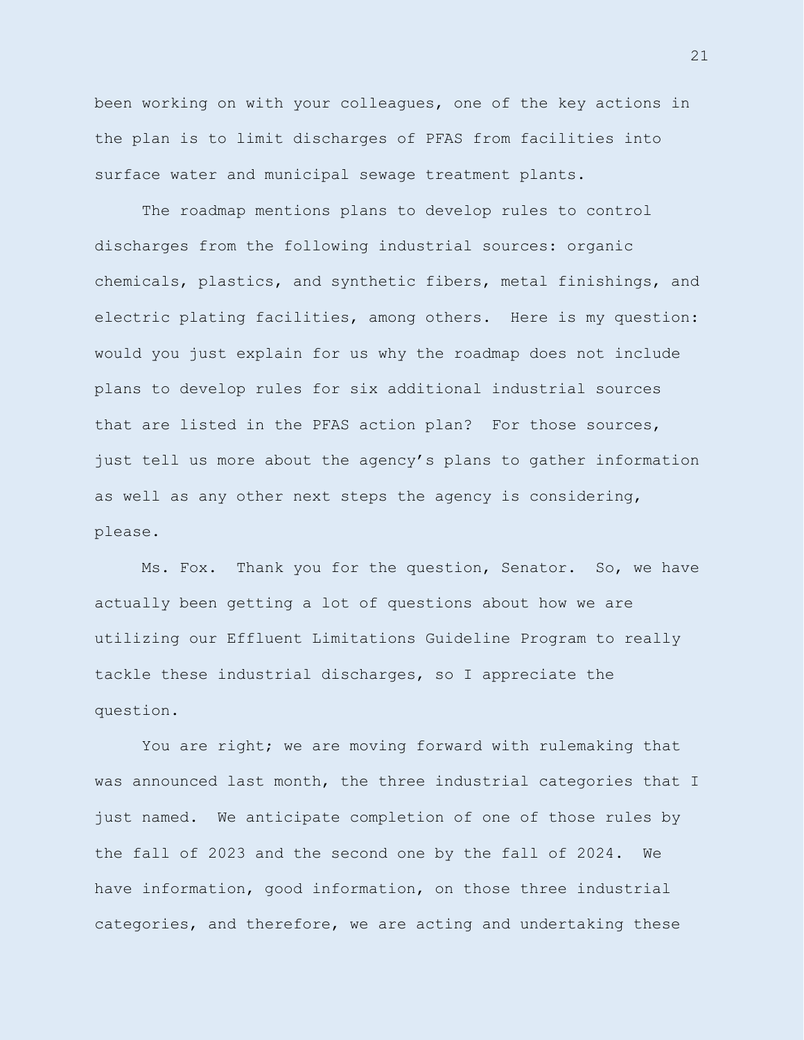been working on with your colleagues, one of the key actions in the plan is to limit discharges of PFAS from facilities into surface water and municipal sewage treatment plants.

The roadmap mentions plans to develop rules to control discharges from the following industrial sources: organic chemicals, plastics, and synthetic fibers, metal finishings, and electric plating facilities, among others. Here is my question: would you just explain for us why the roadmap does not include plans to develop rules for six additional industrial sources that are listed in the PFAS action plan? For those sources, just tell us more about the agency's plans to gather information as well as any other next steps the agency is considering, please.

Ms. Fox. Thank you for the question, Senator. So, we have actually been getting a lot of questions about how we are utilizing our Effluent Limitations Guideline Program to really tackle these industrial discharges, so I appreciate the question.

You are right; we are moving forward with rulemaking that was announced last month, the three industrial categories that I just named. We anticipate completion of one of those rules by the fall of 2023 and the second one by the fall of 2024. We have information, good information, on those three industrial categories, and therefore, we are acting and undertaking these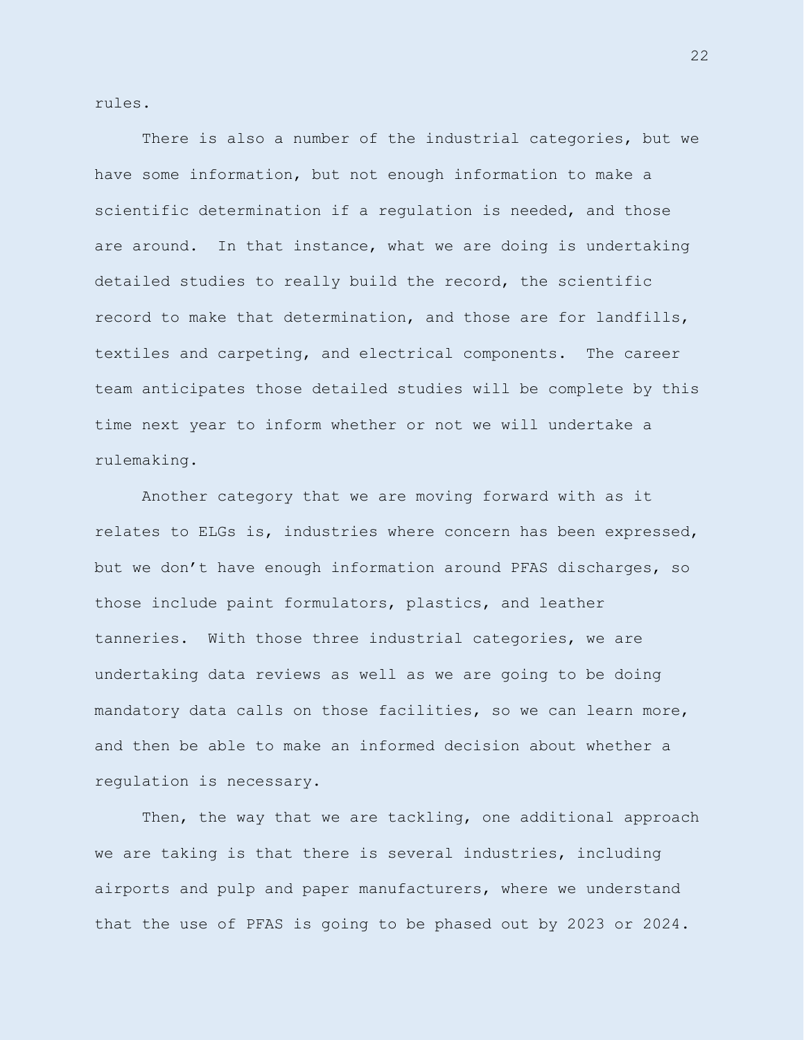rules.

There is also a number of the industrial categories, but we have some information, but not enough information to make a scientific determination if a regulation is needed, and those are around. In that instance, what we are doing is undertaking detailed studies to really build the record, the scientific record to make that determination, and those are for landfills, textiles and carpeting, and electrical components. The career team anticipates those detailed studies will be complete by this time next year to inform whether or not we will undertake a rulemaking.

Another category that we are moving forward with as it relates to ELGs is, industries where concern has been expressed, but we don't have enough information around PFAS discharges, so those include paint formulators, plastics, and leather tanneries. With those three industrial categories, we are undertaking data reviews as well as we are going to be doing mandatory data calls on those facilities, so we can learn more, and then be able to make an informed decision about whether a regulation is necessary.

Then, the way that we are tackling, one additional approach we are taking is that there is several industries, including airports and pulp and paper manufacturers, where we understand that the use of PFAS is going to be phased out by 2023 or 2024.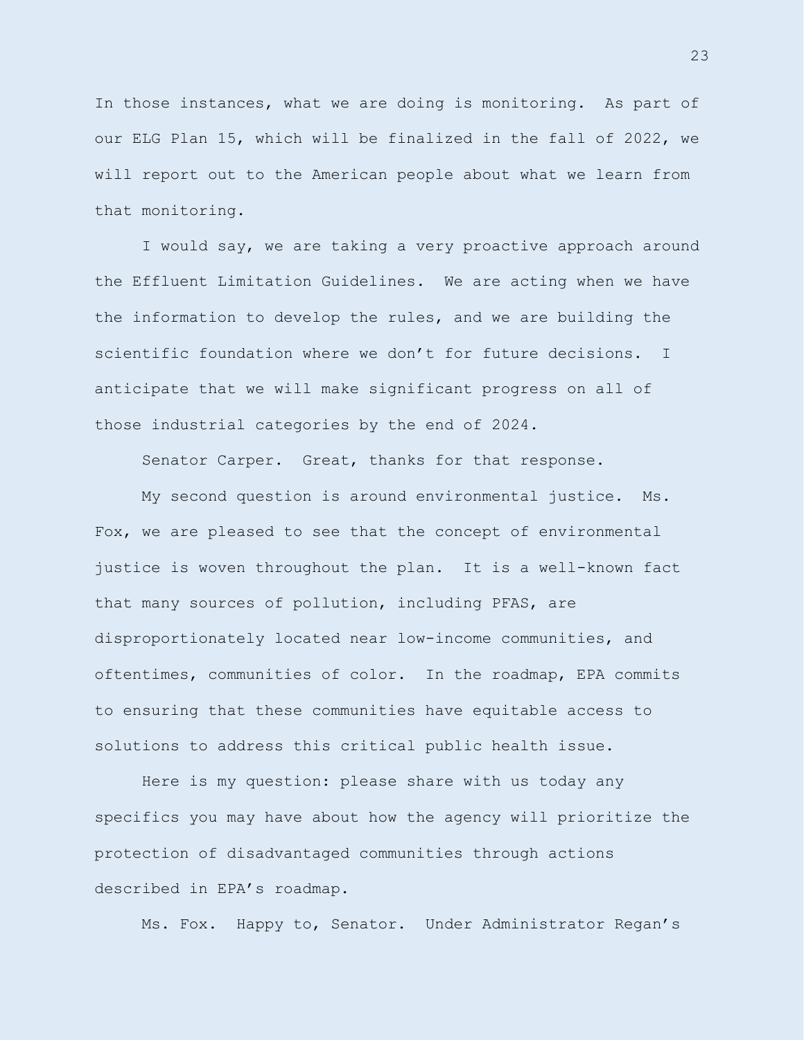In those instances, what we are doing is monitoring. As part of our ELG Plan 15, which will be finalized in the fall of 2022, we will report out to the American people about what we learn from that monitoring.

I would say, we are taking a very proactive approach around the Effluent Limitation Guidelines. We are acting when we have the information to develop the rules, and we are building the scientific foundation where we don't for future decisions. I anticipate that we will make significant progress on all of those industrial categories by the end of 2024.

Senator Carper. Great, thanks for that response.

My second question is around environmental justice. Ms. Fox, we are pleased to see that the concept of environmental justice is woven throughout the plan. It is a well-known fact that many sources of pollution, including PFAS, are disproportionately located near low-income communities, and oftentimes, communities of color. In the roadmap, EPA commits to ensuring that these communities have equitable access to solutions to address this critical public health issue.

Here is my question: please share with us today any specifics you may have about how the agency will prioritize the protection of disadvantaged communities through actions described in EPA's roadmap.

Ms. Fox. Happy to, Senator. Under Administrator Regan's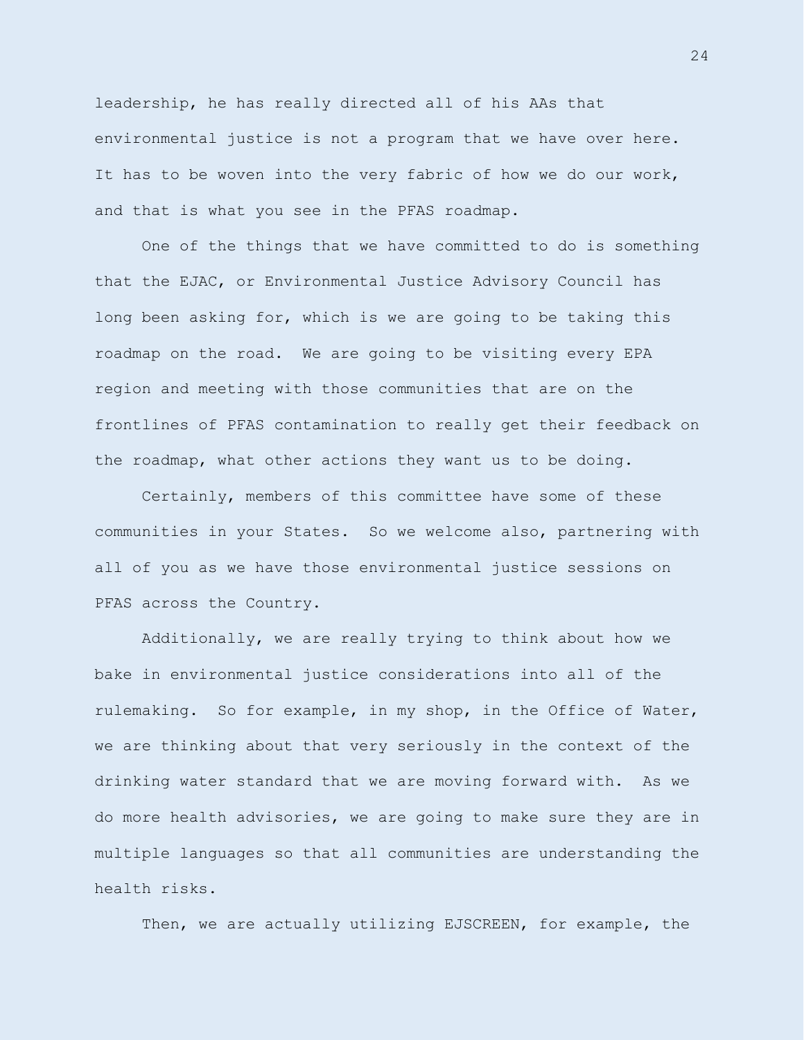leadership, he has really directed all of his AAs that environmental justice is not a program that we have over here. It has to be woven into the very fabric of how we do our work, and that is what you see in the PFAS roadmap.

One of the things that we have committed to do is something that the EJAC, or Environmental Justice Advisory Council has long been asking for, which is we are going to be taking this roadmap on the road. We are going to be visiting every EPA region and meeting with those communities that are on the frontlines of PFAS contamination to really get their feedback on the roadmap, what other actions they want us to be doing.

Certainly, members of this committee have some of these communities in your States. So we welcome also, partnering with all of you as we have those environmental justice sessions on PFAS across the Country.

Additionally, we are really trying to think about how we bake in environmental justice considerations into all of the rulemaking. So for example, in my shop, in the Office of Water, we are thinking about that very seriously in the context of the drinking water standard that we are moving forward with. As we do more health advisories, we are going to make sure they are in multiple languages so that all communities are understanding the health risks.

Then, we are actually utilizing EJSCREEN, for example, the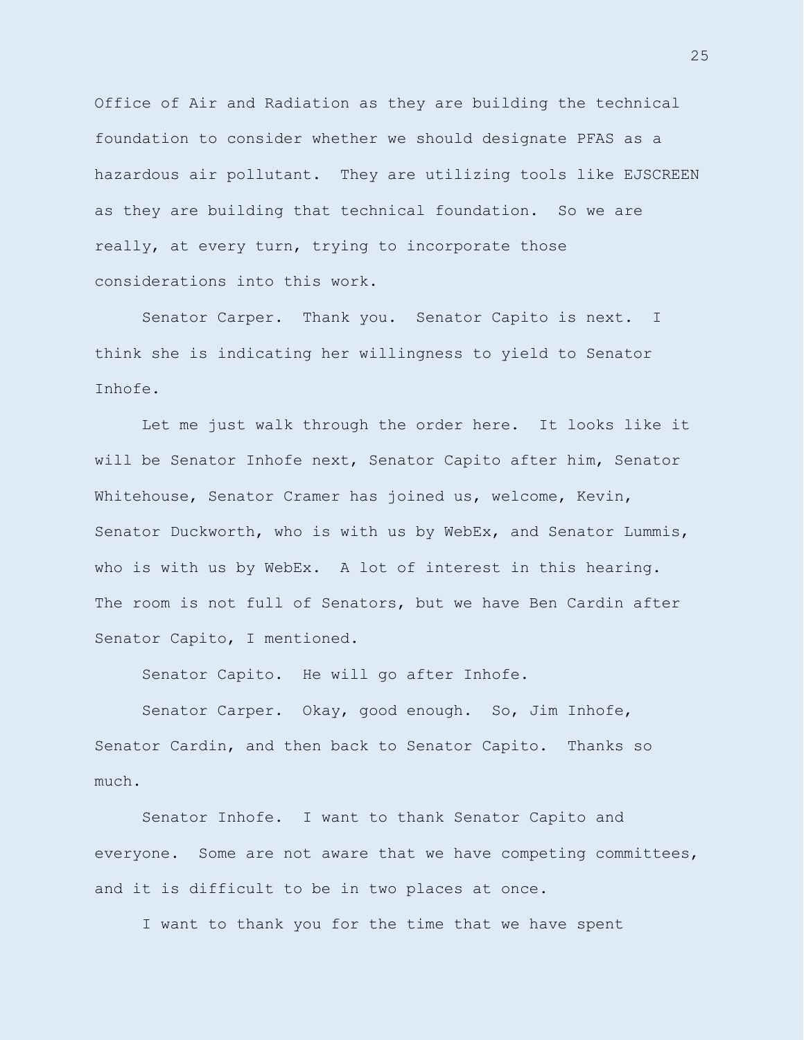Office of Air and Radiation as they are building the technical foundation to consider whether we should designate PFAS as a hazardous air pollutant. They are utilizing tools like EJSCREEN as they are building that technical foundation. So we are really, at every turn, trying to incorporate those considerations into this work.

Senator Carper. Thank you. Senator Capito is next. I think she is indicating her willingness to yield to Senator Inhofe.

Let me just walk through the order here. It looks like it will be Senator Inhofe next, Senator Capito after him, Senator Whitehouse, Senator Cramer has joined us, welcome, Kevin, Senator Duckworth, who is with us by WebEx, and Senator Lummis, who is with us by WebEx. A lot of interest in this hearing. The room is not full of Senators, but we have Ben Cardin after Senator Capito, I mentioned.

Senator Capito. He will go after Inhofe.

Senator Carper. Okay, good enough. So, Jim Inhofe, Senator Cardin, and then back to Senator Capito. Thanks so much.

Senator Inhofe. I want to thank Senator Capito and everyone. Some are not aware that we have competing committees, and it is difficult to be in two places at once.

I want to thank you for the time that we have spent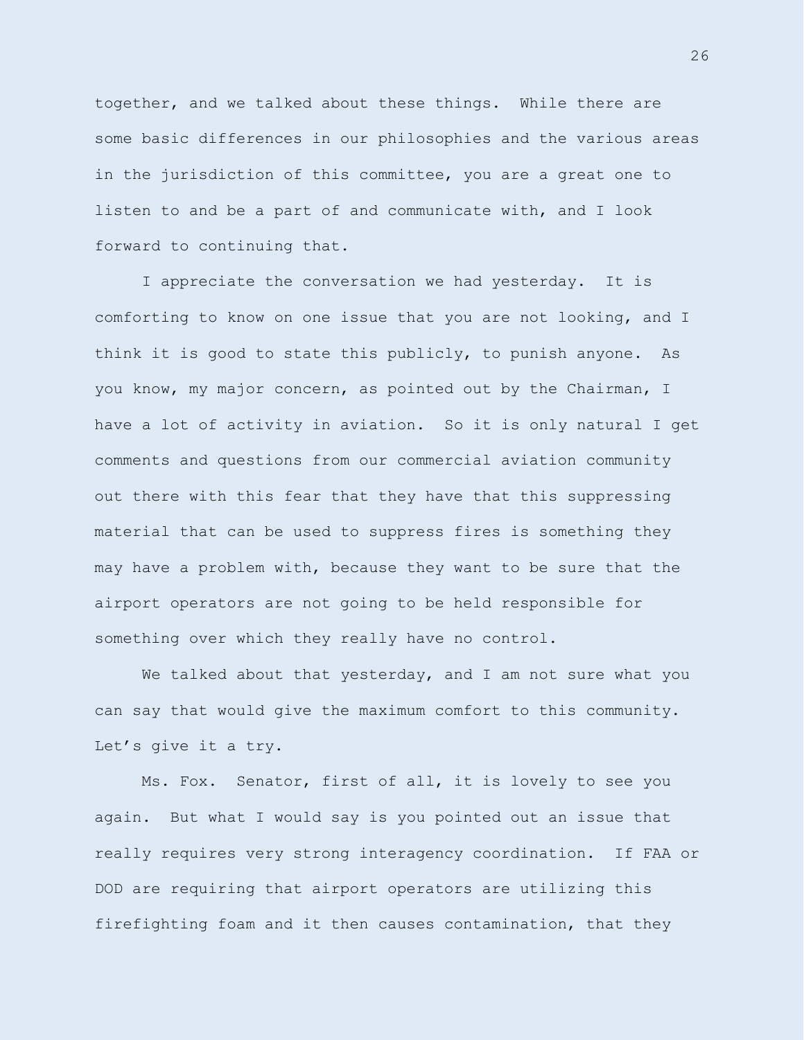together, and we talked about these things. While there are some basic differences in our philosophies and the various areas in the jurisdiction of this committee, you are a great one to listen to and be a part of and communicate with, and I look forward to continuing that.

I appreciate the conversation we had yesterday. It is comforting to know on one issue that you are not looking, and I think it is good to state this publicly, to punish anyone. As you know, my major concern, as pointed out by the Chairman, I have a lot of activity in aviation. So it is only natural I get comments and questions from our commercial aviation community out there with this fear that they have that this suppressing material that can be used to suppress fires is something they may have a problem with, because they want to be sure that the airport operators are not going to be held responsible for something over which they really have no control.

We talked about that yesterday, and I am not sure what you can say that would give the maximum comfort to this community. Let's give it a try.

Ms. Fox. Senator, first of all, it is lovely to see you again. But what I would say is you pointed out an issue that really requires very strong interagency coordination. If FAA or DOD are requiring that airport operators are utilizing this firefighting foam and it then causes contamination, that they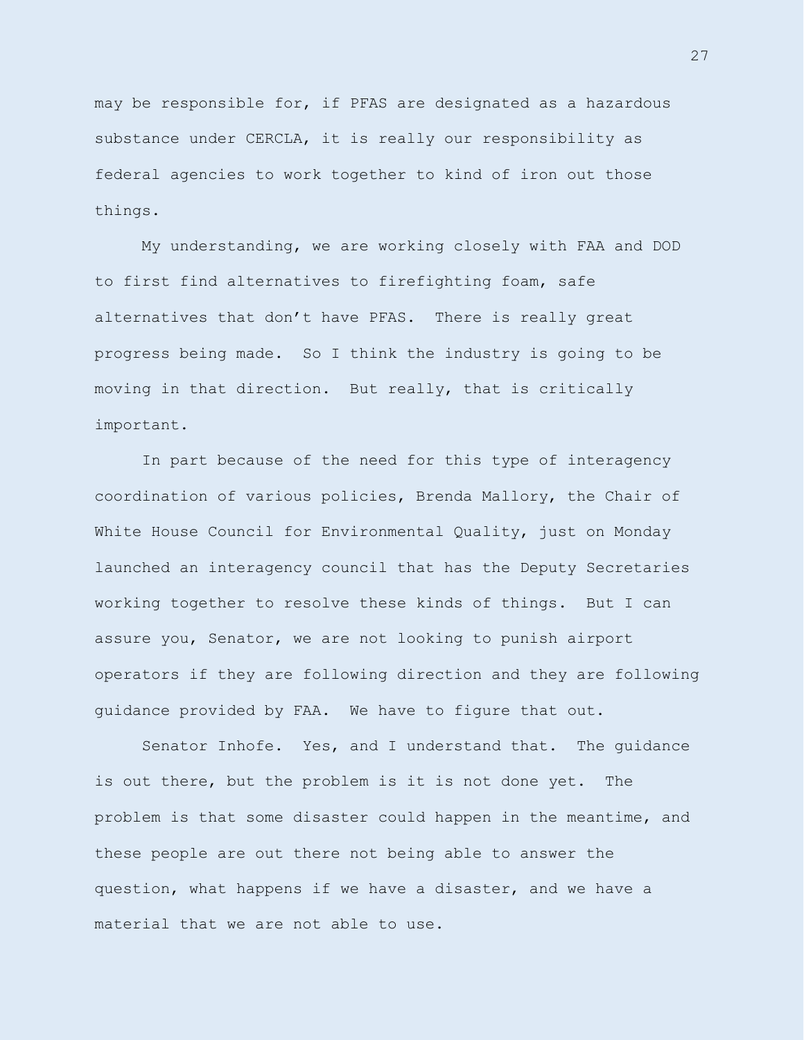may be responsible for, if PFAS are designated as a hazardous substance under CERCLA, it is really our responsibility as federal agencies to work together to kind of iron out those things.

My understanding, we are working closely with FAA and DOD to first find alternatives to firefighting foam, safe alternatives that don't have PFAS. There is really great progress being made. So I think the industry is going to be moving in that direction. But really, that is critically important.

In part because of the need for this type of interagency coordination of various policies, Brenda Mallory, the Chair of White House Council for Environmental Quality, just on Monday launched an interagency council that has the Deputy Secretaries working together to resolve these kinds of things. But I can assure you, Senator, we are not looking to punish airport operators if they are following direction and they are following guidance provided by FAA. We have to figure that out.

Senator Inhofe. Yes, and I understand that. The guidance is out there, but the problem is it is not done yet. The problem is that some disaster could happen in the meantime, and these people are out there not being able to answer the question, what happens if we have a disaster, and we have a material that we are not able to use.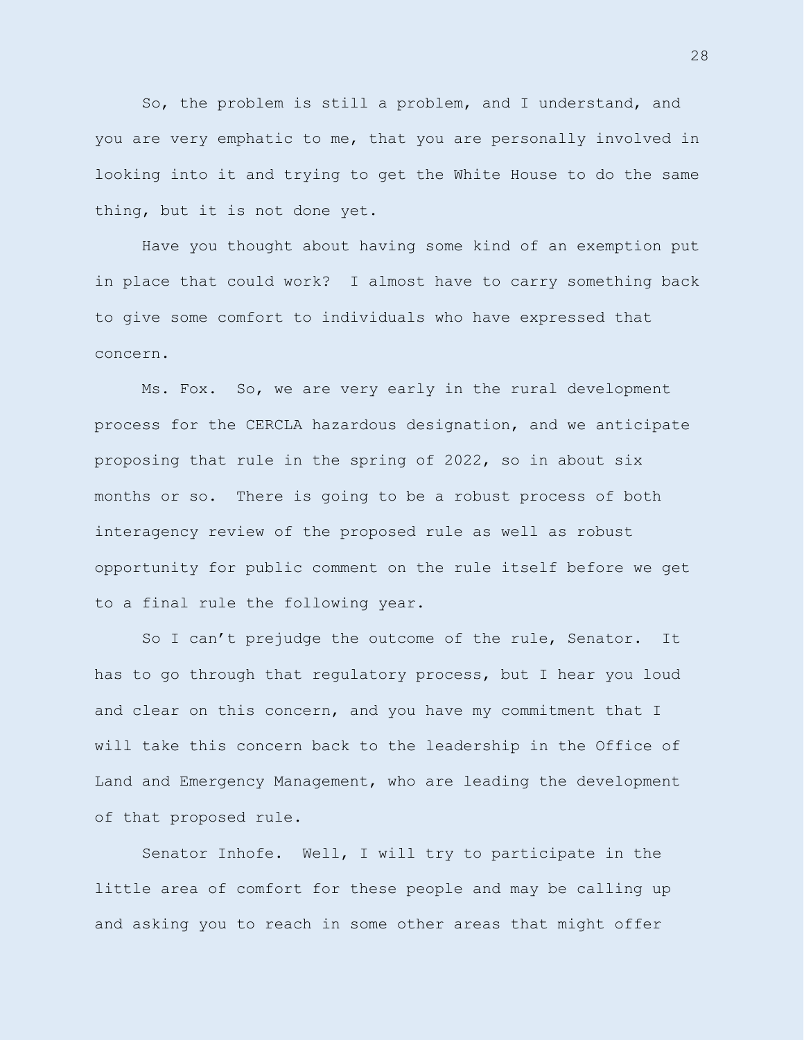So, the problem is still a problem, and I understand, and you are very emphatic to me, that you are personally involved in looking into it and trying to get the White House to do the same thing, but it is not done yet.

Have you thought about having some kind of an exemption put in place that could work? I almost have to carry something back to give some comfort to individuals who have expressed that concern.

Ms. Fox. So, we are very early in the rural development process for the CERCLA hazardous designation, and we anticipate proposing that rule in the spring of 2022, so in about six months or so. There is going to be a robust process of both interagency review of the proposed rule as well as robust opportunity for public comment on the rule itself before we get to a final rule the following year.

So I can't prejudge the outcome of the rule, Senator. It has to go through that regulatory process, but I hear you loud and clear on this concern, and you have my commitment that I will take this concern back to the leadership in the Office of Land and Emergency Management, who are leading the development of that proposed rule.

Senator Inhofe. Well, I will try to participate in the little area of comfort for these people and may be calling up and asking you to reach in some other areas that might offer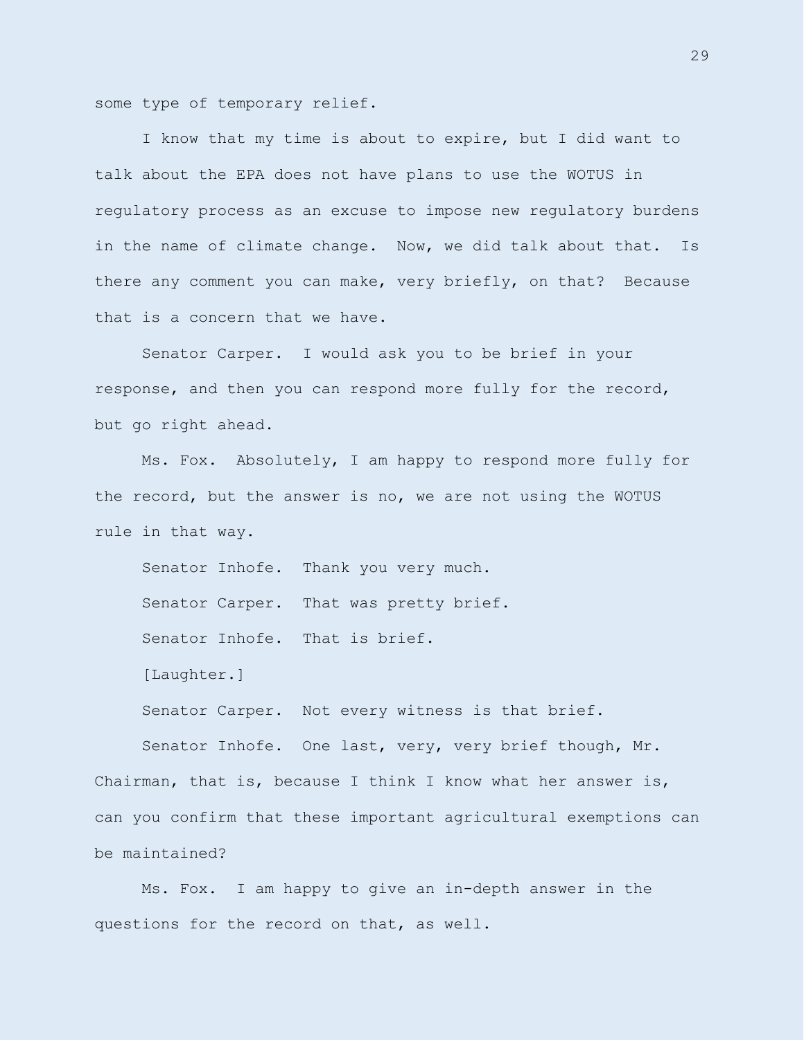some type of temporary relief.

I know that my time is about to expire, but I did want to talk about the EPA does not have plans to use the WOTUS in regulatory process as an excuse to impose new regulatory burdens in the name of climate change. Now, we did talk about that. Is there any comment you can make, very briefly, on that? Because that is a concern that we have.

Senator Carper. I would ask you to be brief in your response, and then you can respond more fully for the record, but go right ahead.

Ms. Fox. Absolutely, I am happy to respond more fully for the record, but the answer is no, we are not using the WOTUS rule in that way.

Senator Inhofe. Thank you very much. Senator Carper. That was pretty brief. Senator Inhofe. That is brief. [Laughter.]

Senator Carper. Not every witness is that brief.

Senator Inhofe. One last, very, very brief though, Mr. Chairman, that is, because I think I know what her answer is, can you confirm that these important agricultural exemptions can be maintained?

Ms. Fox. I am happy to give an in-depth answer in the questions for the record on that, as well.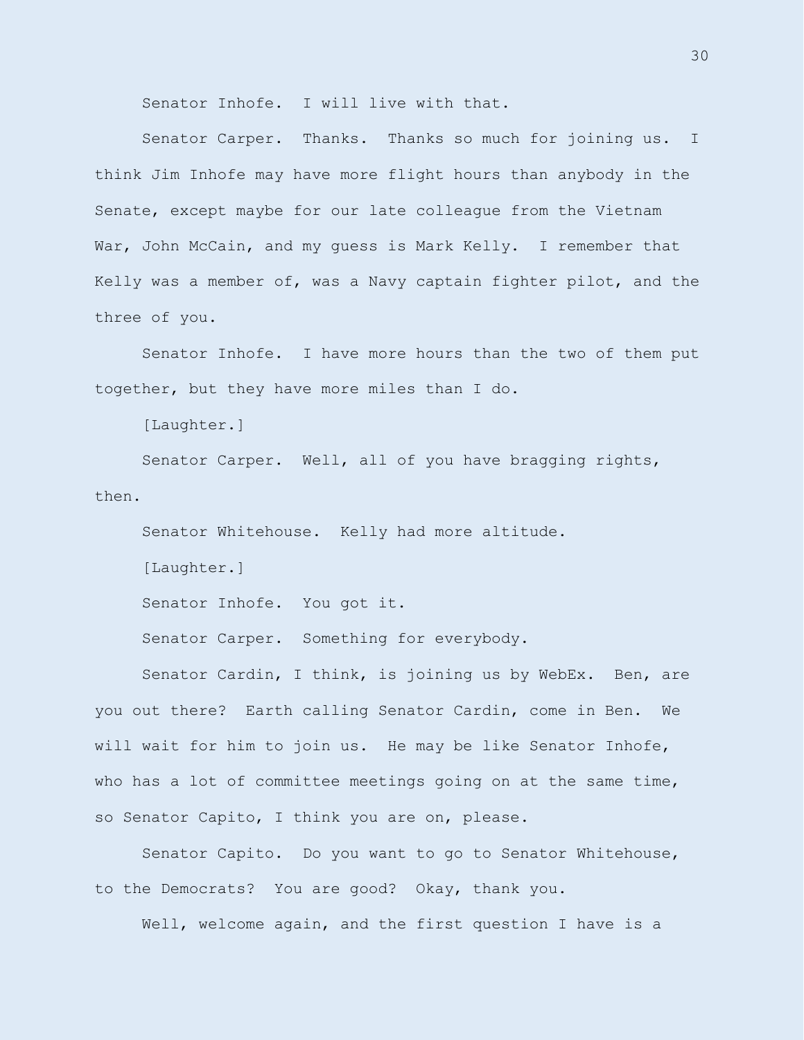Senator Inhofe. I will live with that.

Senator Carper. Thanks. Thanks so much for joining us. I think Jim Inhofe may have more flight hours than anybody in the Senate, except maybe for our late colleague from the Vietnam War, John McCain, and my quess is Mark Kelly. I remember that Kelly was a member of, was a Navy captain fighter pilot, and the three of you.

Senator Inhofe. I have more hours than the two of them put together, but they have more miles than I do.

[Laughter.]

Senator Carper. Well, all of you have bragging rights, then.

Senator Whitehouse. Kelly had more altitude.

[Laughter.]

Senator Inhofe. You got it.

Senator Carper. Something for everybody.

Senator Cardin, I think, is joining us by WebEx. Ben, are you out there? Earth calling Senator Cardin, come in Ben. We will wait for him to join us. He may be like Senator Inhofe, who has a lot of committee meetings going on at the same time, so Senator Capito, I think you are on, please.

Senator Capito. Do you want to go to Senator Whitehouse, to the Democrats? You are good? Okay, thank you.

Well, welcome again, and the first question I have is a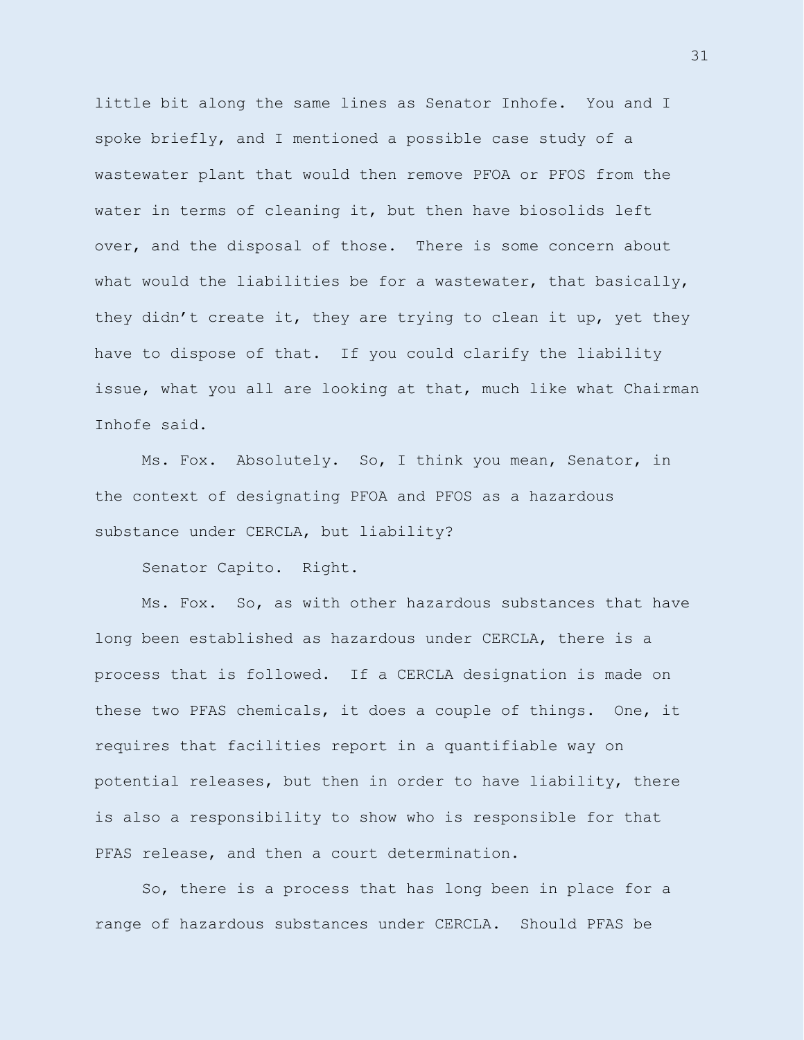little bit along the same lines as Senator Inhofe. You and I spoke briefly, and I mentioned a possible case study of a wastewater plant that would then remove PFOA or PFOS from the water in terms of cleaning it, but then have biosolids left over, and the disposal of those. There is some concern about what would the liabilities be for a wastewater, that basically, they didn't create it, they are trying to clean it up, yet they have to dispose of that. If you could clarify the liability issue, what you all are looking at that, much like what Chairman Inhofe said.

Ms. Fox. Absolutely. So, I think you mean, Senator, in the context of designating PFOA and PFOS as a hazardous substance under CERCLA, but liability?

Senator Capito. Right.

Ms. Fox. So, as with other hazardous substances that have long been established as hazardous under CERCLA, there is a process that is followed. If a CERCLA designation is made on these two PFAS chemicals, it does a couple of things. One, it requires that facilities report in a quantifiable way on potential releases, but then in order to have liability, there is also a responsibility to show who is responsible for that PFAS release, and then a court determination.

So, there is a process that has long been in place for a range of hazardous substances under CERCLA. Should PFAS be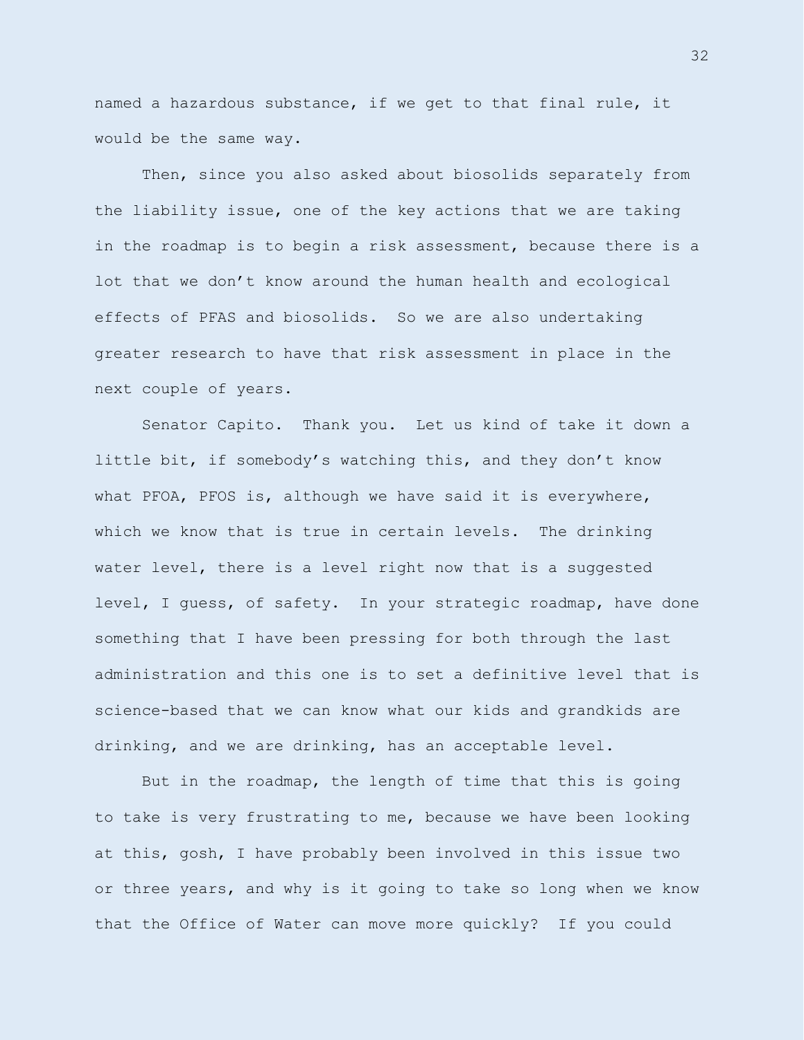named a hazardous substance, if we get to that final rule, it would be the same way.

Then, since you also asked about biosolids separately from the liability issue, one of the key actions that we are taking in the roadmap is to begin a risk assessment, because there is a lot that we don't know around the human health and ecological effects of PFAS and biosolids. So we are also undertaking greater research to have that risk assessment in place in the next couple of years.

Senator Capito. Thank you. Let us kind of take it down a little bit, if somebody's watching this, and they don't know what PFOA, PFOS is, although we have said it is everywhere, which we know that is true in certain levels. The drinking water level, there is a level right now that is a suggested level, I guess, of safety. In your strategic roadmap, have done something that I have been pressing for both through the last administration and this one is to set a definitive level that is science-based that we can know what our kids and grandkids are drinking, and we are drinking, has an acceptable level.

But in the roadmap, the length of time that this is going to take is very frustrating to me, because we have been looking at this, gosh, I have probably been involved in this issue two or three years, and why is it going to take so long when we know that the Office of Water can move more quickly? If you could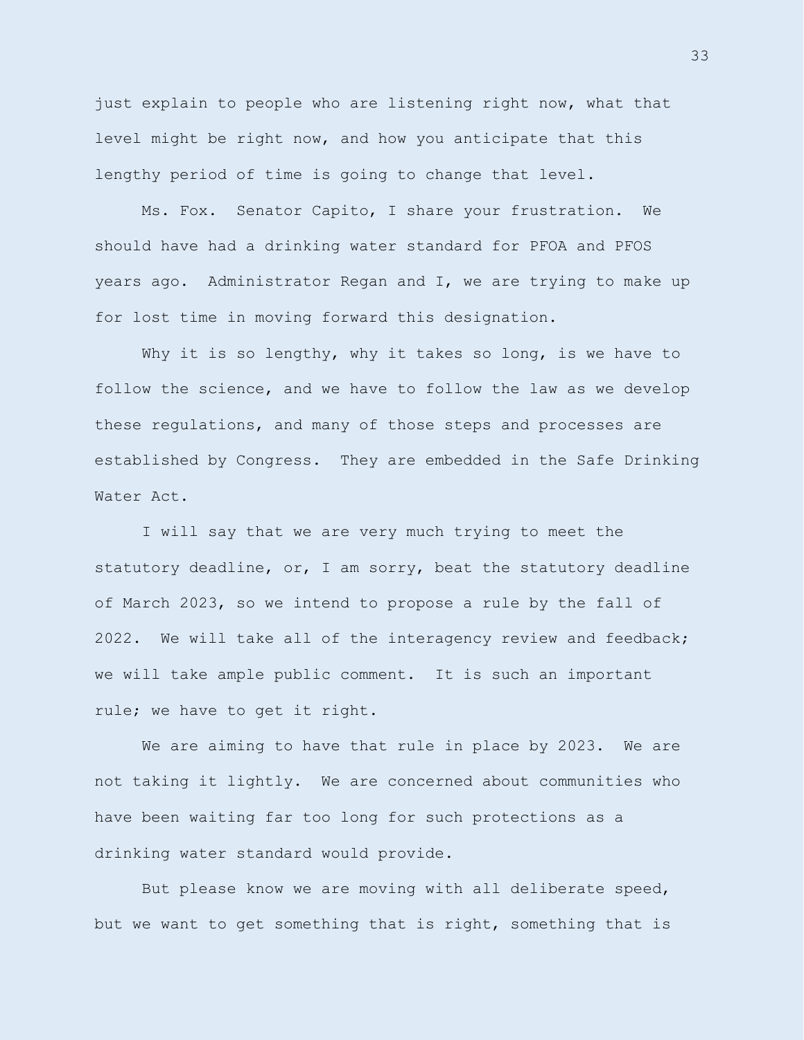just explain to people who are listening right now, what that level might be right now, and how you anticipate that this lengthy period of time is going to change that level.

Ms. Fox. Senator Capito, I share your frustration. We should have had a drinking water standard for PFOA and PFOS years ago. Administrator Regan and I, we are trying to make up for lost time in moving forward this designation.

Why it is so lengthy, why it takes so long, is we have to follow the science, and we have to follow the law as we develop these regulations, and many of those steps and processes are established by Congress. They are embedded in the Safe Drinking Water Act.

I will say that we are very much trying to meet the statutory deadline, or, I am sorry, beat the statutory deadline of March 2023, so we intend to propose a rule by the fall of 2022. We will take all of the interagency review and feedback; we will take ample public comment. It is such an important rule; we have to get it right.

We are aiming to have that rule in place by 2023. We are not taking it lightly. We are concerned about communities who have been waiting far too long for such protections as a drinking water standard would provide.

But please know we are moving with all deliberate speed, but we want to get something that is right, something that is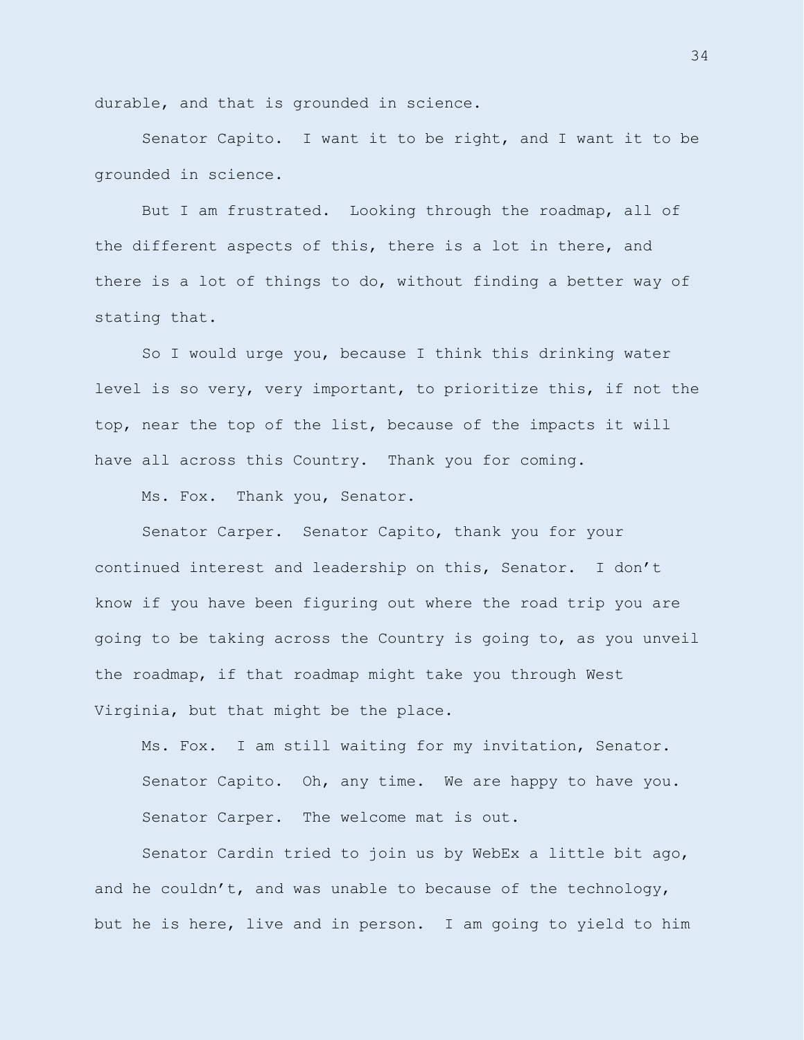durable, and that is grounded in science.

Senator Capito. I want it to be right, and I want it to be grounded in science.

But I am frustrated. Looking through the roadmap, all of the different aspects of this, there is a lot in there, and there is a lot of things to do, without finding a better way of stating that.

So I would urge you, because I think this drinking water level is so very, very important, to prioritize this, if not the top, near the top of the list, because of the impacts it will have all across this Country. Thank you for coming.

Ms. Fox. Thank you, Senator.

Senator Carper. Senator Capito, thank you for your continued interest and leadership on this, Senator. I don't know if you have been figuring out where the road trip you are going to be taking across the Country is going to, as you unveil the roadmap, if that roadmap might take you through West Virginia, but that might be the place.

Ms. Fox. I am still waiting for my invitation, Senator. Senator Capito. Oh, any time. We are happy to have you. Senator Carper. The welcome mat is out.

Senator Cardin tried to join us by WebEx a little bit ago, and he couldn't, and was unable to because of the technology, but he is here, live and in person. I am going to yield to him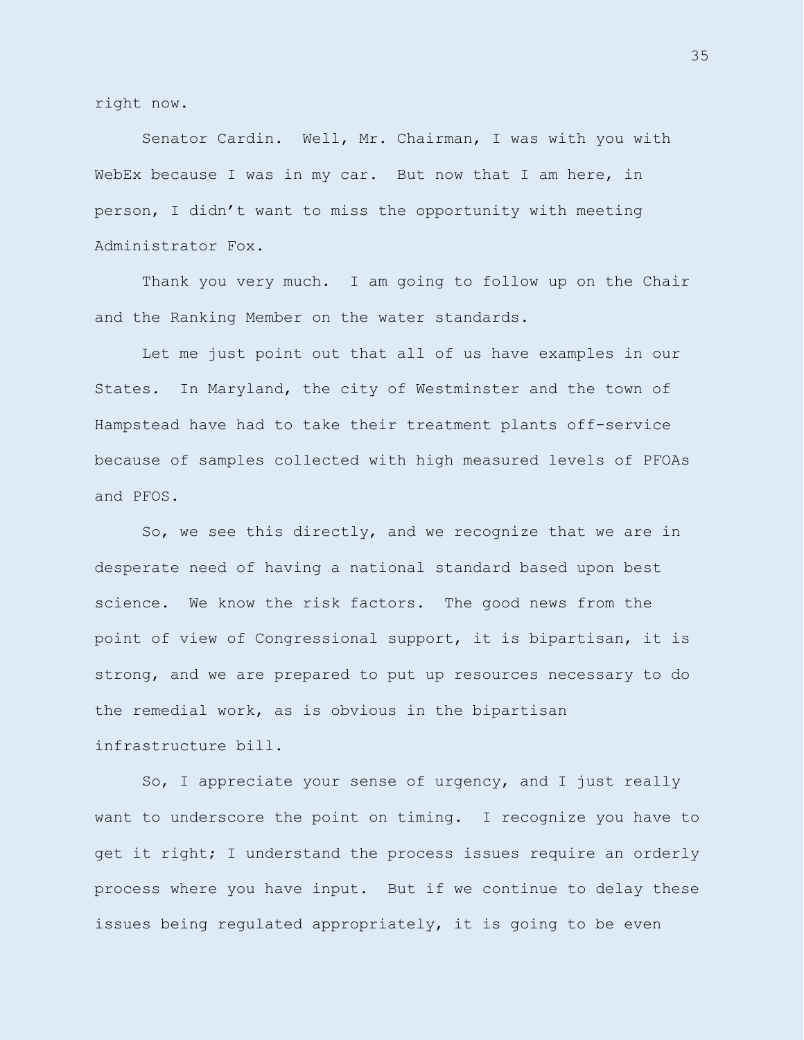right now.

Senator Cardin. Well, Mr. Chairman, I was with you with WebEx because I was in my car. But now that I am here, in person, I didn't want to miss the opportunity with meeting Administrator Fox.

Thank you very much. I am going to follow up on the Chair and the Ranking Member on the water standards.

Let me just point out that all of us have examples in our States. In Maryland, the city of Westminster and the town of Hampstead have had to take their treatment plants off-service because of samples collected with high measured levels of PFOAs and PFOS.

So, we see this directly, and we recognize that we are in desperate need of having a national standard based upon best science. We know the risk factors. The good news from the point of view of Congressional support, it is bipartisan, it is strong, and we are prepared to put up resources necessary to do the remedial work, as is obvious in the bipartisan infrastructure bill.

So, I appreciate your sense of urgency, and I just really want to underscore the point on timing. I recognize you have to get it right; I understand the process issues require an orderly process where you have input. But if we continue to delay these issues being regulated appropriately, it is going to be even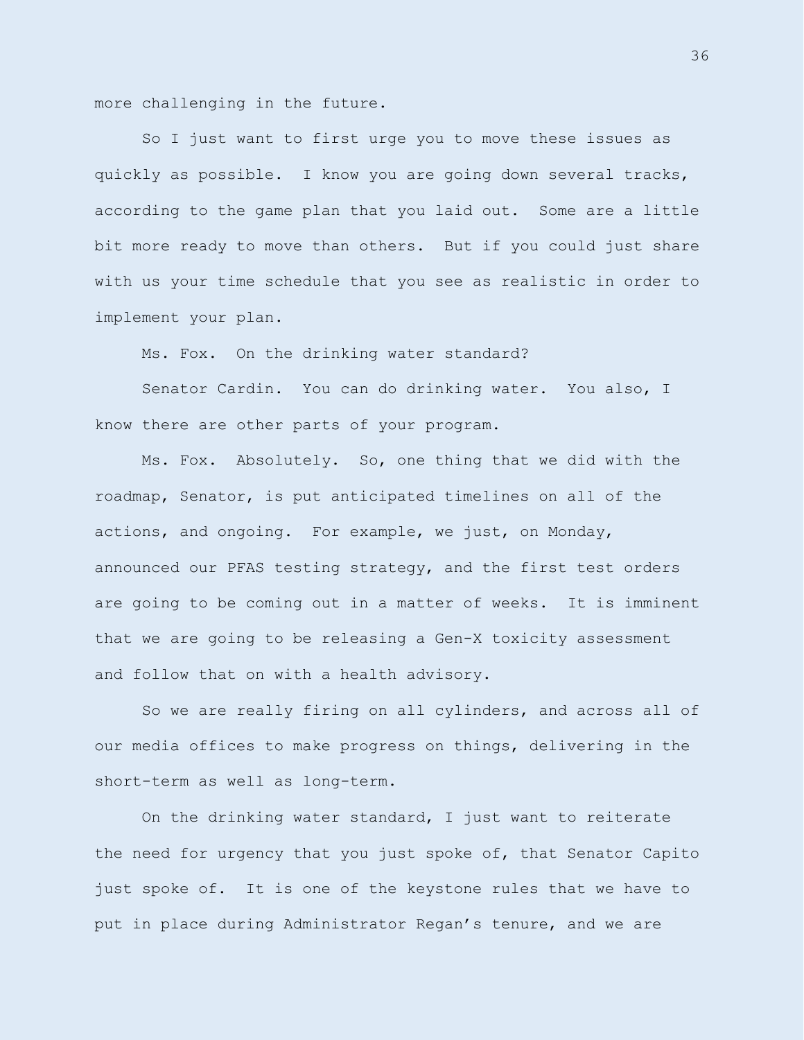more challenging in the future.

So I just want to first urge you to move these issues as quickly as possible. I know you are going down several tracks, according to the game plan that you laid out. Some are a little bit more ready to move than others. But if you could just share with us your time schedule that you see as realistic in order to implement your plan.

Ms. Fox. On the drinking water standard?

Senator Cardin. You can do drinking water. You also, I know there are other parts of your program.

Ms. Fox. Absolutely. So, one thing that we did with the roadmap, Senator, is put anticipated timelines on all of the actions, and ongoing. For example, we just, on Monday, announced our PFAS testing strategy, and the first test orders are going to be coming out in a matter of weeks. It is imminent that we are going to be releasing a Gen-X toxicity assessment and follow that on with a health advisory.

So we are really firing on all cylinders, and across all of our media offices to make progress on things, delivering in the short-term as well as long-term.

On the drinking water standard, I just want to reiterate the need for urgency that you just spoke of, that Senator Capito just spoke of. It is one of the keystone rules that we have to put in place during Administrator Regan's tenure, and we are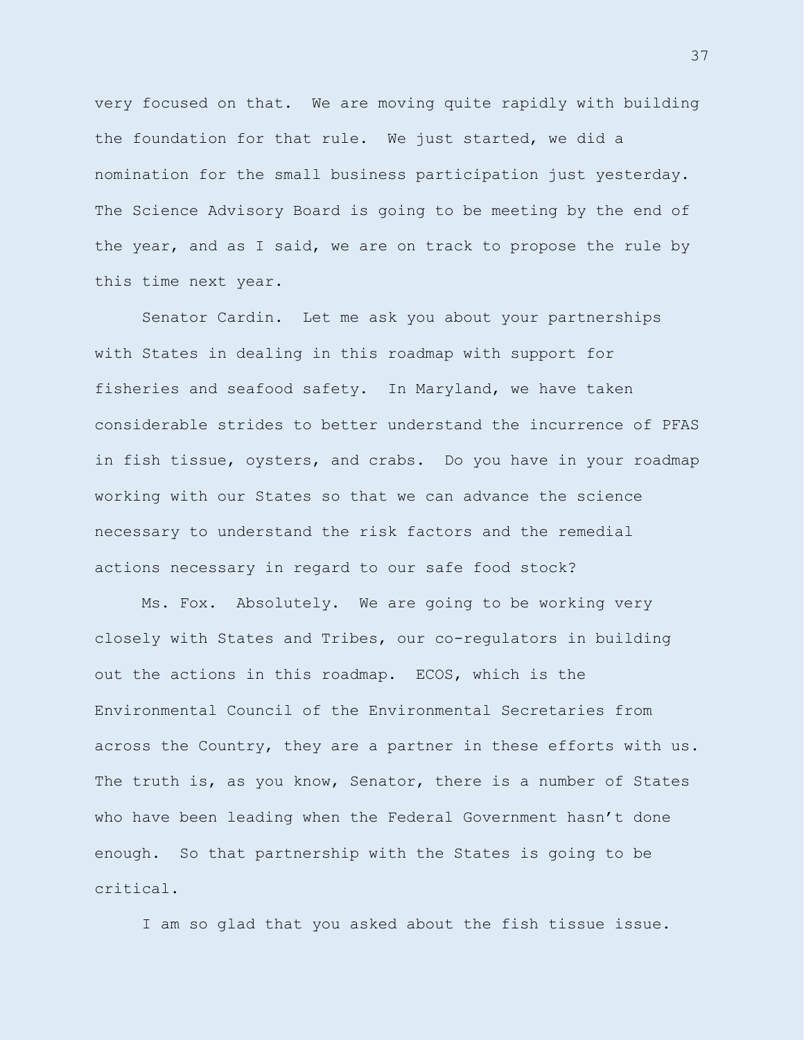very focused on that. We are moving quite rapidly with building the foundation for that rule. We just started, we did a nomination for the small business participation just yesterday. The Science Advisory Board is going to be meeting by the end of the year, and as I said, we are on track to propose the rule by this time next year.

Senator Cardin. Let me ask you about your partnerships with States in dealing in this roadmap with support for fisheries and seafood safety. In Maryland, we have taken considerable strides to better understand the incurrence of PFAS in fish tissue, oysters, and crabs. Do you have in your roadmap working with our States so that we can advance the science necessary to understand the risk factors and the remedial actions necessary in regard to our safe food stock?

Ms. Fox. Absolutely. We are going to be working very closely with States and Tribes, our co-regulators in building out the actions in this roadmap. ECOS, which is the Environmental Council of the Environmental Secretaries from across the Country, they are a partner in these efforts with us. The truth is, as you know, Senator, there is a number of States who have been leading when the Federal Government hasn't done enough. So that partnership with the States is going to be critical.

I am so glad that you asked about the fish tissue issue.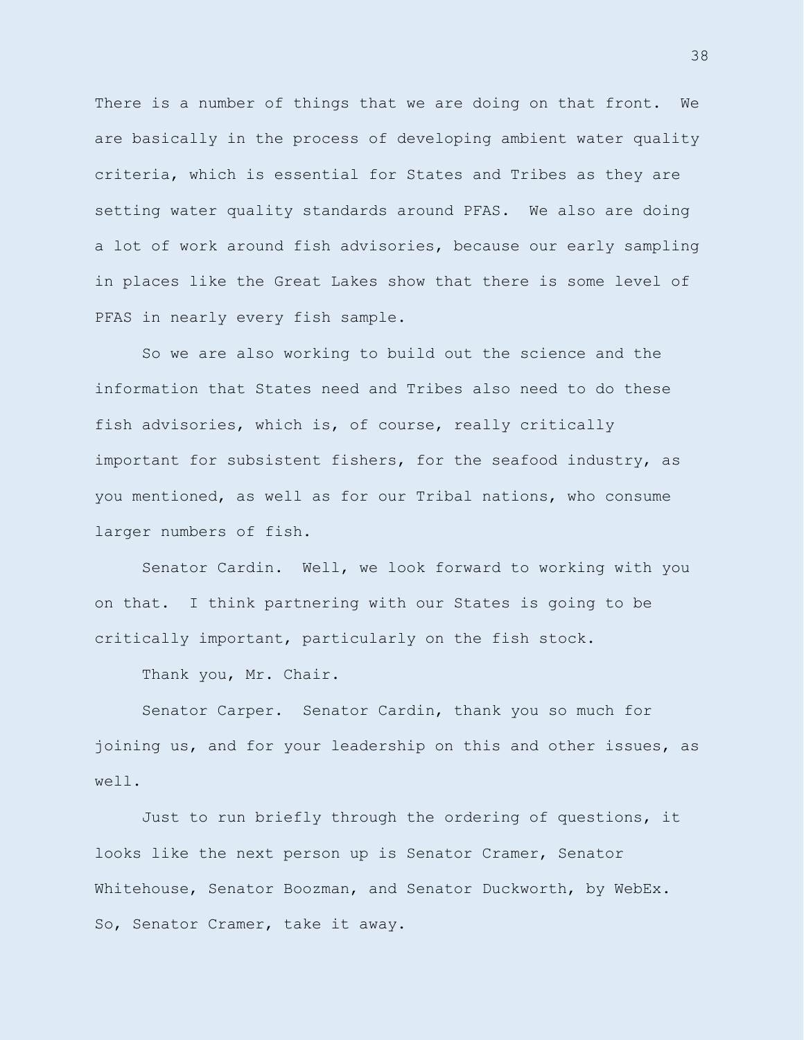There is a number of things that we are doing on that front. We are basically in the process of developing ambient water quality criteria, which is essential for States and Tribes as they are setting water quality standards around PFAS. We also are doing a lot of work around fish advisories, because our early sampling in places like the Great Lakes show that there is some level of PFAS in nearly every fish sample.

So we are also working to build out the science and the information that States need and Tribes also need to do these fish advisories, which is, of course, really critically important for subsistent fishers, for the seafood industry, as you mentioned, as well as for our Tribal nations, who consume larger numbers of fish.

Senator Cardin. Well, we look forward to working with you on that. I think partnering with our States is going to be critically important, particularly on the fish stock.

Thank you, Mr. Chair.

Senator Carper. Senator Cardin, thank you so much for joining us, and for your leadership on this and other issues, as well.

Just to run briefly through the ordering of questions, it looks like the next person up is Senator Cramer, Senator Whitehouse, Senator Boozman, and Senator Duckworth, by WebEx. So, Senator Cramer, take it away.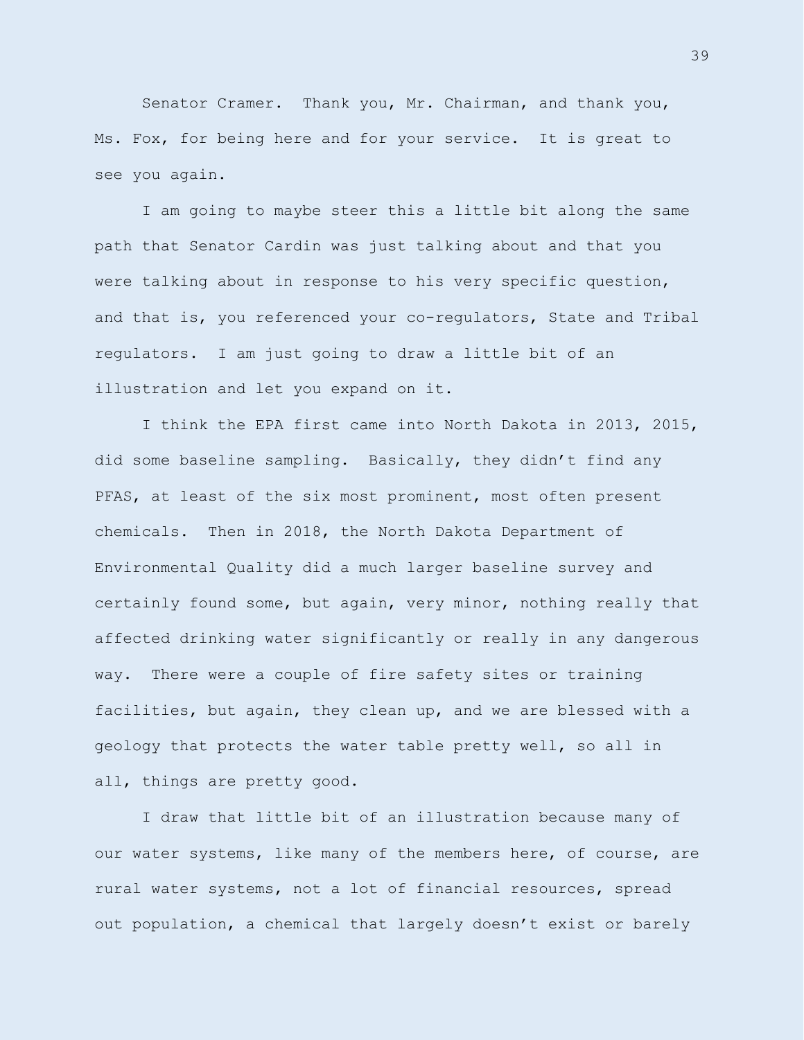Senator Cramer. Thank you, Mr. Chairman, and thank you, Ms. Fox, for being here and for your service. It is great to see you again.

I am going to maybe steer this a little bit along the same path that Senator Cardin was just talking about and that you were talking about in response to his very specific question, and that is, you referenced your co-regulators, State and Tribal regulators. I am just going to draw a little bit of an illustration and let you expand on it.

I think the EPA first came into North Dakota in 2013, 2015, did some baseline sampling. Basically, they didn't find any PFAS, at least of the six most prominent, most often present chemicals. Then in 2018, the North Dakota Department of Environmental Quality did a much larger baseline survey and certainly found some, but again, very minor, nothing really that affected drinking water significantly or really in any dangerous way. There were a couple of fire safety sites or training facilities, but again, they clean up, and we are blessed with a geology that protects the water table pretty well, so all in all, things are pretty good.

I draw that little bit of an illustration because many of our water systems, like many of the members here, of course, are rural water systems, not a lot of financial resources, spread out population, a chemical that largely doesn't exist or barely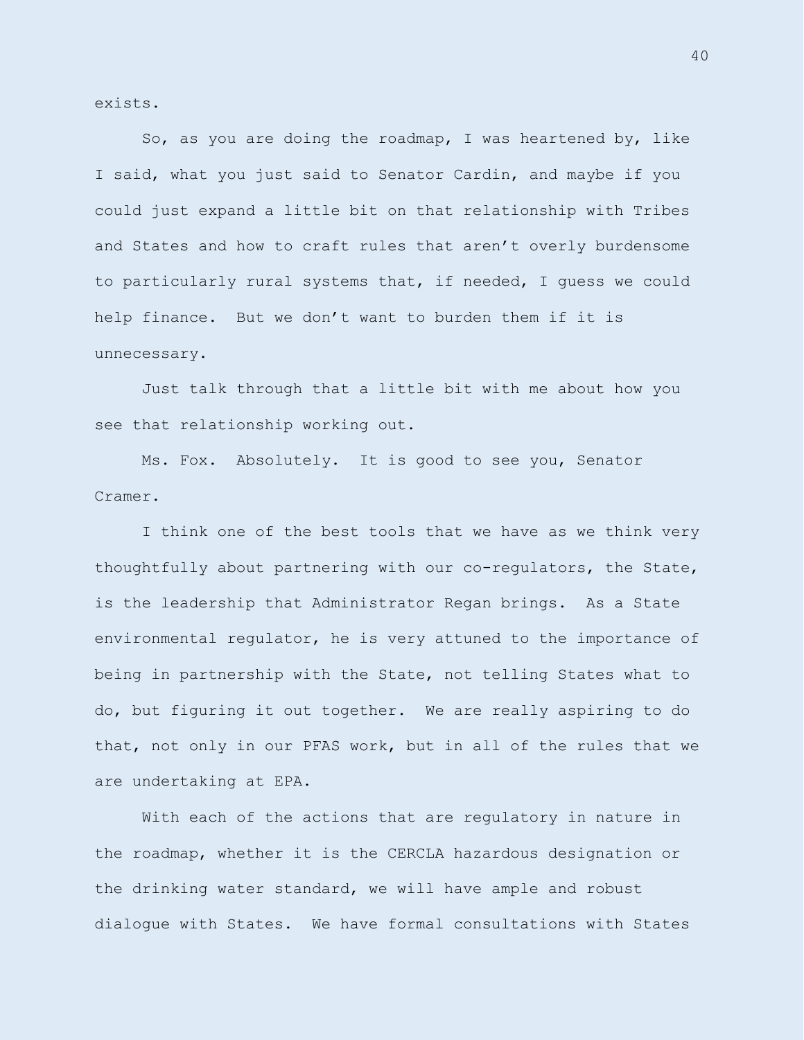exists.

So, as you are doing the roadmap, I was heartened by, like I said, what you just said to Senator Cardin, and maybe if you could just expand a little bit on that relationship with Tribes and States and how to craft rules that aren't overly burdensome to particularly rural systems that, if needed, I guess we could help finance. But we don't want to burden them if it is unnecessary.

Just talk through that a little bit with me about how you see that relationship working out.

Ms. Fox. Absolutely. It is good to see you, Senator Cramer.

I think one of the best tools that we have as we think very thoughtfully about partnering with our co-regulators, the State, is the leadership that Administrator Regan brings. As a State environmental regulator, he is very attuned to the importance of being in partnership with the State, not telling States what to do, but figuring it out together. We are really aspiring to do that, not only in our PFAS work, but in all of the rules that we are undertaking at EPA.

With each of the actions that are regulatory in nature in the roadmap, whether it is the CERCLA hazardous designation or the drinking water standard, we will have ample and robust dialogue with States. We have formal consultations with States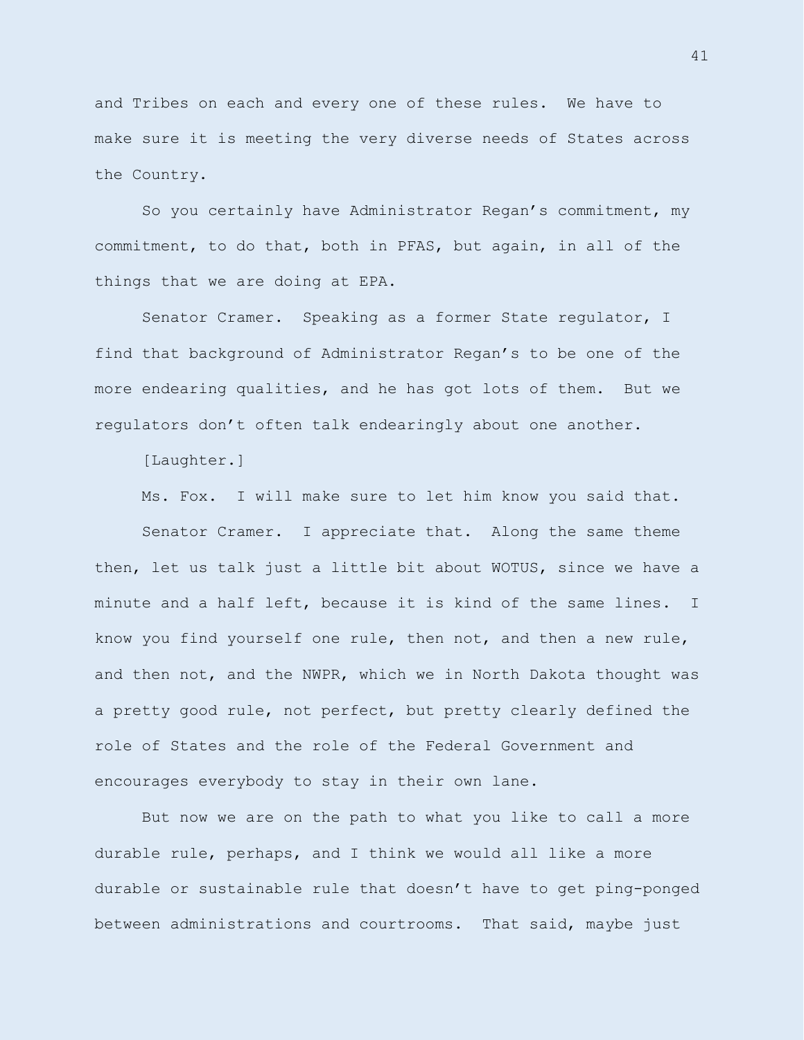and Tribes on each and every one of these rules. We have to make sure it is meeting the very diverse needs of States across the Country.

So you certainly have Administrator Regan's commitment, my commitment, to do that, both in PFAS, but again, in all of the things that we are doing at EPA.

Senator Cramer. Speaking as a former State regulator, I find that background of Administrator Regan's to be one of the more endearing qualities, and he has got lots of them. But we regulators don't often talk endearingly about one another.

[Laughter.]

Ms. Fox. I will make sure to let him know you said that.

Senator Cramer. I appreciate that. Along the same theme then, let us talk just a little bit about WOTUS, since we have a minute and a half left, because it is kind of the same lines. I know you find yourself one rule, then not, and then a new rule, and then not, and the NWPR, which we in North Dakota thought was a pretty good rule, not perfect, but pretty clearly defined the role of States and the role of the Federal Government and encourages everybody to stay in their own lane.

But now we are on the path to what you like to call a more durable rule, perhaps, and I think we would all like a more durable or sustainable rule that doesn't have to get ping-ponged between administrations and courtrooms. That said, maybe just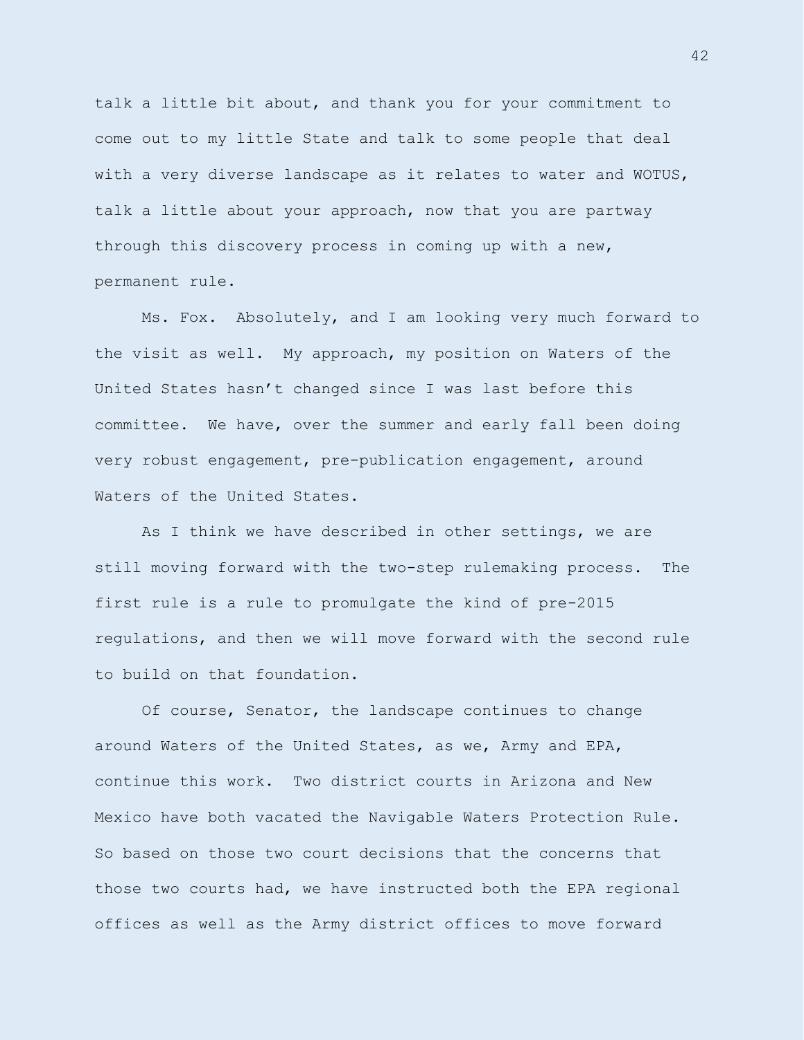talk a little bit about, and thank you for your commitment to come out to my little State and talk to some people that deal with a very diverse landscape as it relates to water and WOTUS, talk a little about your approach, now that you are partway through this discovery process in coming up with a new, permanent rule.

Ms. Fox. Absolutely, and I am looking very much forward to the visit as well. My approach, my position on Waters of the United States hasn't changed since I was last before this committee. We have, over the summer and early fall been doing very robust engagement, pre-publication engagement, around Waters of the United States.

As I think we have described in other settings, we are still moving forward with the two-step rulemaking process. The first rule is a rule to promulgate the kind of pre-2015 regulations, and then we will move forward with the second rule to build on that foundation.

Of course, Senator, the landscape continues to change around Waters of the United States, as we, Army and EPA, continue this work. Two district courts in Arizona and New Mexico have both vacated the Navigable Waters Protection Rule. So based on those two court decisions that the concerns that those two courts had, we have instructed both the EPA regional offices as well as the Army district offices to move forward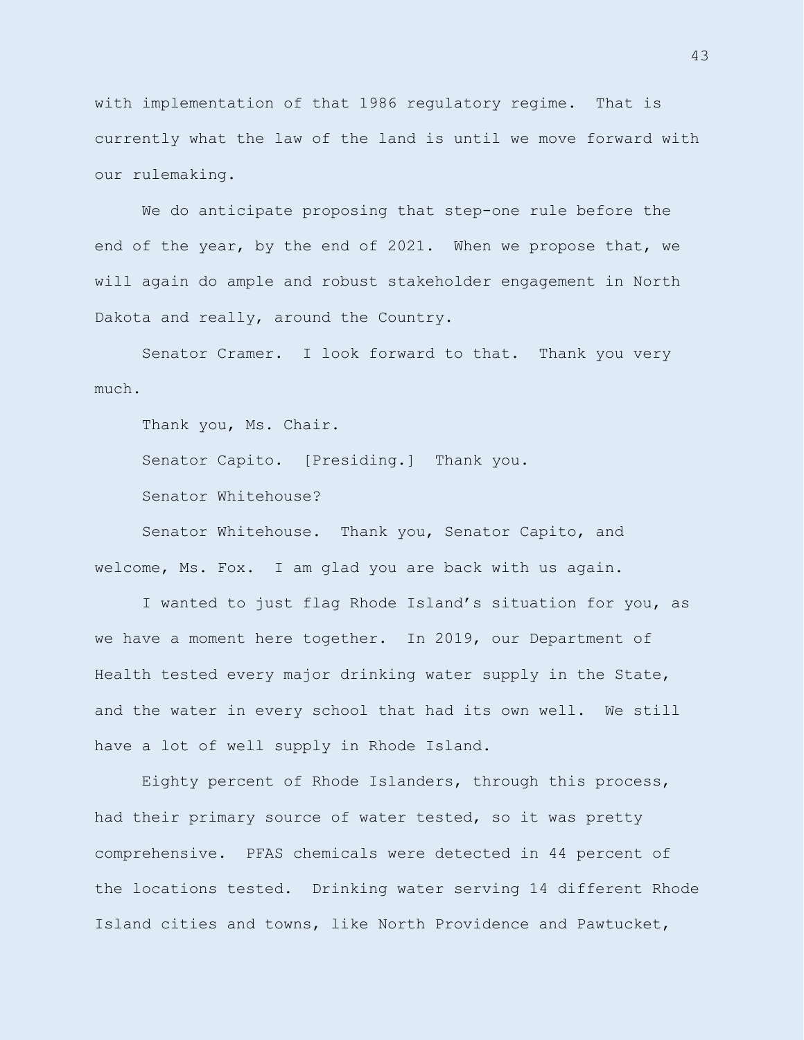with implementation of that 1986 regulatory regime. That is currently what the law of the land is until we move forward with our rulemaking.

We do anticipate proposing that step-one rule before the end of the year, by the end of 2021. When we propose that, we will again do ample and robust stakeholder engagement in North Dakota and really, around the Country.

Senator Cramer. I look forward to that. Thank you very much.

Thank you, Ms. Chair.

Senator Capito. [Presiding.] Thank you.

Senator Whitehouse?

Senator Whitehouse. Thank you, Senator Capito, and welcome, Ms. Fox. I am glad you are back with us again.

I wanted to just flag Rhode Island's situation for you, as we have a moment here together. In 2019, our Department of Health tested every major drinking water supply in the State, and the water in every school that had its own well. We still have a lot of well supply in Rhode Island.

Eighty percent of Rhode Islanders, through this process, had their primary source of water tested, so it was pretty comprehensive. PFAS chemicals were detected in 44 percent of the locations tested. Drinking water serving 14 different Rhode Island cities and towns, like North Providence and Pawtucket,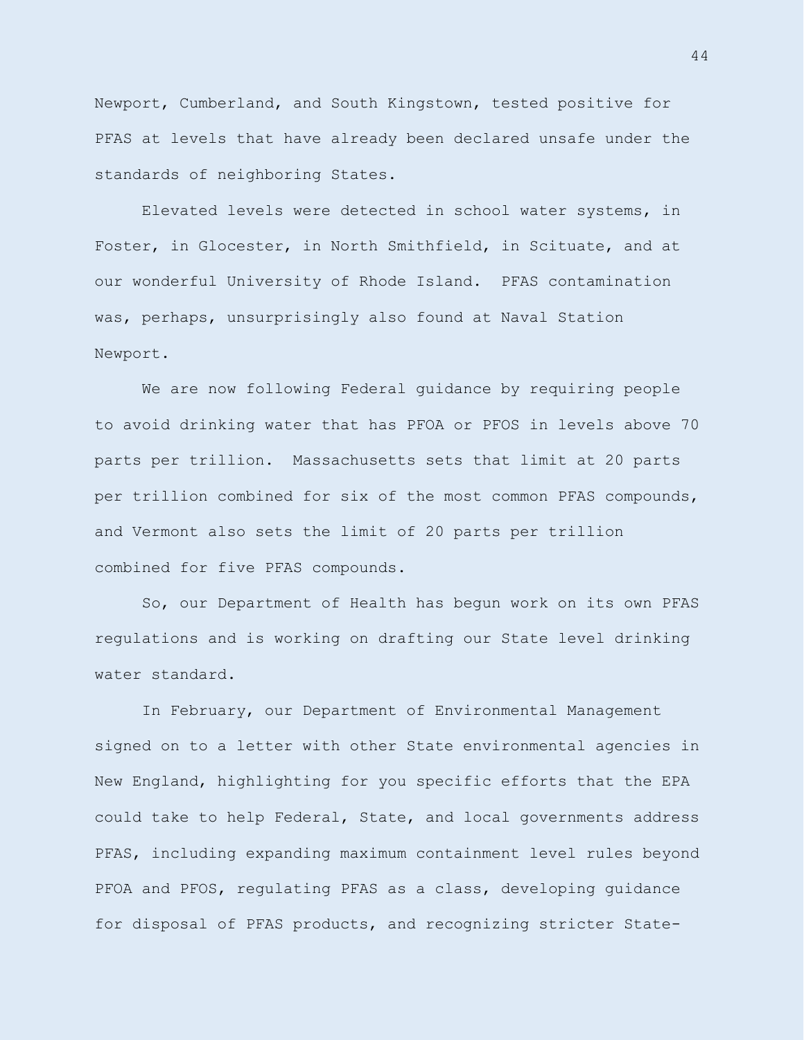Newport, Cumberland, and South Kingstown, tested positive for PFAS at levels that have already been declared unsafe under the standards of neighboring States.

Elevated levels were detected in school water systems, in Foster, in Glocester, in North Smithfield, in Scituate, and at our wonderful University of Rhode Island. PFAS contamination was, perhaps, unsurprisingly also found at Naval Station Newport.

We are now following Federal guidance by requiring people to avoid drinking water that has PFOA or PFOS in levels above 70 parts per trillion. Massachusetts sets that limit at 20 parts per trillion combined for six of the most common PFAS compounds, and Vermont also sets the limit of 20 parts per trillion combined for five PFAS compounds.

So, our Department of Health has begun work on its own PFAS regulations and is working on drafting our State level drinking water standard.

In February, our Department of Environmental Management signed on to a letter with other State environmental agencies in New England, highlighting for you specific efforts that the EPA could take to help Federal, State, and local governments address PFAS, including expanding maximum containment level rules beyond PFOA and PFOS, regulating PFAS as a class, developing guidance for disposal of PFAS products, and recognizing stricter State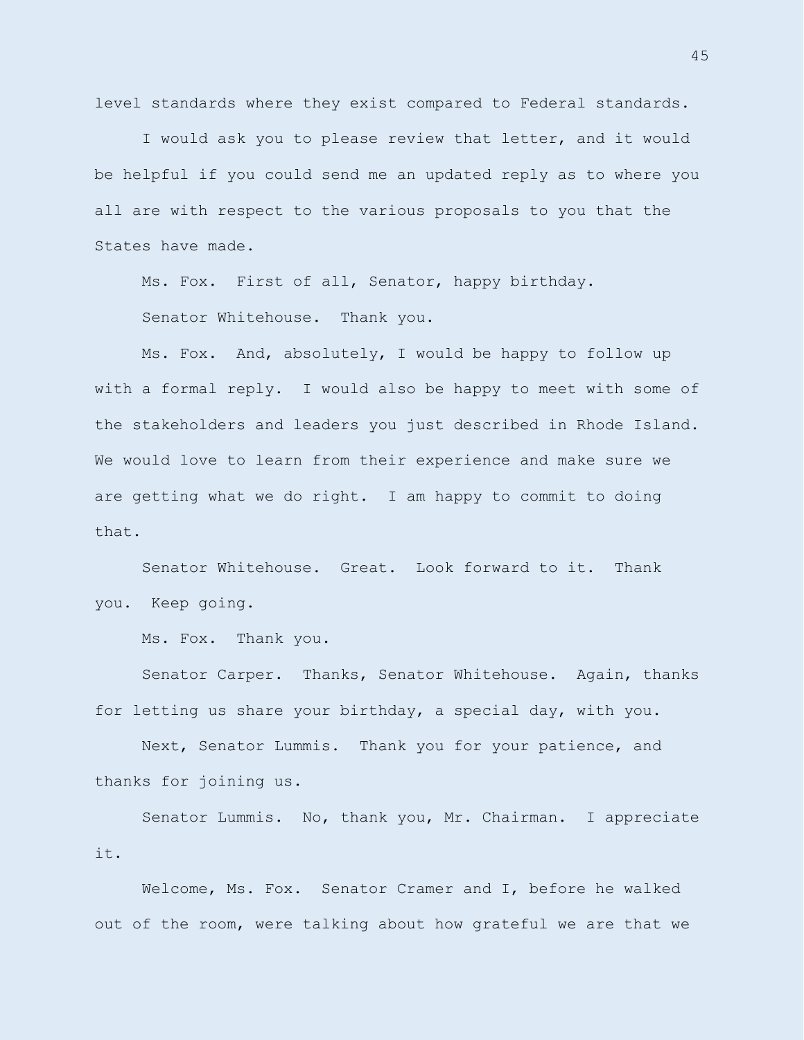level standards where they exist compared to Federal standards.

I would ask you to please review that letter, and it would be helpful if you could send me an updated reply as to where you all are with respect to the various proposals to you that the States have made.

Ms. Fox. First of all, Senator, happy birthday.

Senator Whitehouse. Thank you.

Ms. Fox. And, absolutely, I would be happy to follow up with a formal reply. I would also be happy to meet with some of the stakeholders and leaders you just described in Rhode Island. We would love to learn from their experience and make sure we are getting what we do right. I am happy to commit to doing that.

Senator Whitehouse. Great. Look forward to it. Thank you. Keep going.

Ms. Fox. Thank you.

Senator Carper. Thanks, Senator Whitehouse. Again, thanks for letting us share your birthday, a special day, with you.

Next, Senator Lummis. Thank you for your patience, and thanks for joining us.

Senator Lummis. No, thank you, Mr. Chairman. I appreciate it.

Welcome, Ms. Fox. Senator Cramer and I, before he walked out of the room, were talking about how grateful we are that we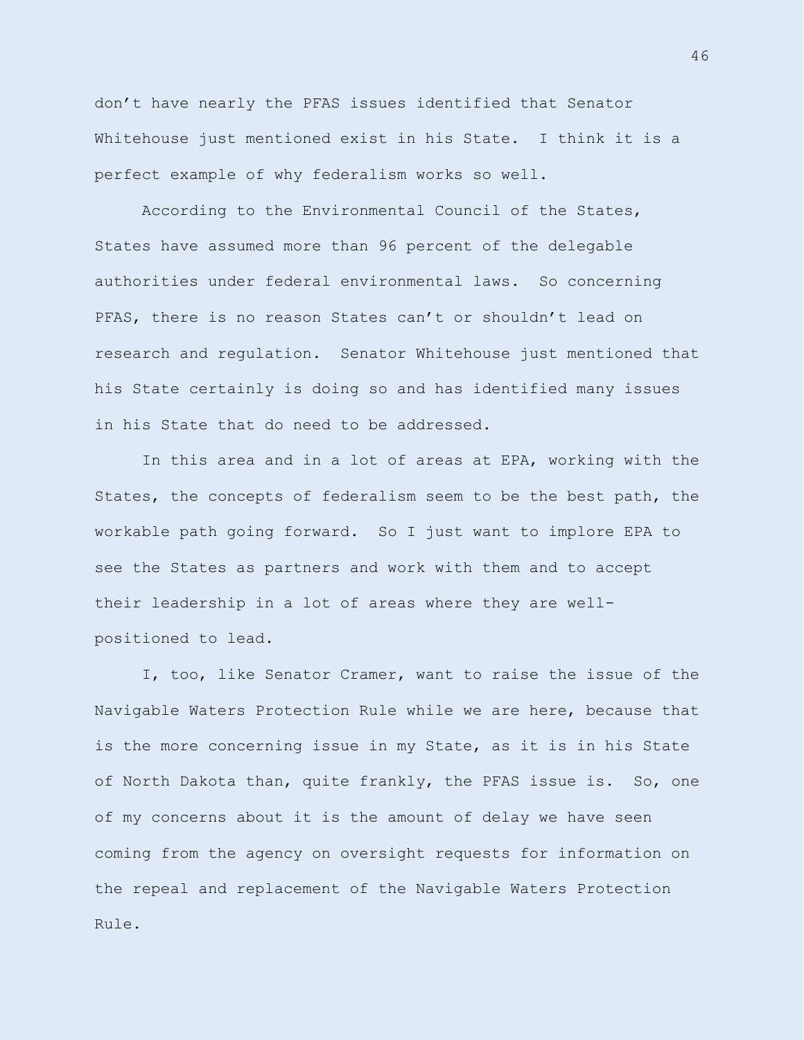don't have nearly the PFAS issues identified that Senator Whitehouse just mentioned exist in his State. I think it is a perfect example of why federalism works so well.

According to the Environmental Council of the States, States have assumed more than 96 percent of the delegable authorities under federal environmental laws. So concerning PFAS, there is no reason States can't or shouldn't lead on research and regulation. Senator Whitehouse just mentioned that his State certainly is doing so and has identified many issues in his State that do need to be addressed.

In this area and in a lot of areas at EPA, working with the States, the concepts of federalism seem to be the best path, the workable path going forward. So I just want to implore EPA to see the States as partners and work with them and to accept their leadership in a lot of areas where they are wellpositioned to lead.

I, too, like Senator Cramer, want to raise the issue of the Navigable Waters Protection Rule while we are here, because that is the more concerning issue in my State, as it is in his State of North Dakota than, quite frankly, the PFAS issue is. So, one of my concerns about it is the amount of delay we have seen coming from the agency on oversight requests for information on the repeal and replacement of the Navigable Waters Protection Rule.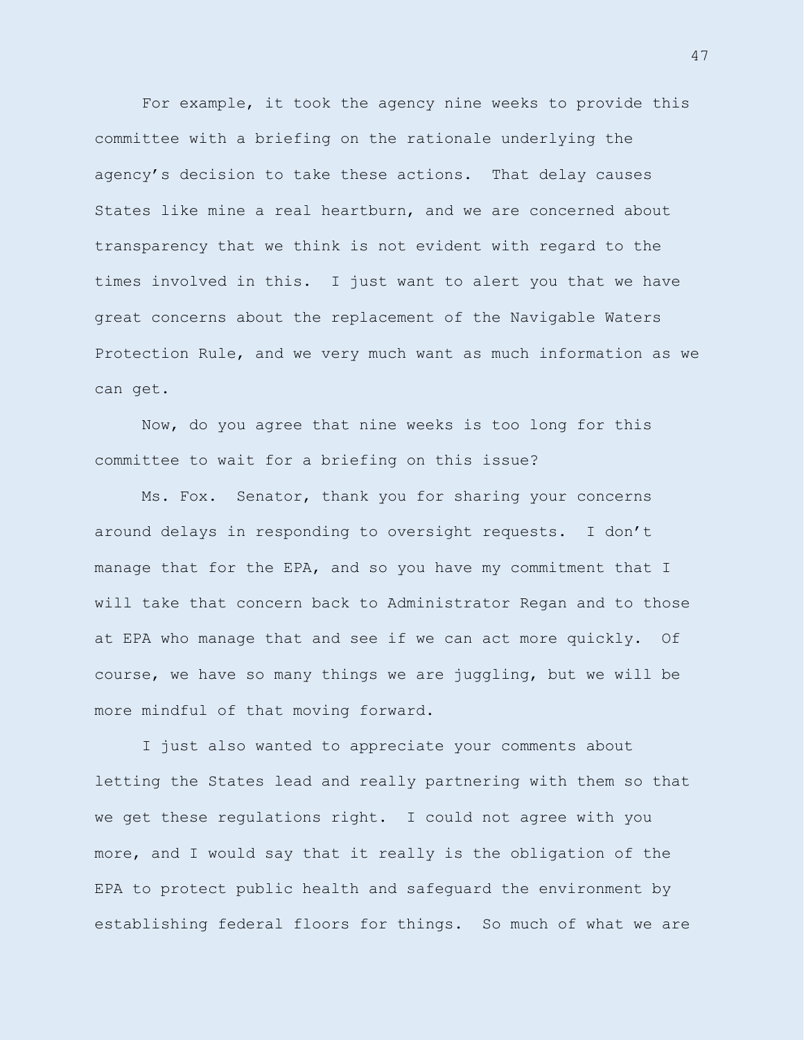For example, it took the agency nine weeks to provide this committee with a briefing on the rationale underlying the agency's decision to take these actions. That delay causes States like mine a real heartburn, and we are concerned about transparency that we think is not evident with regard to the times involved in this. I just want to alert you that we have great concerns about the replacement of the Navigable Waters Protection Rule, and we very much want as much information as we can get.

Now, do you agree that nine weeks is too long for this committee to wait for a briefing on this issue?

Ms. Fox. Senator, thank you for sharing your concerns around delays in responding to oversight requests. I don't manage that for the EPA, and so you have my commitment that I will take that concern back to Administrator Regan and to those at EPA who manage that and see if we can act more quickly. Of course, we have so many things we are juggling, but we will be more mindful of that moving forward.

I just also wanted to appreciate your comments about letting the States lead and really partnering with them so that we get these regulations right. I could not agree with you more, and I would say that it really is the obligation of the EPA to protect public health and safeguard the environment by establishing federal floors for things. So much of what we are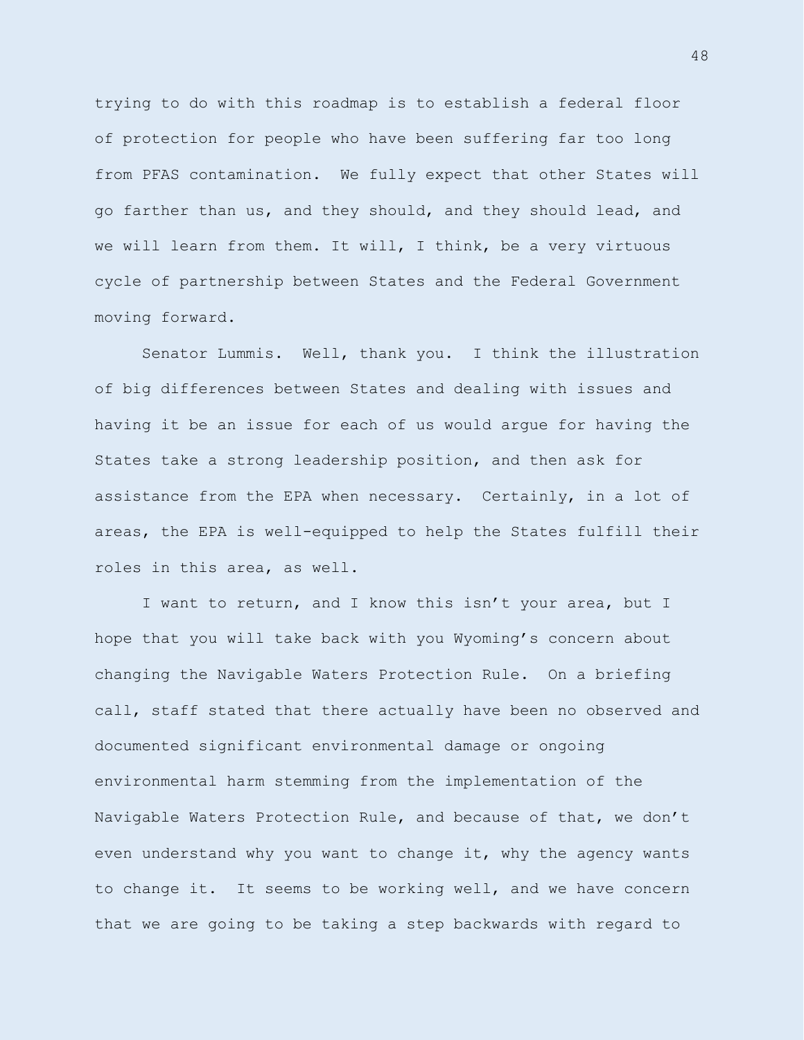trying to do with this roadmap is to establish a federal floor of protection for people who have been suffering far too long from PFAS contamination. We fully expect that other States will go farther than us, and they should, and they should lead, and we will learn from them. It will, I think, be a very virtuous cycle of partnership between States and the Federal Government moving forward.

Senator Lummis. Well, thank you. I think the illustration of big differences between States and dealing with issues and having it be an issue for each of us would argue for having the States take a strong leadership position, and then ask for assistance from the EPA when necessary. Certainly, in a lot of areas, the EPA is well-equipped to help the States fulfill their roles in this area, as well.

I want to return, and I know this isn't your area, but I hope that you will take back with you Wyoming's concern about changing the Navigable Waters Protection Rule. On a briefing call, staff stated that there actually have been no observed and documented significant environmental damage or ongoing environmental harm stemming from the implementation of the Navigable Waters Protection Rule, and because of that, we don't even understand why you want to change it, why the agency wants to change it. It seems to be working well, and we have concern that we are going to be taking a step backwards with regard to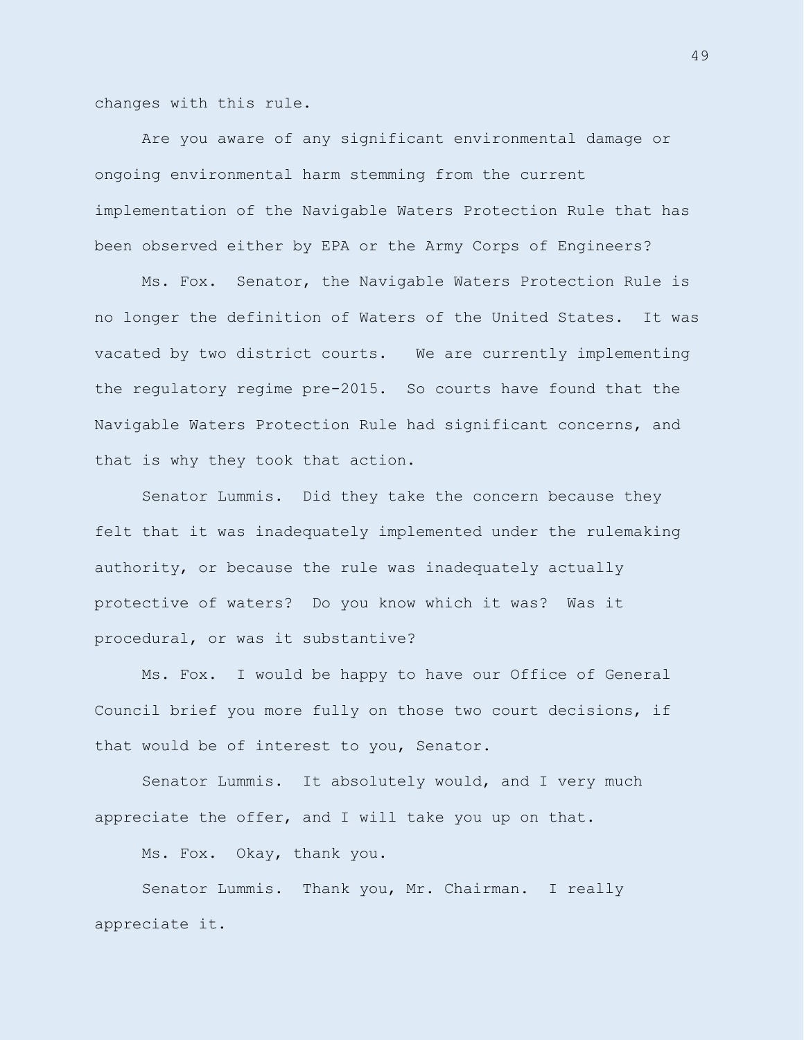changes with this rule.

Are you aware of any significant environmental damage or ongoing environmental harm stemming from the current implementation of the Navigable Waters Protection Rule that has been observed either by EPA or the Army Corps of Engineers?

Ms. Fox. Senator, the Navigable Waters Protection Rule is no longer the definition of Waters of the United States. It was vacated by two district courts. We are currently implementing the regulatory regime pre-2015. So courts have found that the Navigable Waters Protection Rule had significant concerns, and that is why they took that action.

Senator Lummis. Did they take the concern because they felt that it was inadequately implemented under the rulemaking authority, or because the rule was inadequately actually protective of waters? Do you know which it was? Was it procedural, or was it substantive?

Ms. Fox. I would be happy to have our Office of General Council brief you more fully on those two court decisions, if that would be of interest to you, Senator.

Senator Lummis. It absolutely would, and I very much appreciate the offer, and I will take you up on that.

Ms. Fox. Okay, thank you.

Senator Lummis. Thank you, Mr. Chairman. I really appreciate it.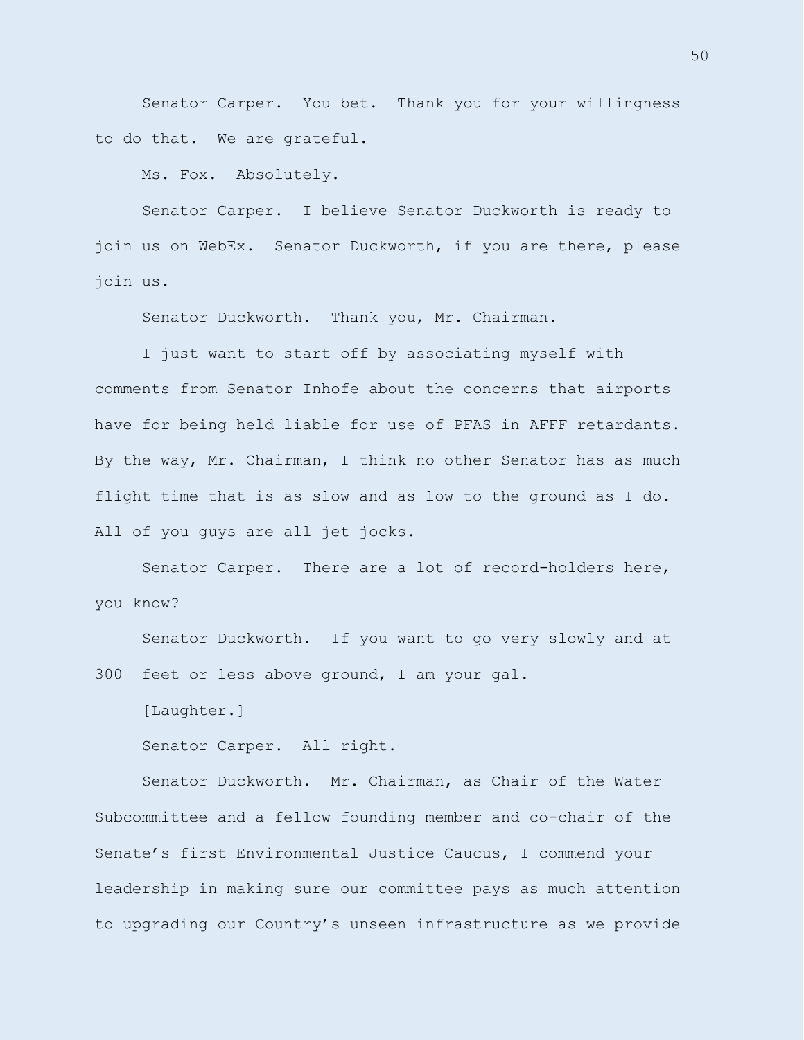Senator Carper. You bet. Thank you for your willingness to do that. We are grateful.

Ms. Fox. Absolutely.

Senator Carper. I believe Senator Duckworth is ready to join us on WebEx. Senator Duckworth, if you are there, please join us.

Senator Duckworth. Thank you, Mr. Chairman.

I just want to start off by associating myself with comments from Senator Inhofe about the concerns that airports have for being held liable for use of PFAS in AFFF retardants. By the way, Mr. Chairman, I think no other Senator has as much flight time that is as slow and as low to the ground as I do. All of you guys are all jet jocks.

Senator Carper. There are a lot of record-holders here, you know?

Senator Duckworth. If you want to go very slowly and at 300 feet or less above ground, I am your gal.

[Laughter.]

Senator Carper. All right.

Senator Duckworth. Mr. Chairman, as Chair of the Water Subcommittee and a fellow founding member and co-chair of the Senate's first Environmental Justice Caucus, I commend your leadership in making sure our committee pays as much attention to upgrading our Country's unseen infrastructure as we provide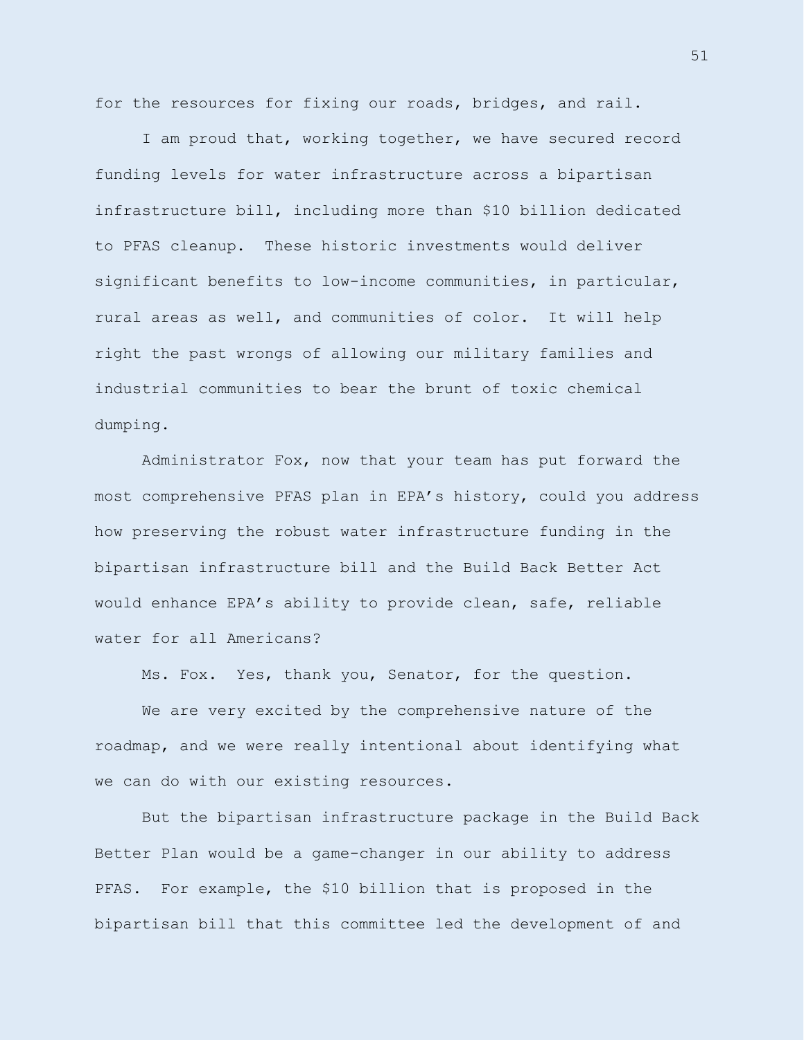for the resources for fixing our roads, bridges, and rail.

I am proud that, working together, we have secured record funding levels for water infrastructure across a bipartisan infrastructure bill, including more than \$10 billion dedicated to PFAS cleanup. These historic investments would deliver significant benefits to low-income communities, in particular, rural areas as well, and communities of color. It will help right the past wrongs of allowing our military families and industrial communities to bear the brunt of toxic chemical dumping.

Administrator Fox, now that your team has put forward the most comprehensive PFAS plan in EPA's history, could you address how preserving the robust water infrastructure funding in the bipartisan infrastructure bill and the Build Back Better Act would enhance EPA's ability to provide clean, safe, reliable water for all Americans?

Ms. Fox. Yes, thank you, Senator, for the question.

We are very excited by the comprehensive nature of the roadmap, and we were really intentional about identifying what we can do with our existing resources.

But the bipartisan infrastructure package in the Build Back Better Plan would be a game-changer in our ability to address PFAS. For example, the \$10 billion that is proposed in the bipartisan bill that this committee led the development of and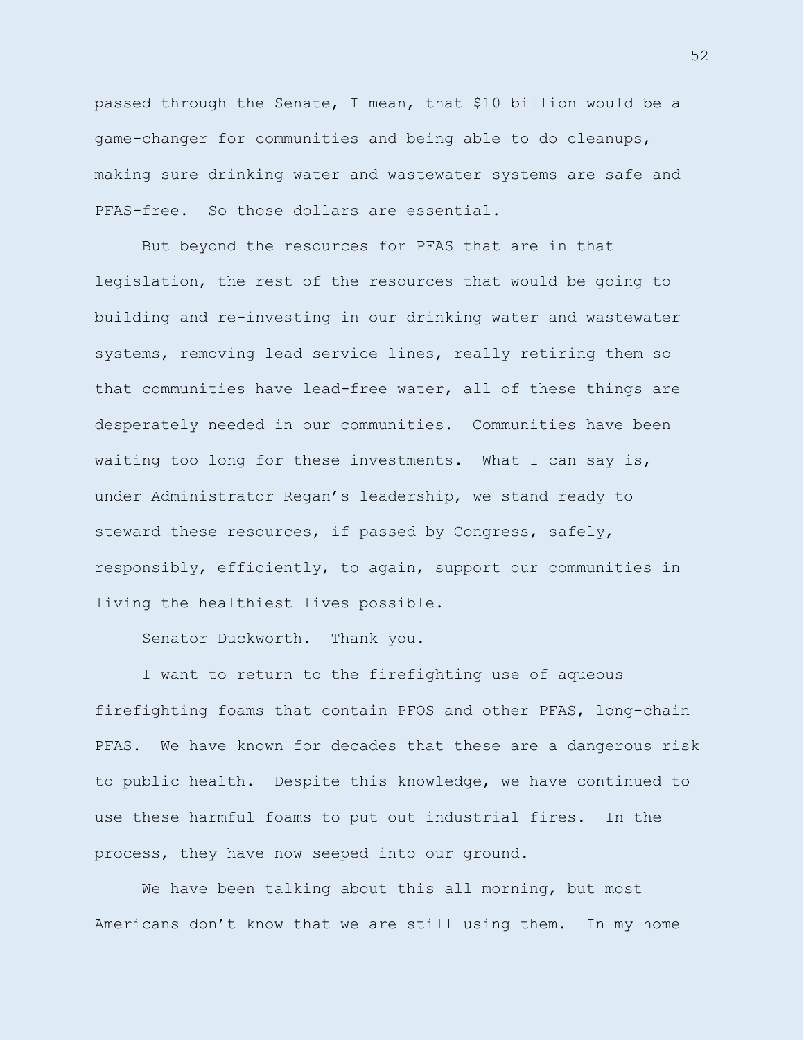passed through the Senate, I mean, that \$10 billion would be a game-changer for communities and being able to do cleanups, making sure drinking water and wastewater systems are safe and PFAS-free. So those dollars are essential.

But beyond the resources for PFAS that are in that legislation, the rest of the resources that would be going to building and re-investing in our drinking water and wastewater systems, removing lead service lines, really retiring them so that communities have lead-free water, all of these things are desperately needed in our communities. Communities have been waiting too long for these investments. What I can say is, under Administrator Regan's leadership, we stand ready to steward these resources, if passed by Congress, safely, responsibly, efficiently, to again, support our communities in living the healthiest lives possible.

Senator Duckworth. Thank you.

I want to return to the firefighting use of aqueous firefighting foams that contain PFOS and other PFAS, long-chain PFAS. We have known for decades that these are a dangerous risk to public health. Despite this knowledge, we have continued to use these harmful foams to put out industrial fires. In the process, they have now seeped into our ground.

We have been talking about this all morning, but most Americans don't know that we are still using them. In my home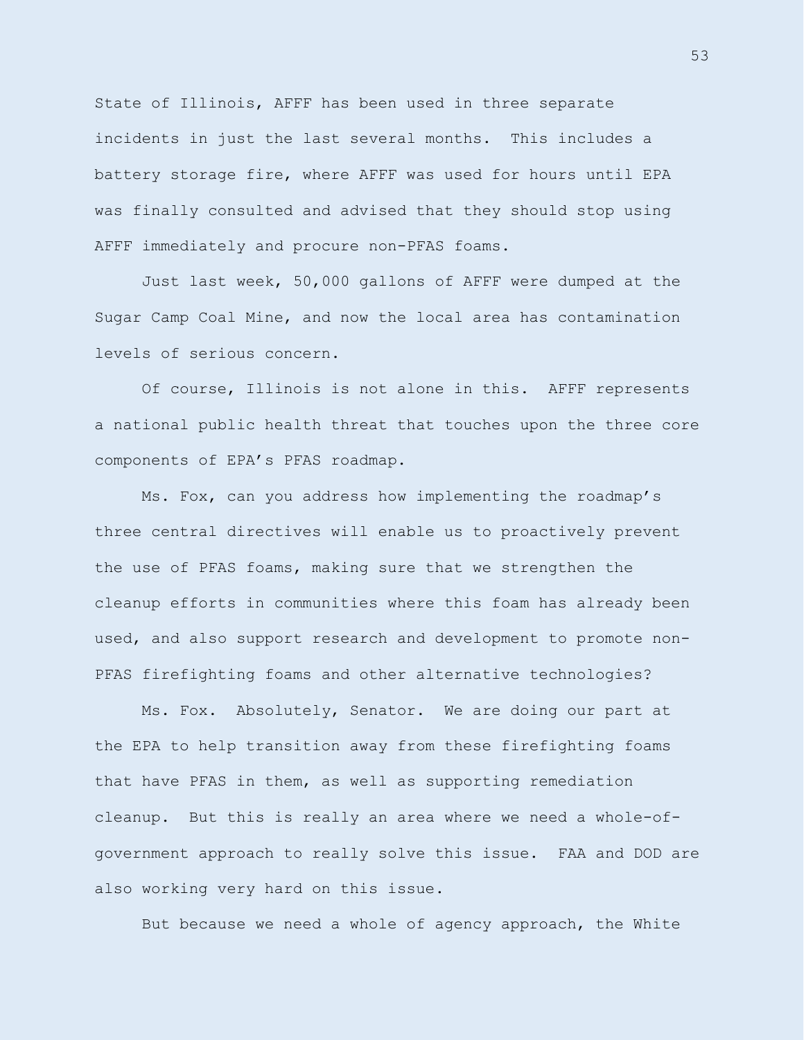State of Illinois, AFFF has been used in three separate incidents in just the last several months. This includes a battery storage fire, where AFFF was used for hours until EPA was finally consulted and advised that they should stop using AFFF immediately and procure non-PFAS foams.

Just last week, 50,000 gallons of AFFF were dumped at the Sugar Camp Coal Mine, and now the local area has contamination levels of serious concern.

Of course, Illinois is not alone in this. AFFF represents a national public health threat that touches upon the three core components of EPA's PFAS roadmap.

Ms. Fox, can you address how implementing the roadmap's three central directives will enable us to proactively prevent the use of PFAS foams, making sure that we strengthen the cleanup efforts in communities where this foam has already been used, and also support research and development to promote non-PFAS firefighting foams and other alternative technologies?

Ms. Fox. Absolutely, Senator. We are doing our part at the EPA to help transition away from these firefighting foams that have PFAS in them, as well as supporting remediation cleanup. But this is really an area where we need a whole-ofgovernment approach to really solve this issue. FAA and DOD are also working very hard on this issue.

But because we need a whole of agency approach, the White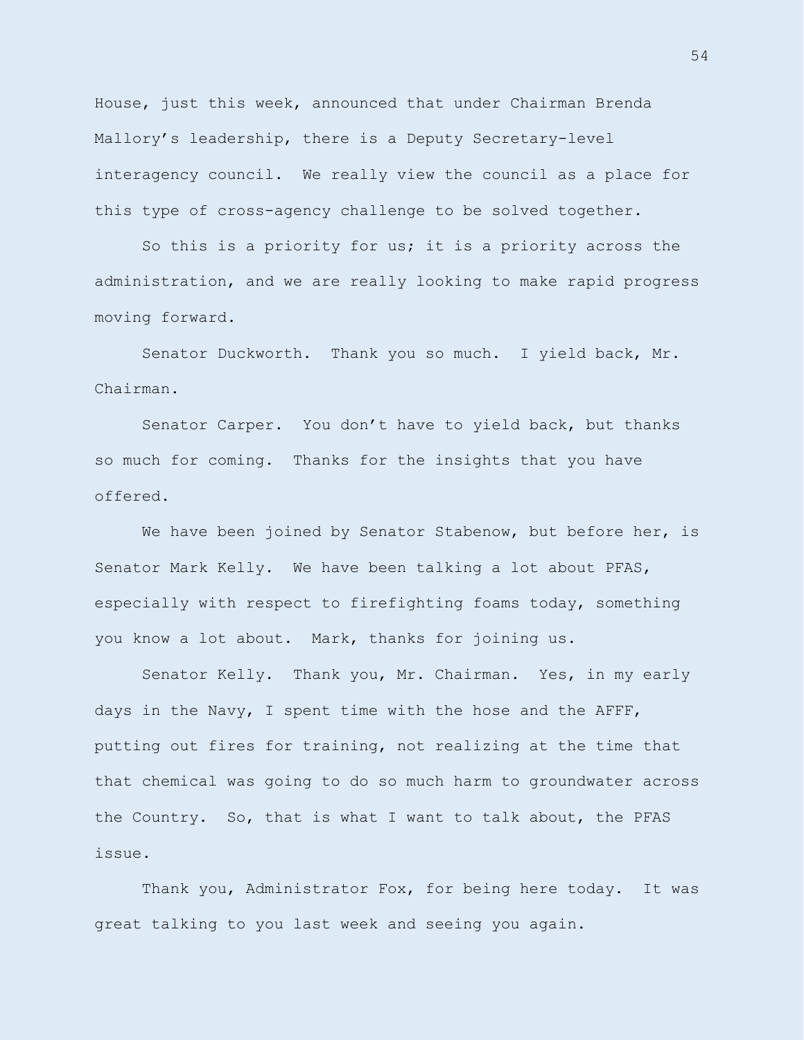House, just this week, announced that under Chairman Brenda Mallory's leadership, there is a Deputy Secretary-level interagency council. We really view the council as a place for this type of cross-agency challenge to be solved together.

So this is a priority for us; it is a priority across the administration, and we are really looking to make rapid progress moving forward.

Senator Duckworth. Thank you so much. I yield back, Mr. Chairman.

Senator Carper. You don't have to yield back, but thanks so much for coming. Thanks for the insights that you have offered.

We have been joined by Senator Stabenow, but before her, is Senator Mark Kelly. We have been talking a lot about PFAS, especially with respect to firefighting foams today, something you know a lot about. Mark, thanks for joining us.

Senator Kelly. Thank you, Mr. Chairman. Yes, in my early days in the Navy, I spent time with the hose and the AFFF, putting out fires for training, not realizing at the time that that chemical was going to do so much harm to groundwater across the Country. So, that is what I want to talk about, the PFAS issue.

Thank you, Administrator Fox, for being here today. It was great talking to you last week and seeing you again.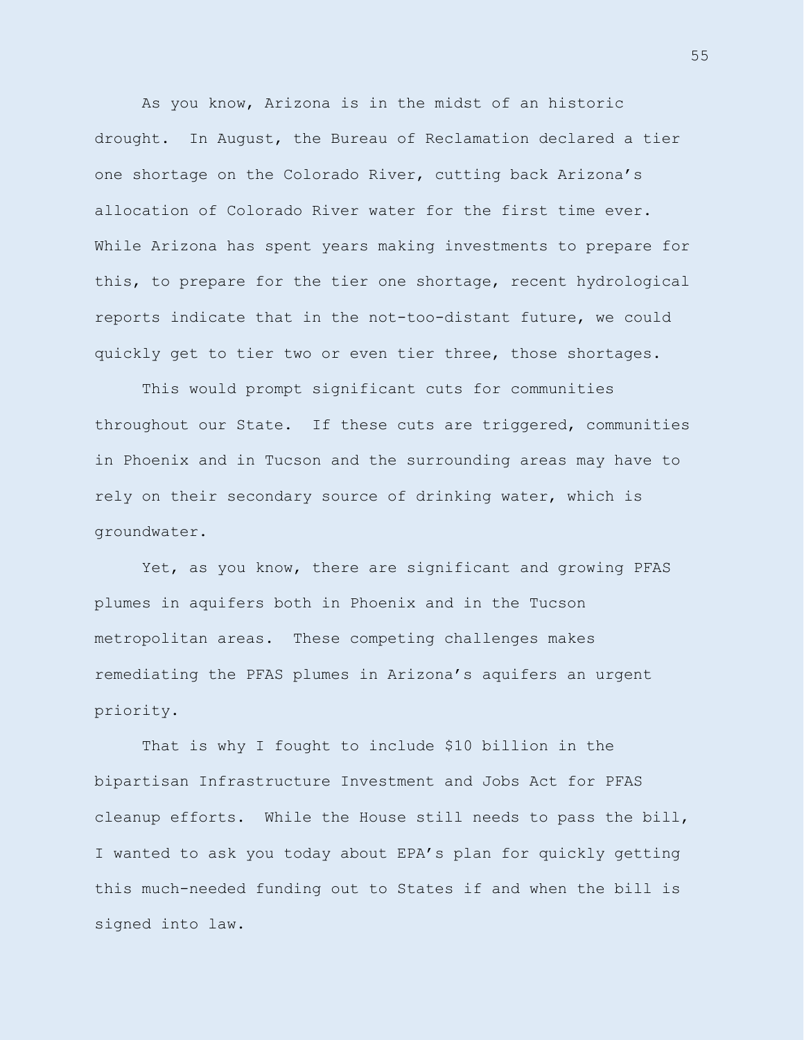As you know, Arizona is in the midst of an historic drought. In August, the Bureau of Reclamation declared a tier one shortage on the Colorado River, cutting back Arizona's allocation of Colorado River water for the first time ever. While Arizona has spent years making investments to prepare for this, to prepare for the tier one shortage, recent hydrological reports indicate that in the not-too-distant future, we could quickly get to tier two or even tier three, those shortages.

This would prompt significant cuts for communities throughout our State. If these cuts are triggered, communities in Phoenix and in Tucson and the surrounding areas may have to rely on their secondary source of drinking water, which is groundwater.

Yet, as you know, there are significant and growing PFAS plumes in aquifers both in Phoenix and in the Tucson metropolitan areas. These competing challenges makes remediating the PFAS plumes in Arizona's aquifers an urgent priority.

That is why I fought to include \$10 billion in the bipartisan Infrastructure Investment and Jobs Act for PFAS cleanup efforts. While the House still needs to pass the bill, I wanted to ask you today about EPA's plan for quickly getting this much-needed funding out to States if and when the bill is signed into law.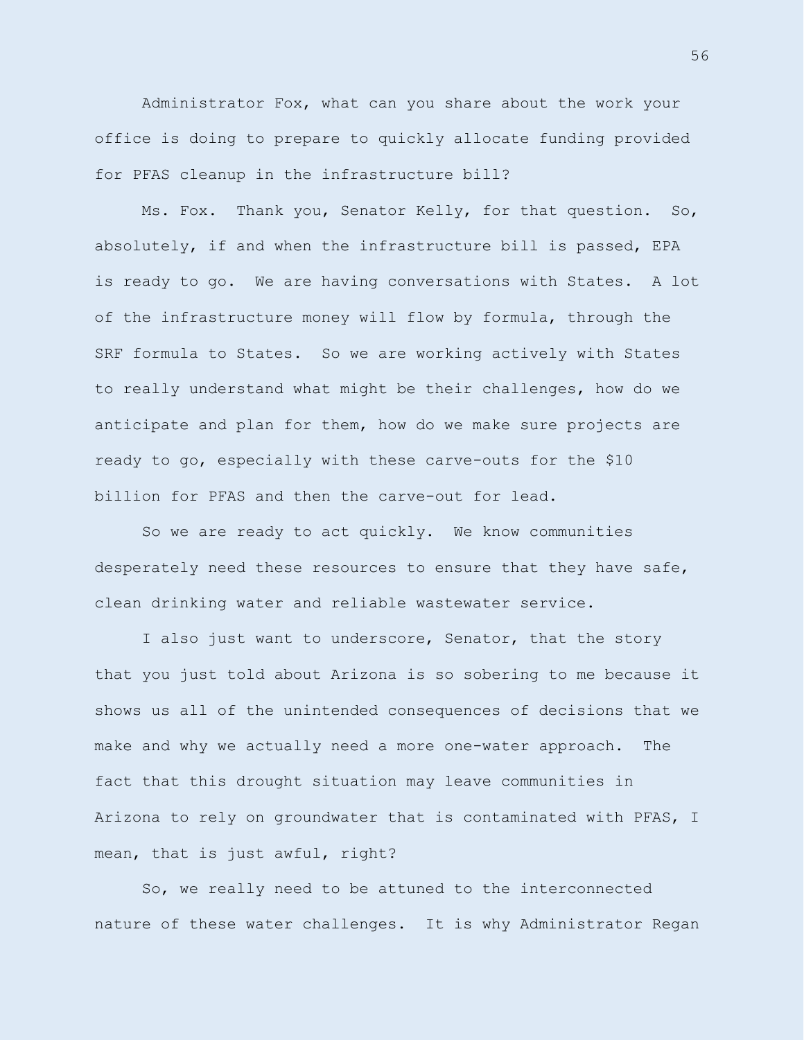Administrator Fox, what can you share about the work your office is doing to prepare to quickly allocate funding provided for PFAS cleanup in the infrastructure bill?

Ms. Fox. Thank you, Senator Kelly, for that question. So, absolutely, if and when the infrastructure bill is passed, EPA is ready to go. We are having conversations with States. A lot of the infrastructure money will flow by formula, through the SRF formula to States. So we are working actively with States to really understand what might be their challenges, how do we anticipate and plan for them, how do we make sure projects are ready to go, especially with these carve-outs for the \$10 billion for PFAS and then the carve-out for lead.

So we are ready to act quickly. We know communities desperately need these resources to ensure that they have safe, clean drinking water and reliable wastewater service.

I also just want to underscore, Senator, that the story that you just told about Arizona is so sobering to me because it shows us all of the unintended consequences of decisions that we make and why we actually need a more one-water approach. The fact that this drought situation may leave communities in Arizona to rely on groundwater that is contaminated with PFAS, I mean, that is just awful, right?

So, we really need to be attuned to the interconnected nature of these water challenges. It is why Administrator Regan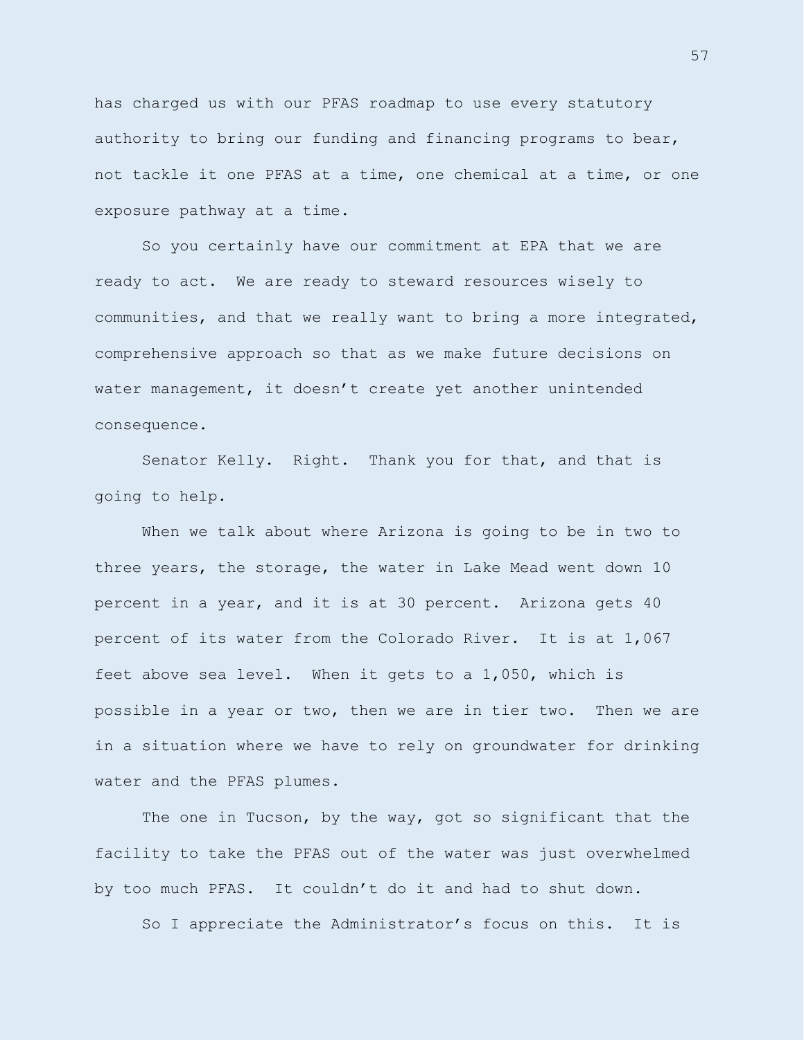has charged us with our PFAS roadmap to use every statutory authority to bring our funding and financing programs to bear, not tackle it one PFAS at a time, one chemical at a time, or one exposure pathway at a time.

So you certainly have our commitment at EPA that we are ready to act. We are ready to steward resources wisely to communities, and that we really want to bring a more integrated, comprehensive approach so that as we make future decisions on water management, it doesn't create yet another unintended consequence.

Senator Kelly. Right. Thank you for that, and that is going to help.

When we talk about where Arizona is going to be in two to three years, the storage, the water in Lake Mead went down 10 percent in a year, and it is at 30 percent. Arizona gets 40 percent of its water from the Colorado River. It is at 1,067 feet above sea level. When it gets to a 1,050, which is possible in a year or two, then we are in tier two. Then we are in a situation where we have to rely on groundwater for drinking water and the PFAS plumes.

The one in Tucson, by the way, got so significant that the facility to take the PFAS out of the water was just overwhelmed by too much PFAS. It couldn't do it and had to shut down.

So I appreciate the Administrator's focus on this. It is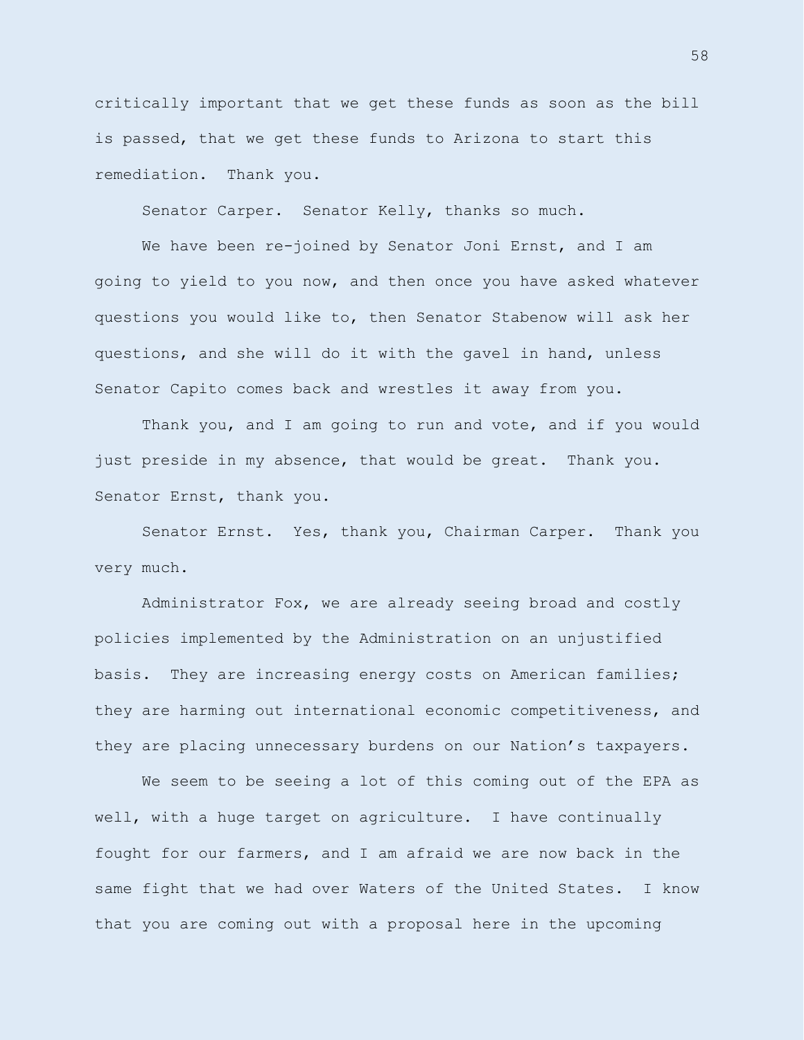critically important that we get these funds as soon as the bill is passed, that we get these funds to Arizona to start this remediation. Thank you.

Senator Carper. Senator Kelly, thanks so much.

We have been re-joined by Senator Joni Ernst, and I am going to yield to you now, and then once you have asked whatever questions you would like to, then Senator Stabenow will ask her questions, and she will do it with the gavel in hand, unless Senator Capito comes back and wrestles it away from you.

Thank you, and I am going to run and vote, and if you would just preside in my absence, that would be great. Thank you. Senator Ernst, thank you.

Senator Ernst. Yes, thank you, Chairman Carper. Thank you very much.

Administrator Fox, we are already seeing broad and costly policies implemented by the Administration on an unjustified basis. They are increasing energy costs on American families; they are harming out international economic competitiveness, and they are placing unnecessary burdens on our Nation's taxpayers.

We seem to be seeing a lot of this coming out of the EPA as well, with a huge target on agriculture. I have continually fought for our farmers, and I am afraid we are now back in the same fight that we had over Waters of the United States. I know that you are coming out with a proposal here in the upcoming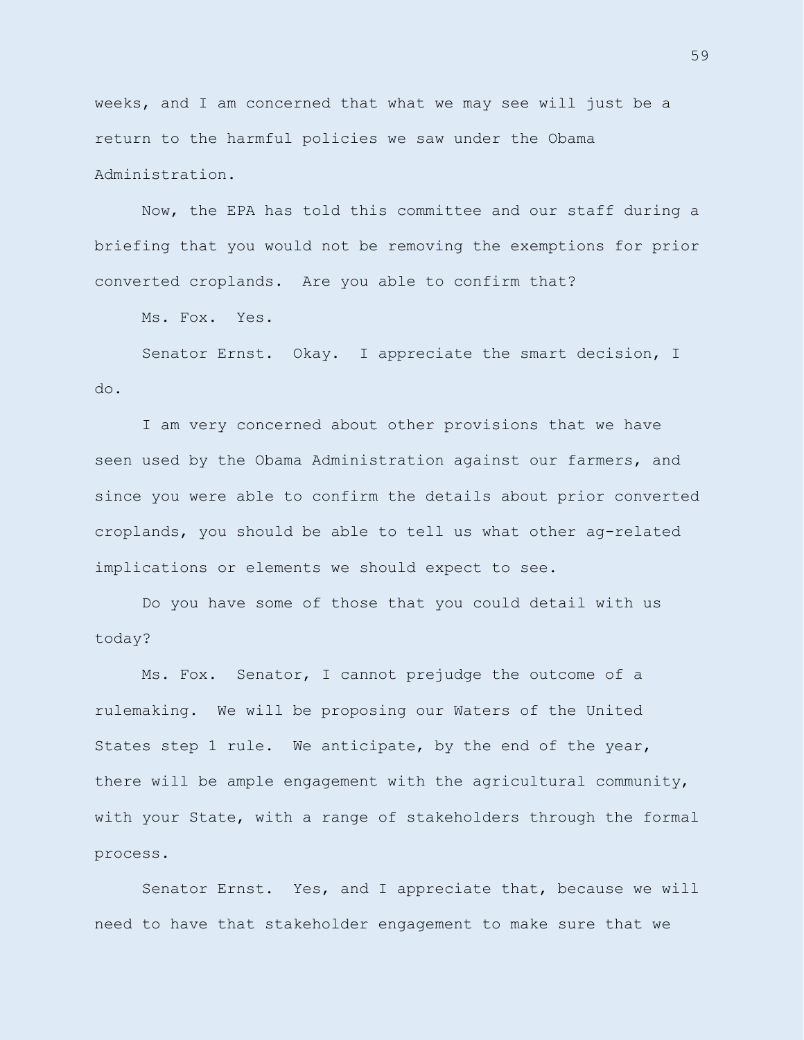weeks, and I am concerned that what we may see will just be a return to the harmful policies we saw under the Obama Administration.

Now, the EPA has told this committee and our staff during a briefing that you would not be removing the exemptions for prior converted croplands. Are you able to confirm that?

Ms. Fox. Yes.

Senator Ernst. Okay. I appreciate the smart decision, I do.

I am very concerned about other provisions that we have seen used by the Obama Administration against our farmers, and since you were able to confirm the details about prior converted croplands, you should be able to tell us what other ag-related implications or elements we should expect to see.

Do you have some of those that you could detail with us today?

Ms. Fox. Senator, I cannot prejudge the outcome of a rulemaking. We will be proposing our Waters of the United States step 1 rule. We anticipate, by the end of the year, there will be ample engagement with the agricultural community, with your State, with a range of stakeholders through the formal process.

Senator Ernst. Yes, and I appreciate that, because we will need to have that stakeholder engagement to make sure that we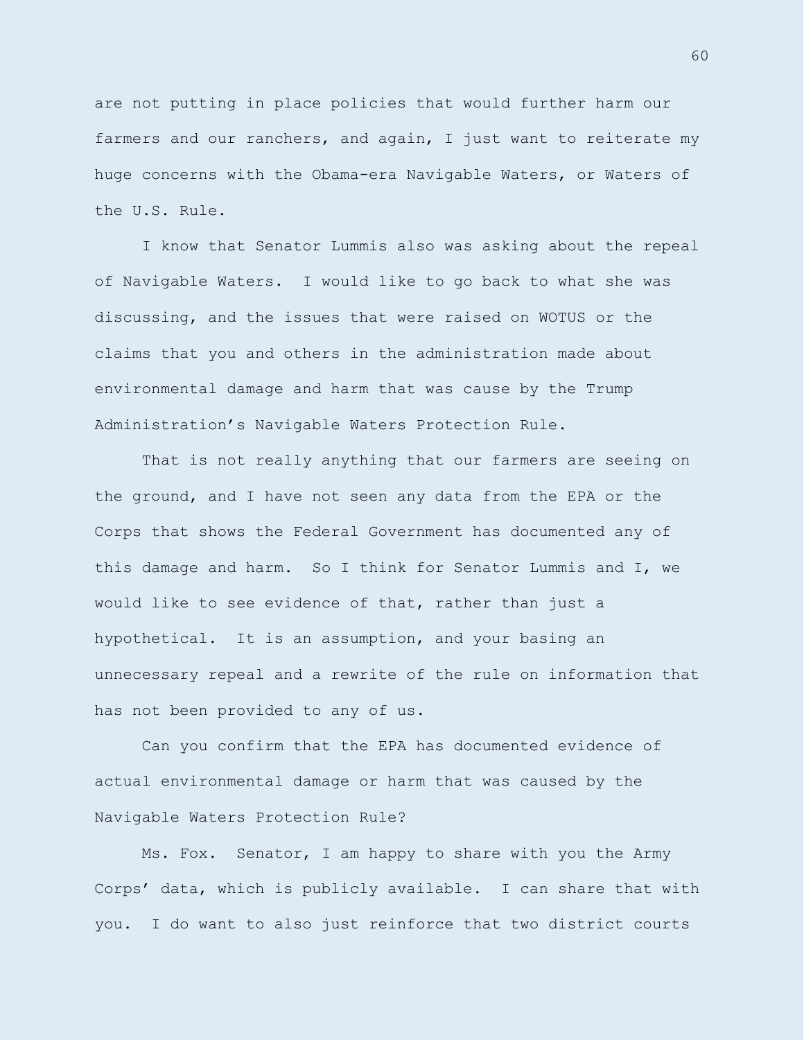are not putting in place policies that would further harm our farmers and our ranchers, and again, I just want to reiterate my huge concerns with the Obama-era Navigable Waters, or Waters of the U.S. Rule.

I know that Senator Lummis also was asking about the repeal of Navigable Waters. I would like to go back to what she was discussing, and the issues that were raised on WOTUS or the claims that you and others in the administration made about environmental damage and harm that was cause by the Trump Administration's Navigable Waters Protection Rule.

That is not really anything that our farmers are seeing on the ground, and I have not seen any data from the EPA or the Corps that shows the Federal Government has documented any of this damage and harm. So I think for Senator Lummis and I, we would like to see evidence of that, rather than just a hypothetical. It is an assumption, and your basing an unnecessary repeal and a rewrite of the rule on information that has not been provided to any of us.

Can you confirm that the EPA has documented evidence of actual environmental damage or harm that was caused by the Navigable Waters Protection Rule?

Ms. Fox. Senator, I am happy to share with you the Army Corps' data, which is publicly available. I can share that with you. I do want to also just reinforce that two district courts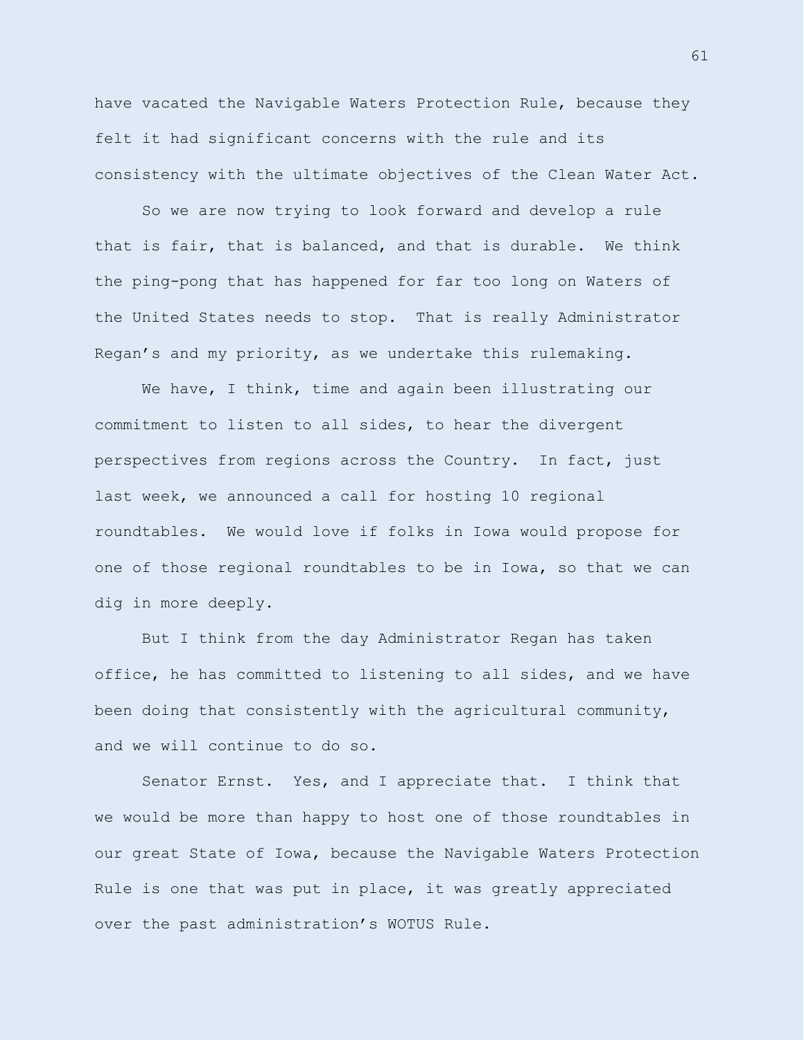have vacated the Navigable Waters Protection Rule, because they felt it had significant concerns with the rule and its consistency with the ultimate objectives of the Clean Water Act.

So we are now trying to look forward and develop a rule that is fair, that is balanced, and that is durable. We think the ping-pong that has happened for far too long on Waters of the United States needs to stop. That is really Administrator Regan's and my priority, as we undertake this rulemaking.

We have, I think, time and again been illustrating our commitment to listen to all sides, to hear the divergent perspectives from regions across the Country. In fact, just last week, we announced a call for hosting 10 regional roundtables. We would love if folks in Iowa would propose for one of those regional roundtables to be in Iowa, so that we can dig in more deeply.

But I think from the day Administrator Regan has taken office, he has committed to listening to all sides, and we have been doing that consistently with the agricultural community, and we will continue to do so.

Senator Ernst. Yes, and I appreciate that. I think that we would be more than happy to host one of those roundtables in our great State of Iowa, because the Navigable Waters Protection Rule is one that was put in place, it was greatly appreciated over the past administration's WOTUS Rule.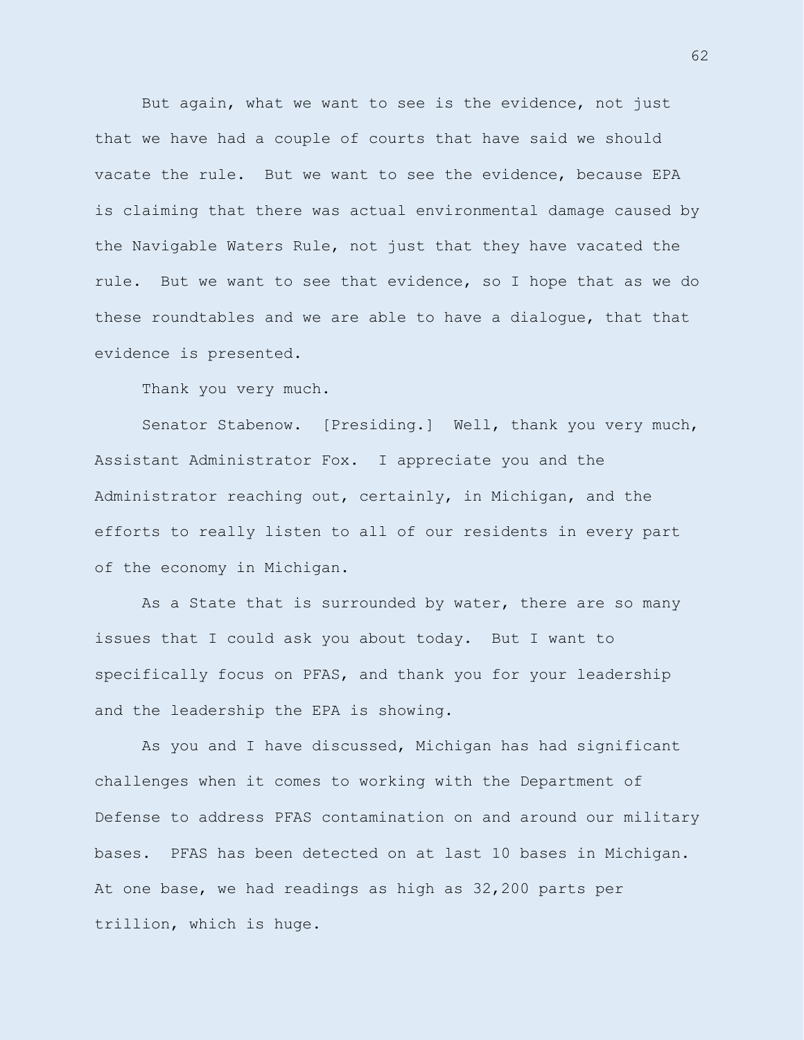But again, what we want to see is the evidence, not just that we have had a couple of courts that have said we should vacate the rule. But we want to see the evidence, because EPA is claiming that there was actual environmental damage caused by the Navigable Waters Rule, not just that they have vacated the rule. But we want to see that evidence, so I hope that as we do these roundtables and we are able to have a dialogue, that that evidence is presented.

Thank you very much.

Senator Stabenow. [Presiding.] Well, thank you very much, Assistant Administrator Fox. I appreciate you and the Administrator reaching out, certainly, in Michigan, and the efforts to really listen to all of our residents in every part of the economy in Michigan.

As a State that is surrounded by water, there are so many issues that I could ask you about today. But I want to specifically focus on PFAS, and thank you for your leadership and the leadership the EPA is showing.

As you and I have discussed, Michigan has had significant challenges when it comes to working with the Department of Defense to address PFAS contamination on and around our military bases. PFAS has been detected on at last 10 bases in Michigan. At one base, we had readings as high as 32,200 parts per trillion, which is huge.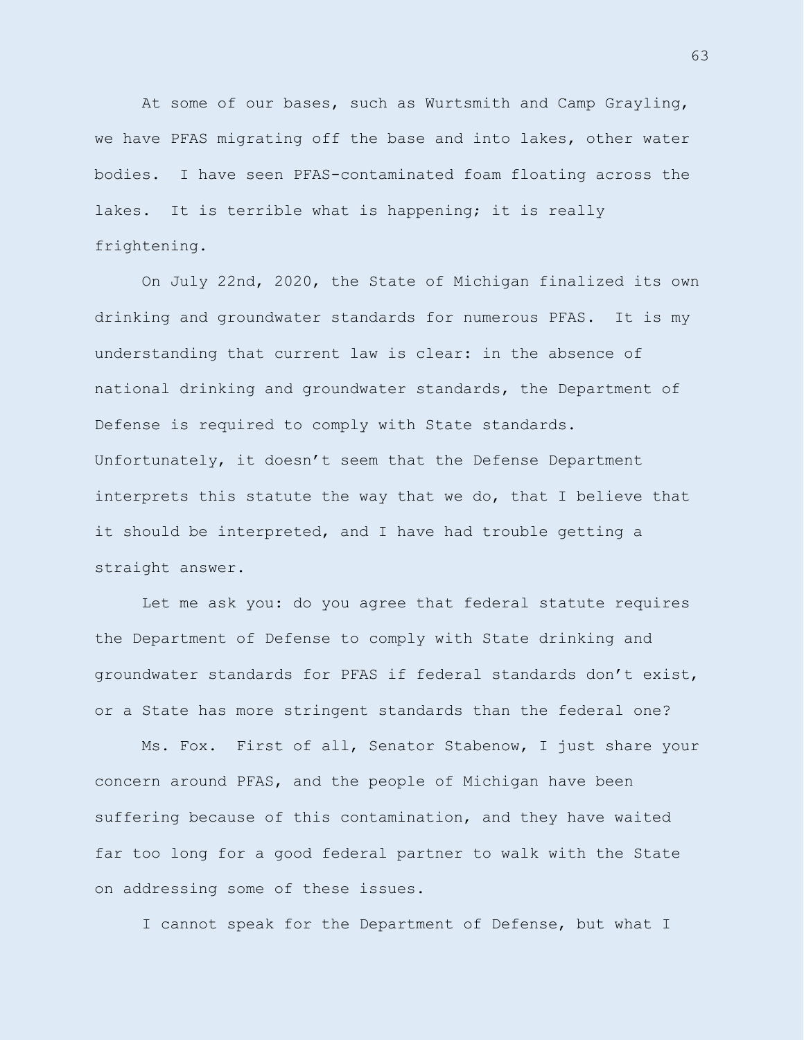At some of our bases, such as Wurtsmith and Camp Grayling, we have PFAS migrating off the base and into lakes, other water bodies. I have seen PFAS-contaminated foam floating across the lakes. It is terrible what is happening; it is really frightening.

On July 22nd, 2020, the State of Michigan finalized its own drinking and groundwater standards for numerous PFAS. It is my understanding that current law is clear: in the absence of national drinking and groundwater standards, the Department of Defense is required to comply with State standards. Unfortunately, it doesn't seem that the Defense Department interprets this statute the way that we do, that I believe that it should be interpreted, and I have had trouble getting a straight answer.

Let me ask you: do you agree that federal statute requires the Department of Defense to comply with State drinking and groundwater standards for PFAS if federal standards don't exist, or a State has more stringent standards than the federal one?

Ms. Fox. First of all, Senator Stabenow, I just share your concern around PFAS, and the people of Michigan have been suffering because of this contamination, and they have waited far too long for a good federal partner to walk with the State on addressing some of these issues.

I cannot speak for the Department of Defense, but what I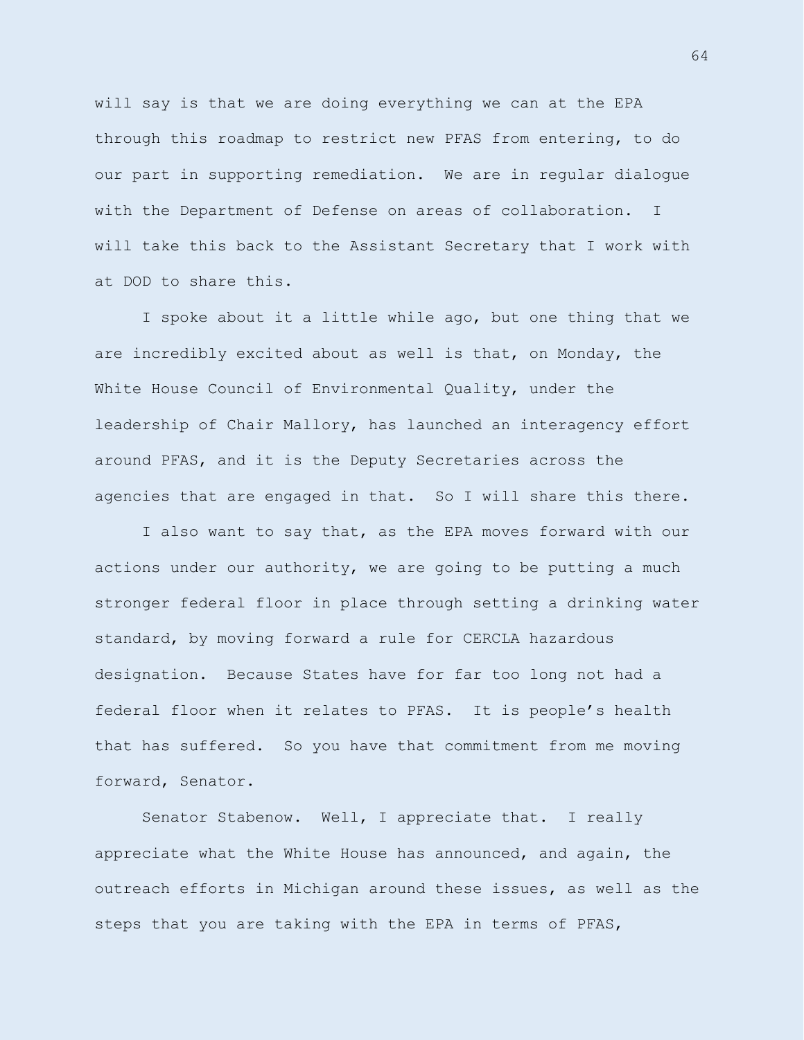will say is that we are doing everything we can at the EPA through this roadmap to restrict new PFAS from entering, to do our part in supporting remediation. We are in regular dialogue with the Department of Defense on areas of collaboration. I will take this back to the Assistant Secretary that I work with at DOD to share this.

I spoke about it a little while ago, but one thing that we are incredibly excited about as well is that, on Monday, the White House Council of Environmental Quality, under the leadership of Chair Mallory, has launched an interagency effort around PFAS, and it is the Deputy Secretaries across the agencies that are engaged in that. So I will share this there.

I also want to say that, as the EPA moves forward with our actions under our authority, we are going to be putting a much stronger federal floor in place through setting a drinking water standard, by moving forward a rule for CERCLA hazardous designation. Because States have for far too long not had a federal floor when it relates to PFAS. It is people's health that has suffered. So you have that commitment from me moving forward, Senator.

Senator Stabenow. Well, I appreciate that. I really appreciate what the White House has announced, and again, the outreach efforts in Michigan around these issues, as well as the steps that you are taking with the EPA in terms of PFAS,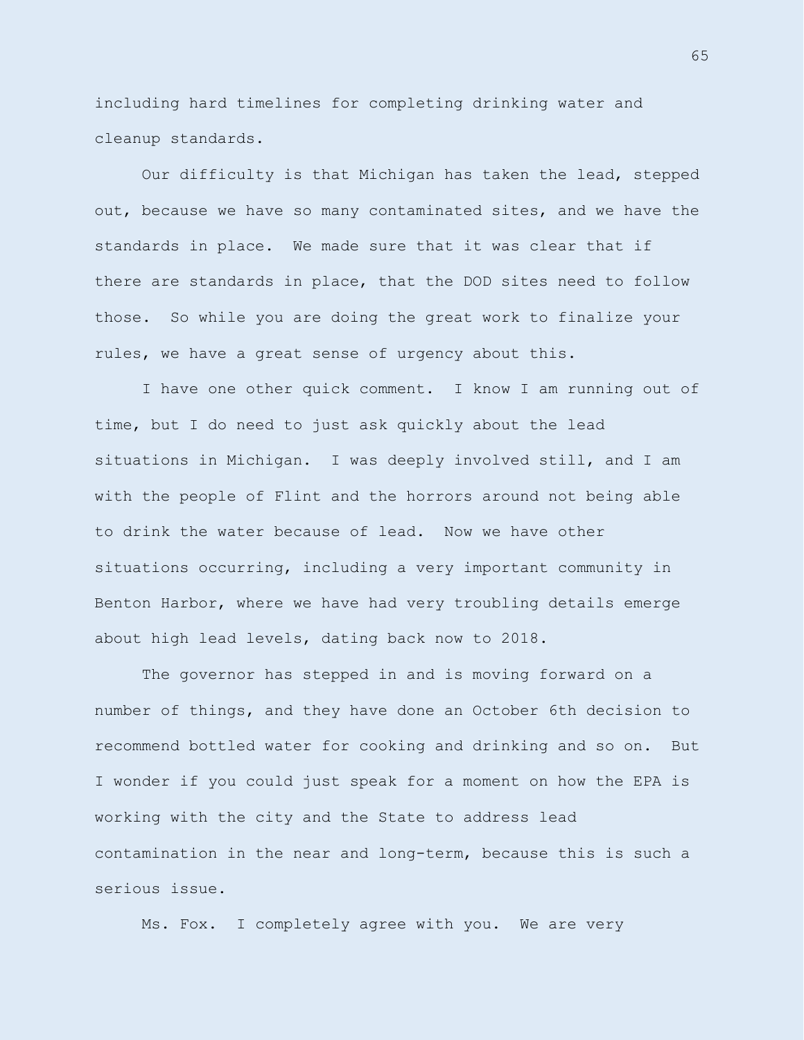including hard timelines for completing drinking water and cleanup standards.

Our difficulty is that Michigan has taken the lead, stepped out, because we have so many contaminated sites, and we have the standards in place. We made sure that it was clear that if there are standards in place, that the DOD sites need to follow those. So while you are doing the great work to finalize your rules, we have a great sense of urgency about this.

I have one other quick comment. I know I am running out of time, but I do need to just ask quickly about the lead situations in Michigan. I was deeply involved still, and I am with the people of Flint and the horrors around not being able to drink the water because of lead. Now we have other situations occurring, including a very important community in Benton Harbor, where we have had very troubling details emerge about high lead levels, dating back now to 2018.

The governor has stepped in and is moving forward on a number of things, and they have done an October 6th decision to recommend bottled water for cooking and drinking and so on. But I wonder if you could just speak for a moment on how the EPA is working with the city and the State to address lead contamination in the near and long-term, because this is such a serious issue.

Ms. Fox. I completely agree with you. We are very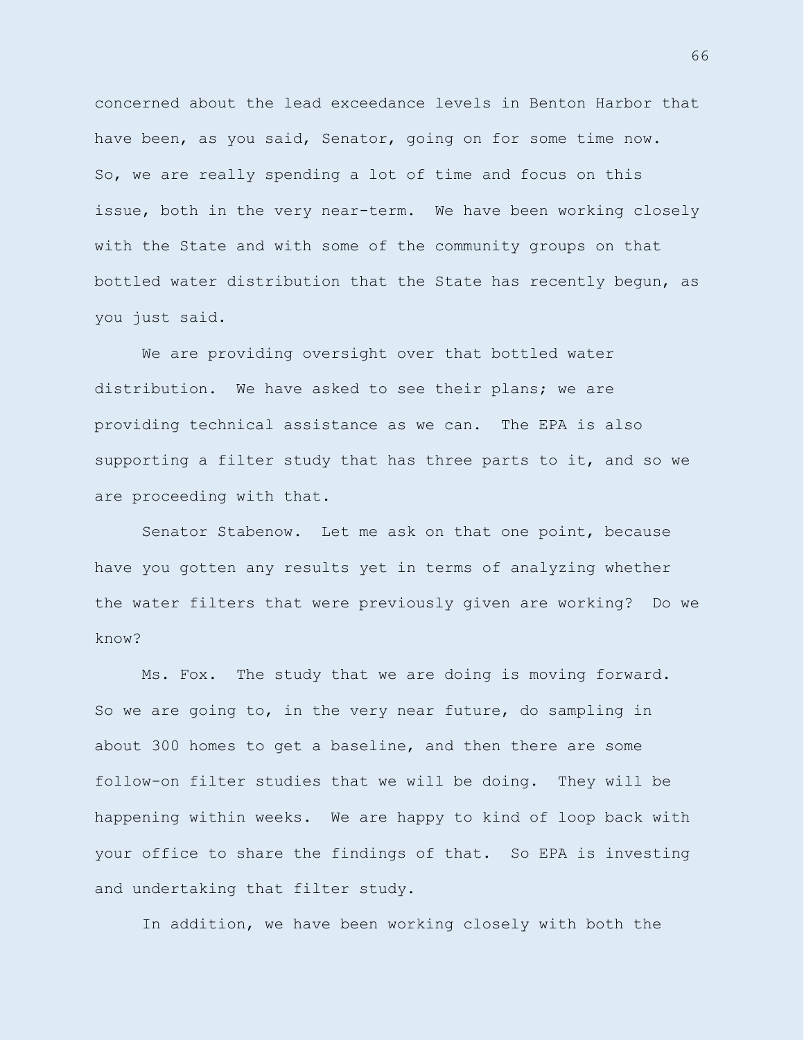concerned about the lead exceedance levels in Benton Harbor that have been, as you said, Senator, going on for some time now. So, we are really spending a lot of time and focus on this issue, both in the very near-term. We have been working closely with the State and with some of the community groups on that bottled water distribution that the State has recently begun, as you just said.

We are providing oversight over that bottled water distribution. We have asked to see their plans; we are providing technical assistance as we can. The EPA is also supporting a filter study that has three parts to it, and so we are proceeding with that.

Senator Stabenow. Let me ask on that one point, because have you gotten any results yet in terms of analyzing whether the water filters that were previously given are working? Do we know?

Ms. Fox. The study that we are doing is moving forward. So we are going to, in the very near future, do sampling in about 300 homes to get a baseline, and then there are some follow-on filter studies that we will be doing. They will be happening within weeks. We are happy to kind of loop back with your office to share the findings of that. So EPA is investing and undertaking that filter study.

In addition, we have been working closely with both the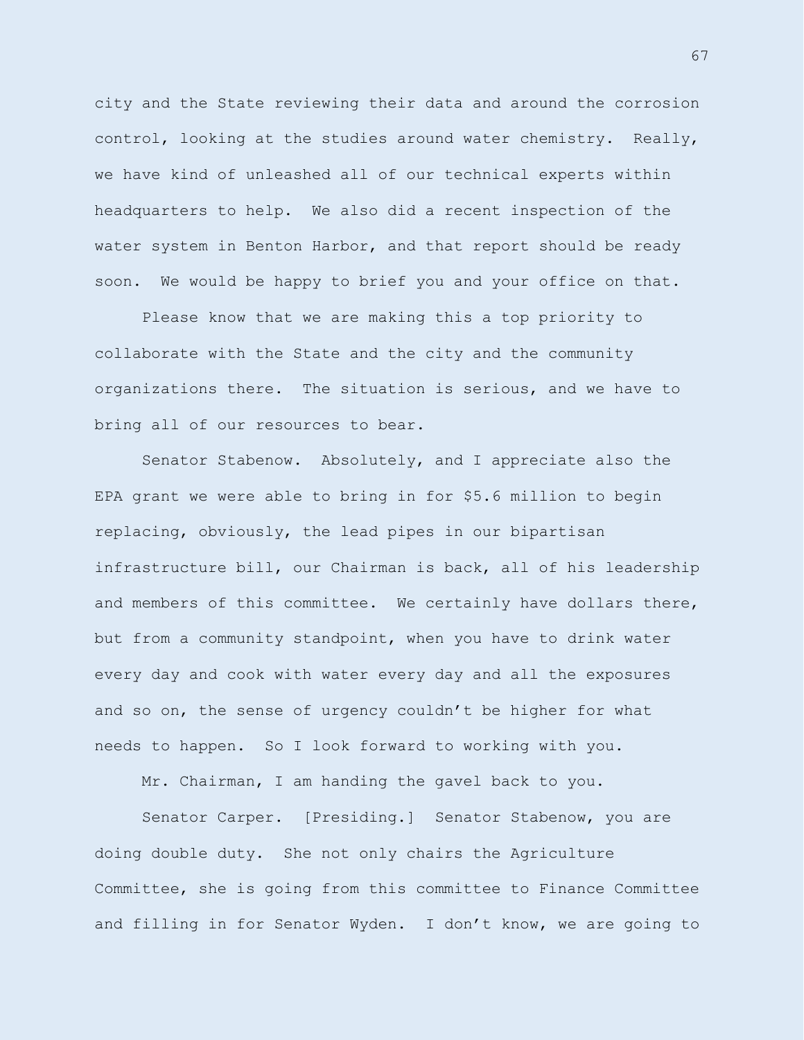city and the State reviewing their data and around the corrosion control, looking at the studies around water chemistry. Really, we have kind of unleashed all of our technical experts within headquarters to help. We also did a recent inspection of the water system in Benton Harbor, and that report should be ready soon. We would be happy to brief you and your office on that.

Please know that we are making this a top priority to collaborate with the State and the city and the community organizations there. The situation is serious, and we have to bring all of our resources to bear.

Senator Stabenow. Absolutely, and I appreciate also the EPA grant we were able to bring in for \$5.6 million to begin replacing, obviously, the lead pipes in our bipartisan infrastructure bill, our Chairman is back, all of his leadership and members of this committee. We certainly have dollars there, but from a community standpoint, when you have to drink water every day and cook with water every day and all the exposures and so on, the sense of urgency couldn't be higher for what needs to happen. So I look forward to working with you.

Mr. Chairman, I am handing the gavel back to you.

Senator Carper. [Presiding.] Senator Stabenow, you are doing double duty. She not only chairs the Agriculture Committee, she is going from this committee to Finance Committee and filling in for Senator Wyden. I don't know, we are going to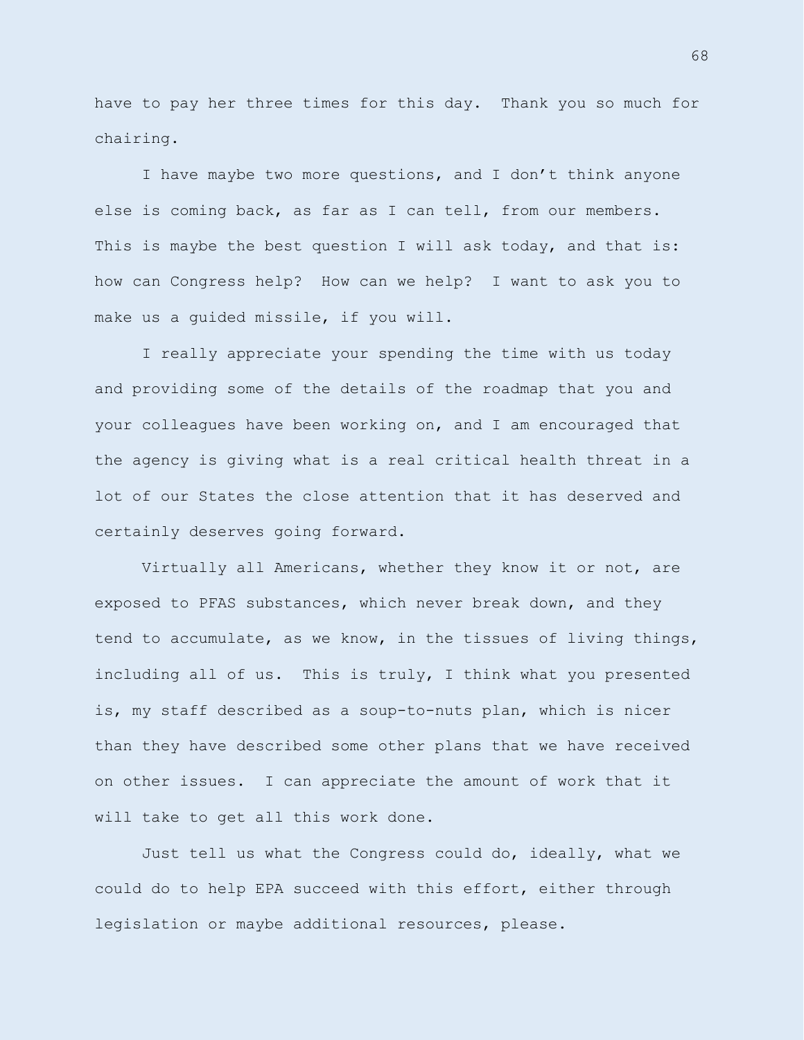have to pay her three times for this day. Thank you so much for chairing.

I have maybe two more questions, and I don't think anyone else is coming back, as far as I can tell, from our members. This is maybe the best question I will ask today, and that is: how can Congress help? How can we help? I want to ask you to make us a guided missile, if you will.

I really appreciate your spending the time with us today and providing some of the details of the roadmap that you and your colleagues have been working on, and I am encouraged that the agency is giving what is a real critical health threat in a lot of our States the close attention that it has deserved and certainly deserves going forward.

Virtually all Americans, whether they know it or not, are exposed to PFAS substances, which never break down, and they tend to accumulate, as we know, in the tissues of living things, including all of us. This is truly, I think what you presented is, my staff described as a soup-to-nuts plan, which is nicer than they have described some other plans that we have received on other issues. I can appreciate the amount of work that it will take to get all this work done.

Just tell us what the Congress could do, ideally, what we could do to help EPA succeed with this effort, either through legislation or maybe additional resources, please.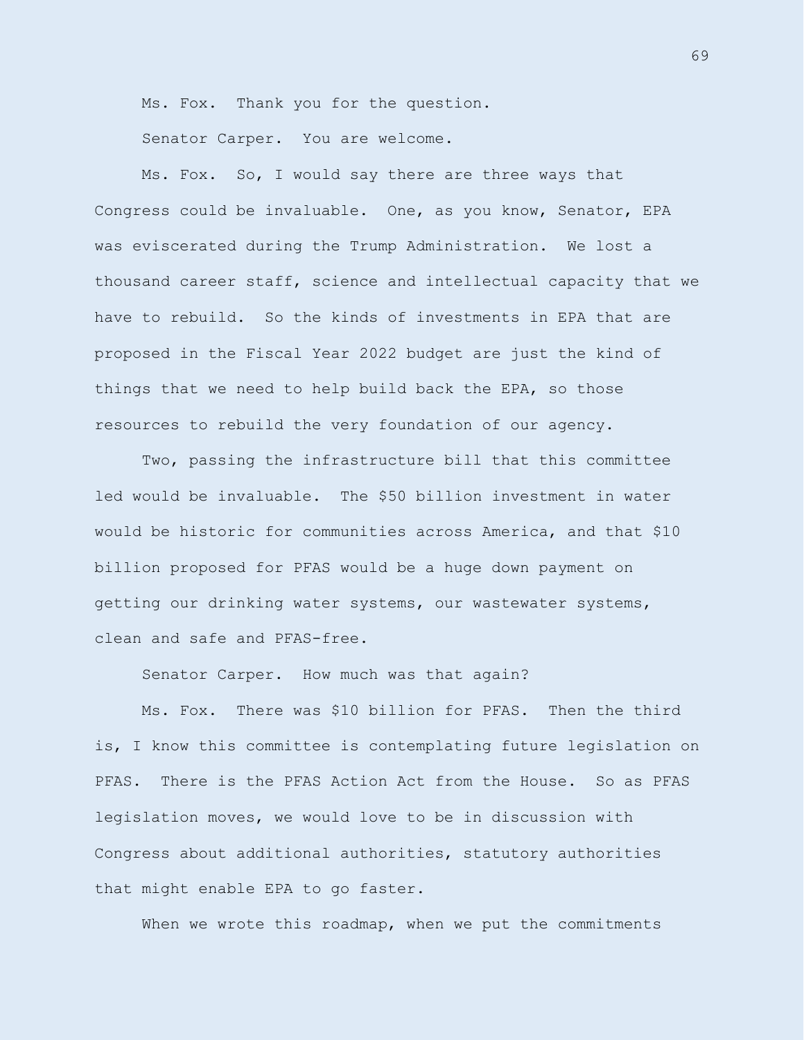Ms. Fox. Thank you for the question.

Senator Carper. You are welcome.

Ms. Fox. So, I would say there are three ways that Congress could be invaluable. One, as you know, Senator, EPA was eviscerated during the Trump Administration. We lost a thousand career staff, science and intellectual capacity that we have to rebuild. So the kinds of investments in EPA that are proposed in the Fiscal Year 2022 budget are just the kind of things that we need to help build back the EPA, so those resources to rebuild the very foundation of our agency.

Two, passing the infrastructure bill that this committee led would be invaluable. The \$50 billion investment in water would be historic for communities across America, and that \$10 billion proposed for PFAS would be a huge down payment on getting our drinking water systems, our wastewater systems, clean and safe and PFAS-free.

Senator Carper. How much was that again?

Ms. Fox. There was \$10 billion for PFAS. Then the third is, I know this committee is contemplating future legislation on PFAS. There is the PFAS Action Act from the House. So as PFAS legislation moves, we would love to be in discussion with Congress about additional authorities, statutory authorities that might enable EPA to go faster.

When we wrote this roadmap, when we put the commitments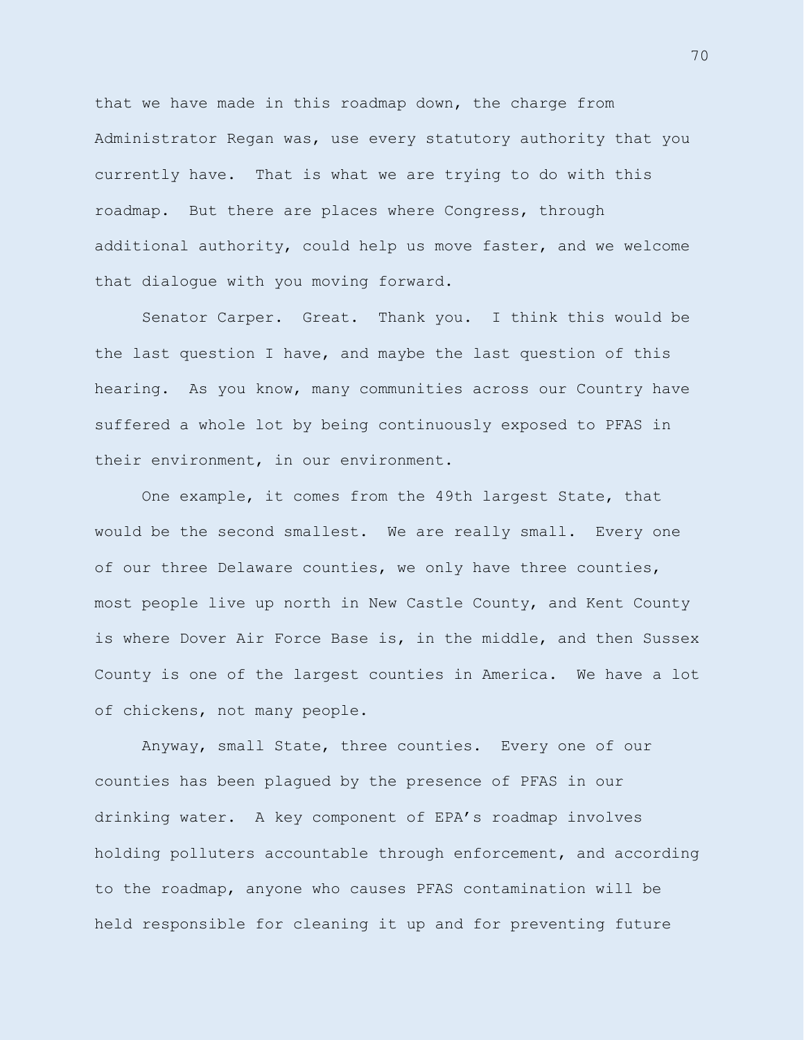that we have made in this roadmap down, the charge from Administrator Regan was, use every statutory authority that you currently have. That is what we are trying to do with this roadmap. But there are places where Congress, through additional authority, could help us move faster, and we welcome that dialogue with you moving forward.

Senator Carper. Great. Thank you. I think this would be the last question I have, and maybe the last question of this hearing. As you know, many communities across our Country have suffered a whole lot by being continuously exposed to PFAS in their environment, in our environment.

One example, it comes from the 49th largest State, that would be the second smallest. We are really small. Every one of our three Delaware counties, we only have three counties, most people live up north in New Castle County, and Kent County is where Dover Air Force Base is, in the middle, and then Sussex County is one of the largest counties in America. We have a lot of chickens, not many people.

Anyway, small State, three counties. Every one of our counties has been plagued by the presence of PFAS in our drinking water. A key component of EPA's roadmap involves holding polluters accountable through enforcement, and according to the roadmap, anyone who causes PFAS contamination will be held responsible for cleaning it up and for preventing future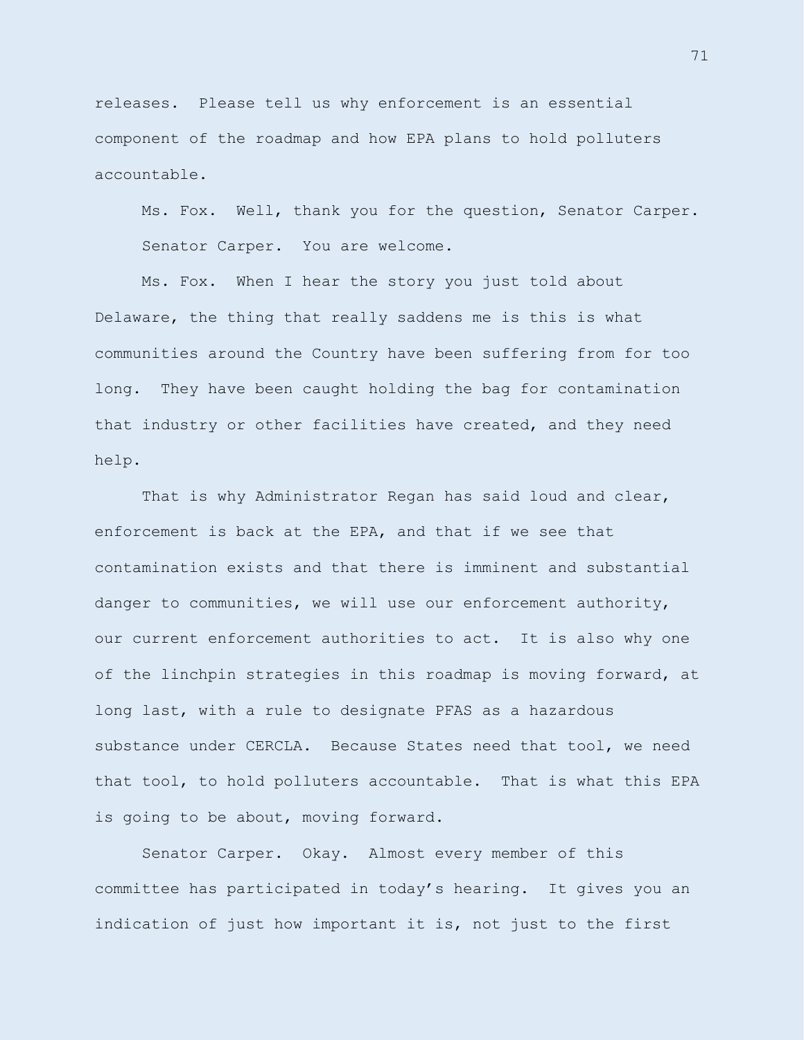releases. Please tell us why enforcement is an essential component of the roadmap and how EPA plans to hold polluters accountable.

Ms. Fox. Well, thank you for the question, Senator Carper. Senator Carper. You are welcome.

Ms. Fox. When I hear the story you just told about Delaware, the thing that really saddens me is this is what communities around the Country have been suffering from for too long. They have been caught holding the bag for contamination that industry or other facilities have created, and they need help.

That is why Administrator Regan has said loud and clear, enforcement is back at the EPA, and that if we see that contamination exists and that there is imminent and substantial danger to communities, we will use our enforcement authority, our current enforcement authorities to act. It is also why one of the linchpin strategies in this roadmap is moving forward, at long last, with a rule to designate PFAS as a hazardous substance under CERCLA. Because States need that tool, we need that tool, to hold polluters accountable. That is what this EPA is going to be about, moving forward.

Senator Carper. Okay. Almost every member of this committee has participated in today's hearing. It gives you an indication of just how important it is, not just to the first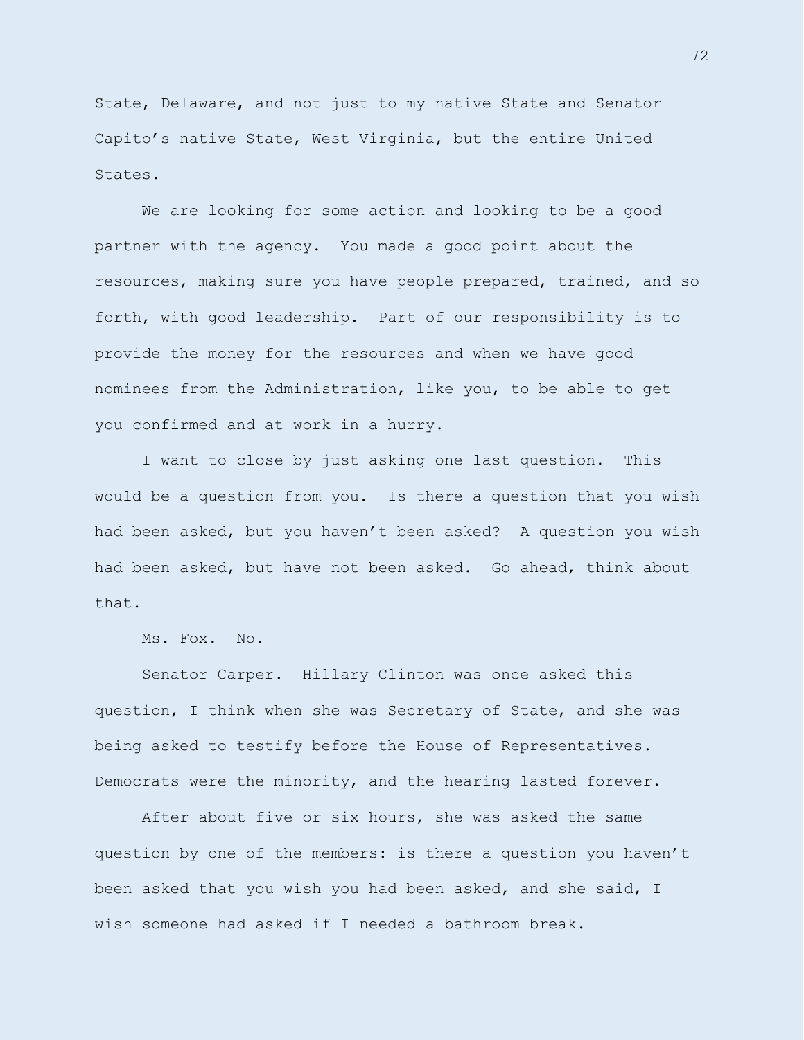State, Delaware, and not just to my native State and Senator Capito's native State, West Virginia, but the entire United States.

We are looking for some action and looking to be a good partner with the agency. You made a good point about the resources, making sure you have people prepared, trained, and so forth, with good leadership. Part of our responsibility is to provide the money for the resources and when we have good nominees from the Administration, like you, to be able to get you confirmed and at work in a hurry.

I want to close by just asking one last question. This would be a question from you. Is there a question that you wish had been asked, but you haven't been asked? A question you wish had been asked, but have not been asked. Go ahead, think about that.

Ms. Fox. No.

Senator Carper. Hillary Clinton was once asked this question, I think when she was Secretary of State, and she was being asked to testify before the House of Representatives. Democrats were the minority, and the hearing lasted forever.

After about five or six hours, she was asked the same question by one of the members: is there a question you haven't been asked that you wish you had been asked, and she said, I wish someone had asked if I needed a bathroom break.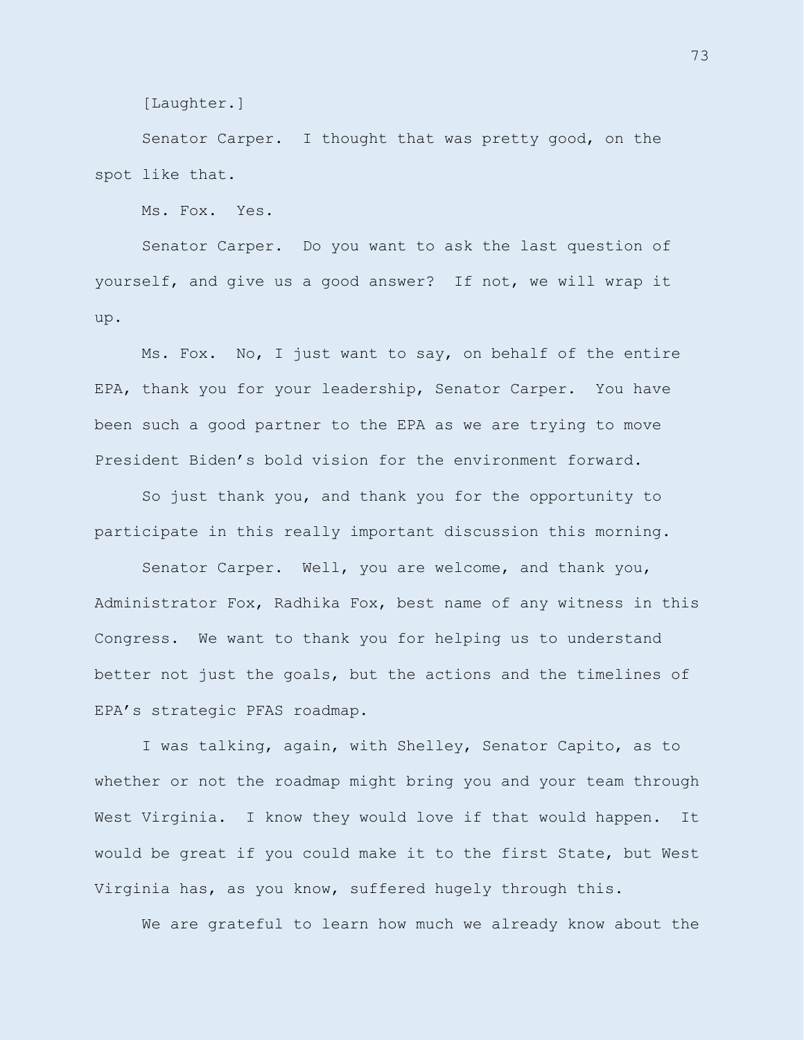[Laughter.]

Senator Carper. I thought that was pretty good, on the spot like that.

Ms. Fox. Yes.

Senator Carper. Do you want to ask the last question of yourself, and give us a good answer? If not, we will wrap it up.

Ms. Fox. No, I just want to say, on behalf of the entire EPA, thank you for your leadership, Senator Carper. You have been such a good partner to the EPA as we are trying to move President Biden's bold vision for the environment forward.

So just thank you, and thank you for the opportunity to participate in this really important discussion this morning.

Senator Carper. Well, you are welcome, and thank you, Administrator Fox, Radhika Fox, best name of any witness in this Congress. We want to thank you for helping us to understand better not just the goals, but the actions and the timelines of EPA's strategic PFAS roadmap.

I was talking, again, with Shelley, Senator Capito, as to whether or not the roadmap might bring you and your team through West Virginia. I know they would love if that would happen. It would be great if you could make it to the first State, but West Virginia has, as you know, suffered hugely through this.

We are grateful to learn how much we already know about the

73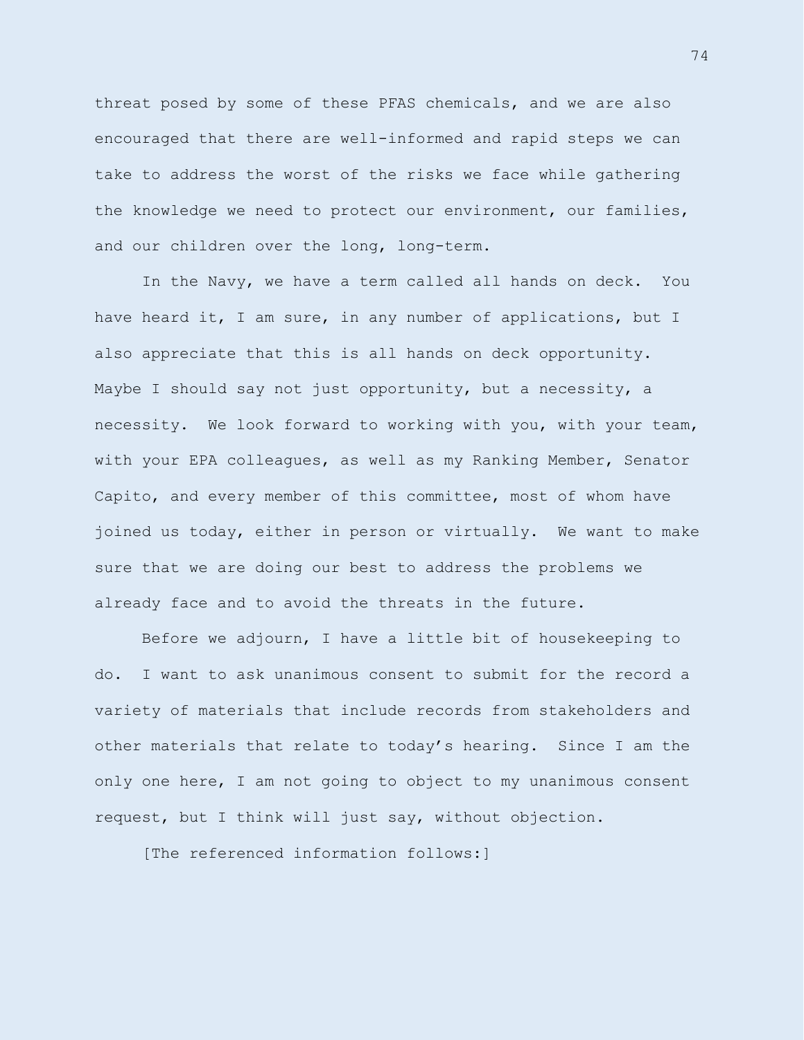threat posed by some of these PFAS chemicals, and we are also encouraged that there are well-informed and rapid steps we can take to address the worst of the risks we face while gathering the knowledge we need to protect our environment, our families, and our children over the long, long-term.

In the Navy, we have a term called all hands on deck. You have heard it, I am sure, in any number of applications, but I also appreciate that this is all hands on deck opportunity. Maybe I should say not just opportunity, but a necessity, a necessity. We look forward to working with you, with your team, with your EPA colleagues, as well as my Ranking Member, Senator Capito, and every member of this committee, most of whom have joined us today, either in person or virtually. We want to make sure that we are doing our best to address the problems we already face and to avoid the threats in the future.

Before we adjourn, I have a little bit of housekeeping to do. I want to ask unanimous consent to submit for the record a variety of materials that include records from stakeholders and other materials that relate to today's hearing. Since I am the only one here, I am not going to object to my unanimous consent request, but I think will just say, without objection.

[The referenced information follows:]